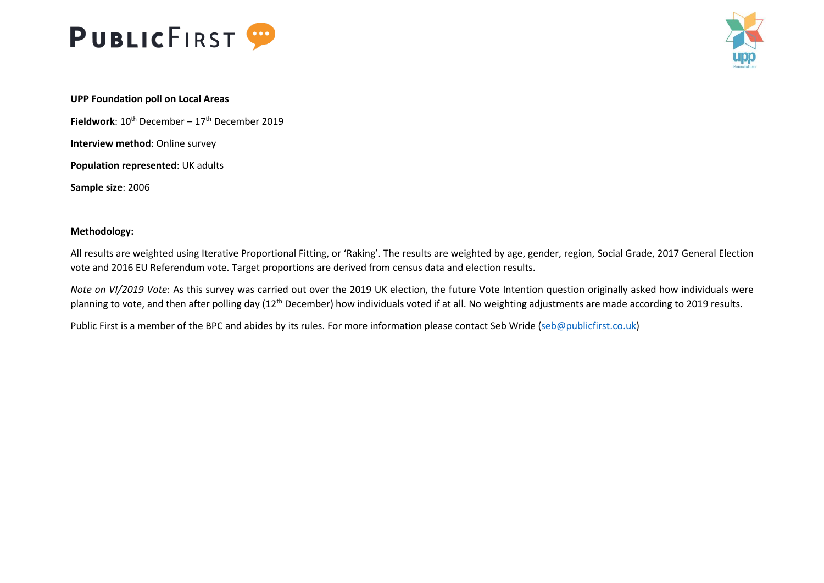



# **UPP Foundation poll on Local Areas**

**Fieldwork**:  $10^{th}$  December –  $17^{th}$  December 2019

**Interview method**: Online survey

**Population represented**: UK adults

**Sample size**: 2006

# **Methodology:**

All results are weighted using Iterative Proportional Fitting, or 'Raking'. The results are weighted by age, gender, region, Social Grade, 2017 General Election vote and 2016 EU Referendum vote. Target proportions are derived from census data and election results.

*Note on VI/2019 Vote*: As this survey was carried out over the 2019 UK election, the future Vote Intention question originally asked how individuals were planning to vote, and then after polling day (12<sup>th</sup> December) how individuals voted if at all. No weighting adjustments are made according to 2019 results.

Public First is a member of the BPC and abides by its rules. For more information please contact Seb Wride [\(seb@publicfirst.co.uk\)](mailto:seb@publicfirst.co.uk)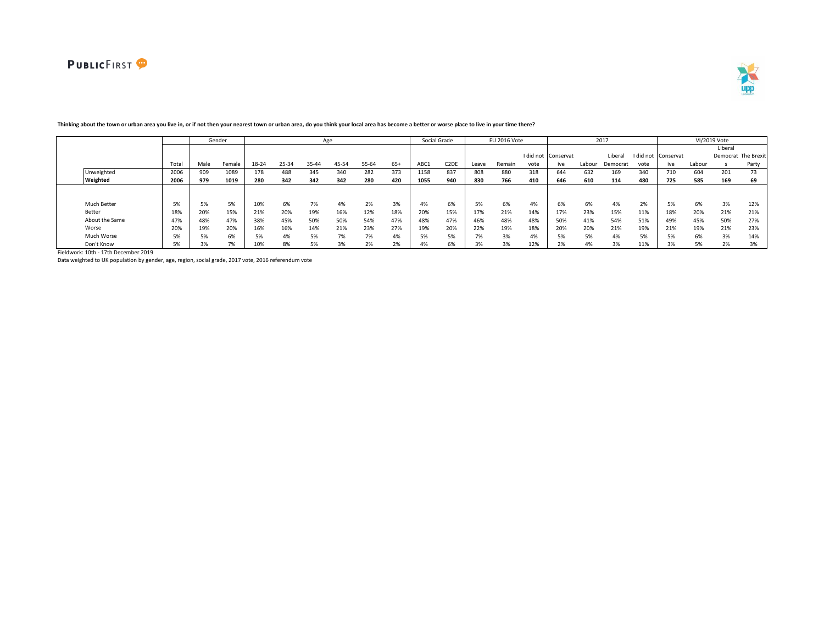



|                |       |      | Gender |       |       |       | Age   |       |       |      | Social Grade      |       | <b>EU 2016 Vote</b> |      |                       |        | 2017     |      |                     |        | VI/2019 Vote |                     |
|----------------|-------|------|--------|-------|-------|-------|-------|-------|-------|------|-------------------|-------|---------------------|------|-----------------------|--------|----------|------|---------------------|--------|--------------|---------------------|
|                |       |      |        |       |       |       |       |       |       |      |                   |       |                     |      |                       |        |          |      |                     |        | Liberal      |                     |
|                |       |      |        |       |       |       |       |       |       |      |                   |       |                     |      | I did not Conservat   |        | Libera   |      | I did not Conservat |        |              | Democrat The Brexit |
|                | Total | Male | Female | 18-24 | 25-34 | 35-44 | 45-54 | 55-64 | $65+$ | ABC1 | C <sub>2</sub> DE | Leave | Remain              | vote | ive                   | Labour | Democrat | vote | ive                 | Labour |              | Party               |
| Unweighted     | 2006  | 909  | 1089   | 178   | 488   | 345   | 340   | 282   | 373   | 1158 | 837               | 808   | 880                 | 318  | 644                   | 632    | 169      | 340  | 710                 | 604    | 201          | 73                  |
| Weighted       | 2006  | 979  | 1019   | 280   | 342   | 342   | 342   | 280   | 420   | 1055 | 940               | 830   | 766                 | 410  | 646                   | 610    | 114      | 480  | 725                 | 585    | 169          | 69                  |
|                |       |      |        |       |       |       |       |       |       |      |                   |       |                     |      |                       |        |          |      |                     |        |              |                     |
|                |       |      |        |       |       |       |       |       |       |      |                   |       |                     |      |                       |        |          |      |                     |        |              |                     |
| Much Better    | 5%    | 5%   | 5%     | 10%   | 6%    | 7%    | 4%    | 2%    | 3%    | 4%   | 6%                | 5%    | 6%                  | 4%   | 6%                    | 6%     | 4%       | 2%   | 5%                  | 6%     | 3%           | 12%                 |
| Better         | 18%   | 20%  | 15%    | 21%   | 20%   | 19%   | 16%   | 12%   | 18%   | 20%  | 15%               | 17%   | 21%                 | 14%  | 17%                   | 23%    | 15%      | 11%  | 18%                 | 20%    | 21%          | 21%                 |
| About the Same | 47%   | 48%  | 47%    | 38%   | 45%   | 50%   | 50%   | 54%   | 47%   | 48%  | 47%               | 46%   | 48%                 | 48%  | 50%                   | 41%    | 54%      | 51%  | 49%                 | 45%    | 50%          | 27%                 |
| Worse          | 20%   | 19%  | 20%    | 16%   | 16%   | 14%   | 21%   | 23%   | 27%   | 19%  | 20%               | 22%   | 19%                 | 18%  | 20%                   | 20%    | 21%      | 19%  | 21%                 | 19%    | 21%          | 23%                 |
| Much Worse     | 5%    | 5%   | 6%     | 5%    | 4%    | 5%    | 7%    | 7%    | 4%    | 5%   | 5%                | 7%    | 3%                  | 4%   | 5%                    | 5%     | 4%       | 5%   | 5%                  | 6%     | 3%           | 14%                 |
| Don't Know     | ro-   |      | 7%     | 10%   | 8%    | 5%    | 3%    | 2%    | 20    | 4%   | 6%                | 3%    | 3%                  | 12%  | 20 <sup>1</sup><br>2% | 4%     | 3%       | 11%  | 20<br>3%            | 5%     | 2%           | 3%                  |

# **Thinking about the town or urban area you live in, or if not then your nearest town or urban area, do you think your local area has become a better or worse place to live in your time there?**

Fieldwork: 10th - 17th December 2019

Data weighted to UK population by gender, age, region, social grade, 2017 vote, 2016 referendum vote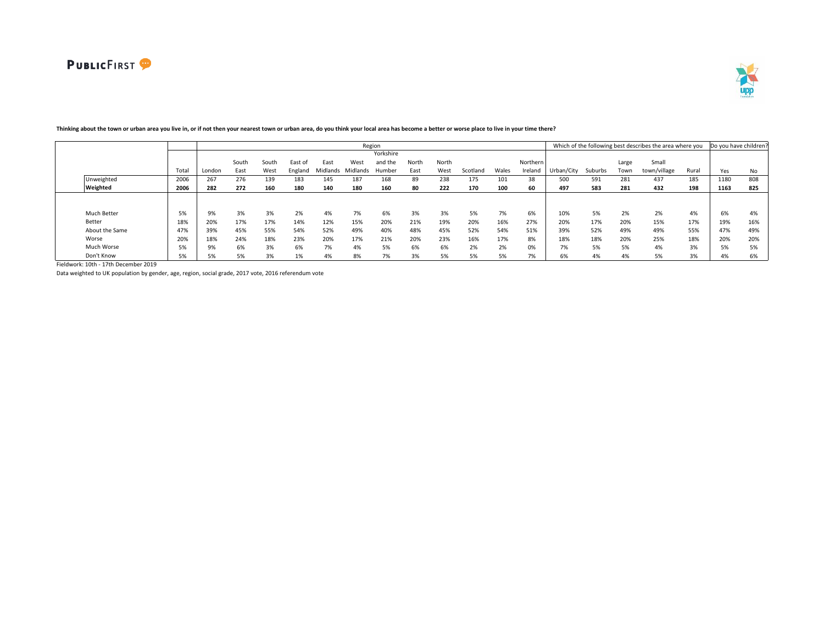**IF** 



|                    |       |        |       |       |         |          |          | Region    |       |       |          |       |          |            |         |       | Which of the following best describes the area where you |       | Do you have children |     |
|--------------------|-------|--------|-------|-------|---------|----------|----------|-----------|-------|-------|----------|-------|----------|------------|---------|-------|----------------------------------------------------------|-------|----------------------|-----|
|                    |       |        |       |       |         |          |          | Yorkshire |       |       |          |       |          |            |         |       |                                                          |       |                      |     |
|                    |       |        | South | South | East of | East     | West     | and the   | North | North |          |       | Northern |            |         | Large | Small                                                    |       |                      |     |
|                    | Total | London | East  | West  | England | Midlands | Midlands | Humber    | East  | West  | Scotlano | Wales | Ireland  | Urban/City | Suburbs | Town  | town/village                                             | Rural | Yes                  | No  |
| Unweighted         | 2006  | 267    | 276   | 139   | 183     | 145      | 187      | 168       | 89    | 238   | 175      | 101   | 38       | 500        | 591     | 281   | 437                                                      | 185   | 1180                 | 808 |
| Weighted           | 2006  | 282    | 272   | 160   | 180     | 140      | 180      | 160       | 80    | 222   | 170      | 100   | 60       | 497        | 583     | 281   | 432                                                      | 198   | 1163                 | 825 |
|                    |       |        |       |       |         |          |          |           |       |       |          |       |          |            |         |       |                                                          |       |                      |     |
|                    |       |        |       |       |         |          |          |           |       |       |          |       |          |            |         |       |                                                          |       |                      |     |
| <b>Much Better</b> | 5%    | 9%     | 3%    | 3%    | 2%      | 4%       | 7%       | 6%        | 3%    | 3%    | 5%       | 7%    | 6%       | 10%        | 5%      | 2%    | 2%                                                       | 4%    | 6%                   | 4%  |
| Better             | 18%   | 20%    | 17%   | 17%   | 14%     | 12%      | 15%      | 20%       | 21%   | 19%   | 20%      | 16%   | 27%      | 20%        | 17%     | 20%   | 15%                                                      | 17%   | 19%                  | 16% |
| About the Same     | 47%   | 39%    | 45%   | 55%   | 54%     | 52%      | 49%      | 40%       | 48%   | 45%   | 52%      | 54%   | 51%      | 39%        | 52%     | 49%   | 49%                                                      | 55%   | 47%                  | 49% |
| Worse              | 20%   | 18%    | 24%   | 18%   | 23%     | 20%      | 17%      | 21%       | 20%   | 23%   | 16%      | 17%   | 8%       | 18%        | 18%     | 20%   | 25%                                                      | 18%   | 20%                  | 20% |
| Much Worse         | 5%    | 9%     | 6%    | 3%    | 6%      | 7%       | 4%       | 5%        | 6%    | 6%    | 2%       | 2%    | 0%       | 7%         | 5%      | 5%    | 4%                                                       | 3%    | 5%                   | 5%  |
| Don't Know         | 5%    | 5%     | 5%    | 3%    | 1%      | 4%       | 8%       | 7%        | 3%    | 5%    | 5%       | 5%    | 7%       | 6%         | 4%      | 4%    | 5%                                                       | 3%    | 4%                   | 6%  |

# **Thinking about the town or urban area you live in, or if not then your nearest town or urban area, do you think your local area has become a better or worse place to live in your time there?**

Fieldwork: 10th - 17th December 2019

Data weighted to UK population by gender, age, region, social grade, 2017 vote, 2016 referendum vote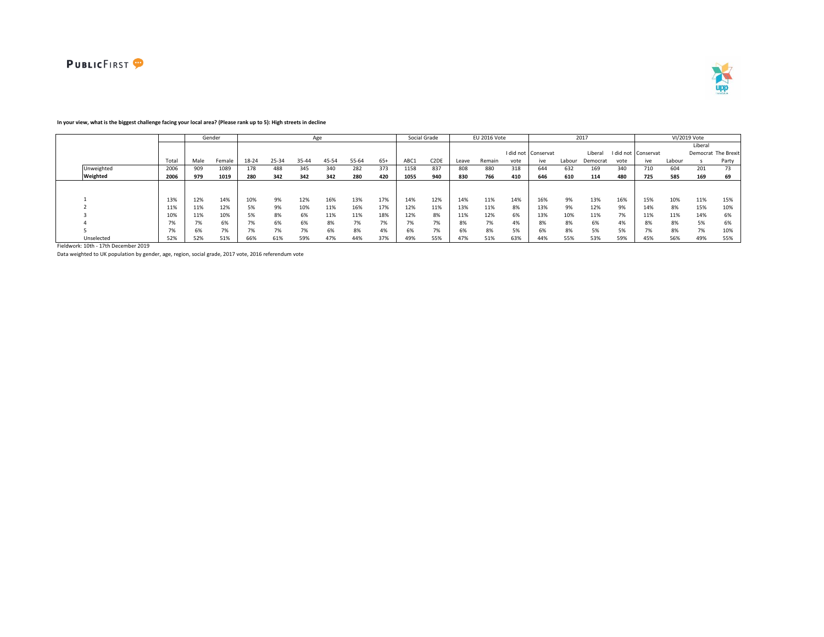



### **In your view, what is the biggest challenge facing your local area? (Please rank up to 5): High streets in decline**

|            |       |      | Gender |       |       | Age   |       |       |       |      | Social Grade      |       | EU 2016 Vote |      |                     |        | 2017     |      |                     |        | VI/2019 Vote |                     |
|------------|-------|------|--------|-------|-------|-------|-------|-------|-------|------|-------------------|-------|--------------|------|---------------------|--------|----------|------|---------------------|--------|--------------|---------------------|
|            |       |      |        |       |       |       |       |       |       |      |                   |       |              |      |                     |        |          |      |                     |        | Liberal      |                     |
|            |       |      |        |       |       |       |       |       |       |      |                   |       |              |      | I did not Conservat |        | Liberal  |      | I did not Conservat |        |              | Democrat The Brexit |
|            | Total | Male | Female | 18-24 | 25-34 | 35-44 | 45-54 | 55-64 | $65+$ | ABC1 | C <sub>2</sub> DE | Leave | Remain       | vote | ive                 | Labour | Democrat | vote | ive                 | Labour |              | Party               |
| Unweighted | 2006  | 909  | 1089   | 178   | 488   | 345   | 340   | 282   | 373   | 1158 | 837               | 808   | 880          | 318  | 644                 | 632    | 169      | 340  | 710                 | 604    | 201          | 73                  |
| Weighted   | 2006  | 979  | 1019   | 280   | 342   | 342   | 342   | 280   | 420   | 1055 | 940               | 830   | 766          | 410  | 646                 | 610    | 114      | 480  | 725                 | 585    | 169          | 69                  |
|            |       |      |        |       |       |       |       |       |       |      |                   |       |              |      |                     |        |          |      |                     |        |              |                     |
|            |       |      |        |       |       |       |       |       |       |      |                   |       |              |      |                     |        |          |      |                     |        |              |                     |
|            | 13%   | 12%  | 14%    | 10%   | 9%    | 12%   | 16%   | 13%   | 17%   | 14%  | 12%               | 14%   | 11%          | 14%  | 16%                 | 9%     | 13%      | 16%  | 15%                 | 10%    | 11%          | 15%                 |
|            | 11%   | 11%  | 12%    | 5%    | 9%    | 10%   | 11%   | 16%   | 17%   | 12%  | 11%               | 13%   | 11%          | 8%   | 13%                 | 9%     | 12%      | 9%   | 14%                 | 8%     | 15%          | 10%                 |
|            | 10%   | 11%  | 10%    | 5%    | 8%    | 6%    | 11%   | 11%   | 18%   | 12%  | 8%                | 11%   | 12%          | 6%   | 13%                 | 10%    | 11%      | 7%   | 11%                 | 11%    | 14%          | 6%                  |
|            | 7%    | 7%   | 6%     | 7%    | 6%    | 5%    | 8%    | 7%    | 7%    | 7%   | 7%                | 8%    | 7%           | 4%   | 8%                  | 8%     | 6%       | 4%   | 8%                  | 8%     | 5%           | 6%                  |
|            | 7%    | 6%   | 7%     | 7%    | 7%    | 7%    | 6%    | 8%    | 4%    | 6%   | 7%                | 6%    | 8%           | 5%   | 6%                  | 8%     | 5%       | 5%   | 7%                  | 8%     | 7%           | 10%                 |
| Unselected | 52%   | 52%  | 51%    | 66%   | 61%   | 59%   | 47%   | 44%   | 37%   | 49%  | 55%               | 47%   | 51%          | 63%  | 44%                 | 55%    | 53%      | 59%  | 45%                 | 56%    | 49%          | 55%                 |

Fieldwork: 10th - 17th December 2019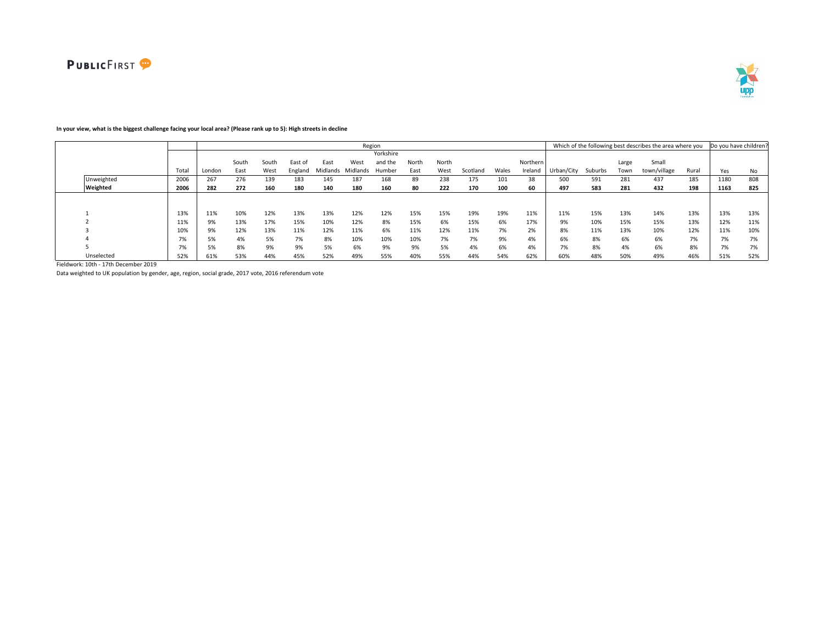



# **In your view, what is the biggest challenge facing your local area? (Please rank up to 5): High streets in decline**

|            |       |        |       |       |         |          |          | Region    |       |       |          |       |          |            |         |       | Which of the following best describes the area where you |       | Do you have children? |     |
|------------|-------|--------|-------|-------|---------|----------|----------|-----------|-------|-------|----------|-------|----------|------------|---------|-------|----------------------------------------------------------|-------|-----------------------|-----|
|            |       |        |       |       |         |          |          | Yorkshire |       |       |          |       |          |            |         |       |                                                          |       |                       |     |
|            |       |        | South | South | East o  | East     | West     | and the   | North | North |          |       | Northern |            |         | Large | Small                                                    |       |                       |     |
|            | Total | London | East  | West  | England | Midlands | Midlands | Humber    | East  | West  | Scotland | Wales | Ireland  | Urban/City | Suburbs | Town  | town/village                                             | Rural | Yes                   | No  |
| Unweighted | 2006  | 267    | 276   | 139   | 183     | 145      | 187      | 168       | 89    | 238   | 175      | 101   | 38       | 500        | 591     | 281   | 437                                                      | 185   | 1180                  | 808 |
| Weighted   | 2006  | 282    | 272   | 160   | 180     | 140      | 180      | 160       | 80    | 222   | 170      | 100   | 60       | 497        | 583     | 281   | 432                                                      | 198   | 1163                  | 825 |
|            |       |        |       |       |         |          |          |           |       |       |          |       |          |            |         |       |                                                          |       |                       |     |
|            |       |        |       |       |         |          |          |           |       |       |          |       |          |            |         |       |                                                          |       |                       |     |
|            | 13%   | 11%    | 10%   | 12%   | 13%     | 13%      | 12%      | 12%       | 15%   | 15%   | 19%      | 19%   | 11%      | 11%        | 15%     | 13%   | 14%                                                      | 13%   | 13%                   | 13% |
|            | 11%   | 9%     | 13%   | 17%   | 15%     | 10%      | 12%      | 8%        | 15%   | 6%    | 15%      | 6%    | 17%      | 9%         | 10%     | 15%   | 15%                                                      | 13%   | 12%                   | 11% |
|            | 10%   | 9%     | 12%   | 13%   | 11%     | 12%      | 11%      | 6%        | 11%   | 12%   | 11%      | 7%    | 2%       | 8%         | 11%     | 13%   | 10%                                                      | 12%   | 11%                   | 10% |
|            | 7%    | 5%     | 4%    | 5%    | 7%      | 8%       | 10%      | 10%       | 10%   | 7%    | 7%       | 9%    | 4%       | 6%         | 8%      | 6%    | 6%                                                       | 7%    | 7%                    | 7%  |
|            | 7%    | 5%     | 8%    | 9%    | 9%      | 5%       | 6%       | 9%        | 9%    | 5%    | 4%       | 6%    | 4%       | 7%         | 8%      | 4%    | 6%                                                       | 8%    | 7%                    | 7%  |
| Unselected | 52%   | 61%    | 53%   | 44%   | 45%     | 52%      | 49%      | 55%       | 40%   | 55%   | 44%      | 54%   | 62%      | 60%        | 48%     | 50%   | 49%                                                      | 46%   | 51%                   | 52% |

Fieldwork: 10th - 17th December 2019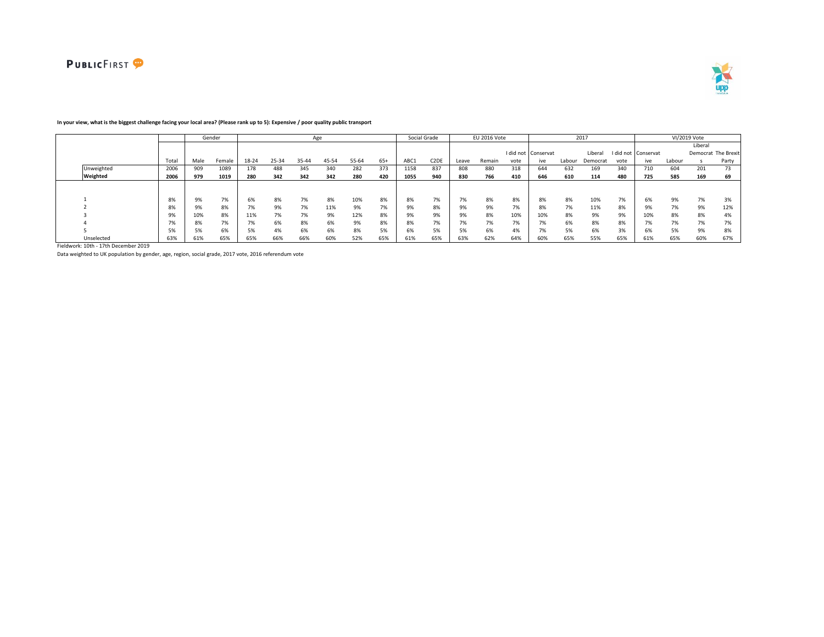



|            |                                 |      | Gender |       |       |       | Age   |       |              |      | Social Grade                  |       | EU 2016 Vote |      |                       |        | 2017     |            |                     |        | VI/2019 Vote |                     |
|------------|---------------------------------|------|--------|-------|-------|-------|-------|-------|--------------|------|-------------------------------|-------|--------------|------|-----------------------|--------|----------|------------|---------------------|--------|--------------|---------------------|
|            |                                 |      |        |       |       |       |       |       |              |      |                               |       |              |      |                       |        |          |            |                     |        | Liberal      |                     |
|            |                                 |      |        |       |       |       |       |       |              |      |                               |       |              |      | I did not Conservat   |        | Liberal  |            | I did not Conservat |        |              | Democrat The Brexit |
|            | Total                           | Male | Female | 18-24 | 25-34 | 35-44 | 45-54 | 55-64 | $65+$        | ABC1 | C <sub>2</sub> D <sub>E</sub> | Leave | Remain       | vote | ive                   | Labour | Democrat | vote       | ive                 | Labour |              | Party               |
| Unweighted | 2006                            | 909  | 1089   | 178   | 488   | 345   | 340   | 282   | 373          | 1158 | 837                           | 808   | 880          | 318  | 644                   | 632    | 169      | 340        | 710                 | 604    | 201          | 73                  |
| Weighted   | 2006                            | 979  | 1019   | 280   | 342   | 342   | 342   | 280   | 420          | 1055 | 940                           | 830   | 766          | 410  | 646                   | 610    | 114      | 480        | 725                 | 585    | 169          | 69                  |
|            |                                 |      |        |       |       |       |       |       |              |      |                               |       |              |      |                       |        |          |            |                     |        |              |                     |
|            |                                 |      |        |       |       |       |       |       |              |      |                               |       |              |      |                       |        |          |            |                     |        |              |                     |
|            | 8%                              | 9%   | 7%     | 6%    | 8%    | 7%    | 8%    | 10%   | 8%           | 8%   | $\mathbf{a}$<br>$1\%$         | 7%    | 8%           | 8%   | 8%                    | 8%     | 10%      | 7%         |                     | 9%     | 7%           | 3%                  |
|            | 8%                              | 9%   | 8%     | 7%    | 9%    | 7%    | 11%   | 9%    | 70/<br>$1\%$ |      | 8%                            | 9%    | 9%           | 7%   | 8%                    | 7%     | 11%      | 8%         | 9%                  | 7%     | 9%           | 12%                 |
|            | 9%                              | 10%  | 8%     | 11%   | 7%    | 7%    | 9%    | 12%   | 8%           | 9%   | 9%                            | 9%    | 8%           | 10%  | 10%                   | 8%     | 9%       | 9%         | 10%                 | 8%     | 8%           | 4%                  |
|            | $\overline{\phantom{a}}$<br>170 | 8%   | 7%     | 7%    | 6%    | 8%    | 6%    | 9%    | 8%           |      | 70/<br>$1\%$                  | 7%    | 7%           | 7%   | $\mathbf{a}$<br>$1\%$ | 6%     | 8%       | 8%         | $\mathbf{a}$        | 7%     | 7%           | 7%                  |
|            | 5%                              | 5%   | 6%     | 5%    | 4%    | 6%    | 6%    | 8%    | 5%           | b%   | 5%                            | 5%    | 6%           | 4%   | $1\%$                 | 5%     | 6%       | 201<br>-3% | b%                  | 5%     | 9%           | 8%                  |
| Unselected | 63%                             | 61%  | 65%    | 65%   | 66%   | 66%   | 60%   | 52%   | 65%          | 61%  | 65%                           | 63%   | 62%          | 64%  | 60%                   | 65%    | 55%      | 65%        | 61%                 | 65%    | 60%          | 67%                 |

### **In your view, what is the biggest challenge facing your local area? (Please rank up to 5): Expensive / poor quality public transport**

Fieldwork: 10th - 17th December 2019

Data weighted to UK population by gender, age, region, social grade, 2017 vote, 2016 referendum vote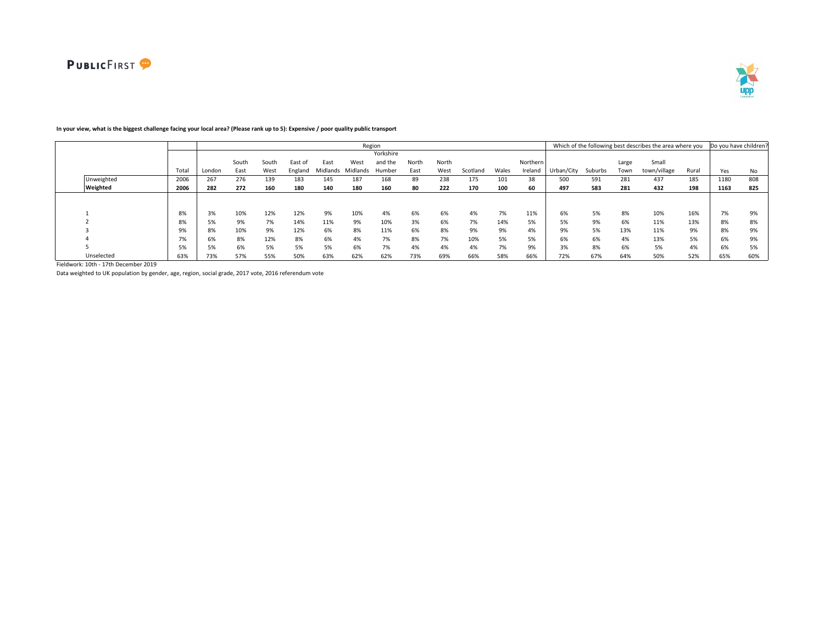

#### Total London South East South West East of England East Midlands Midlands Humber West Yorkshire and the North East North West Scotland Wales Northern Ireland Urban/City Suburbs Large Town Small town/village Rural Yes No Unweighted 2006 267 276 139 183 145 187 168 89 238 175 101 38 500 591 281 437 185 1180 808 Weighted 2006 | 282 272 160 180 140 180 160 80 222 170 100 60 | 497 583 281 432 198 | 1163 825 1 8% 3% 10% 12% 12% 9% 10% 4% 6% 6% 4% 7% 11% 6% 5% 8% 10% 16% 7% 9% 2 8% 5% 9% 7% 14% 11% 9% 10% 3% 6% 7% 14% 5% 5% 9% 6% 11% 13% 8% 8% 3 9% 8% 10% 9% 12% 6% 8% 11% 6% 8% 9% 9% 4% 9% 5% 13% 11% 9% 8% 9% 4 7% 6% 8% 12% 8% 6% 4% 7% 8% 7% 10% 5% 5% 6% 6% 4% 13% 5% 6% 9% 5 5% 5% 6% 5% 5% 5% 6% 7% 4% 4% 4% 7% 9% 3% 8% 6% 5% 4% 6% 5% Unselected 63% 73% 57% 55% 50% 63% 62% 62% 73% 69% 66% 58% 66% 72% 67% 64% 50% 52% 65% 60% Region **Example 20 and Total Contract Contract Contract Contract Contract Contract Contract Contract Contract Contract Contract Contract Contract Contract Contract Contract Contract Contract Contract Contract Contract Cont**

## **In your view, what is the biggest challenge facing your local area? (Please rank up to 5): Expensive / poor quality public transport**

Fieldwork: 10th - 17th December 2019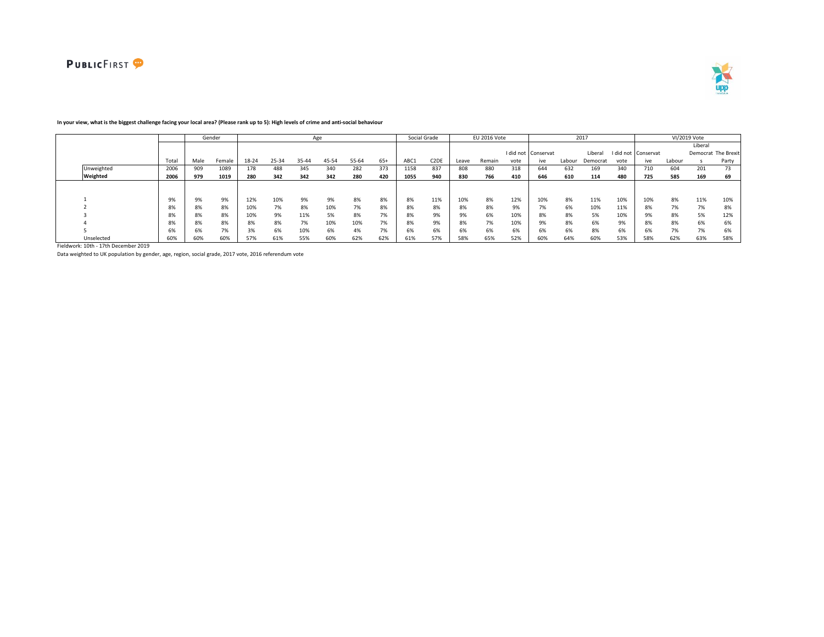



|            |       |      | Gender |       |       |       | Age   |       |       |      | Social Grade      |       | EU 2016 Vote |      |                     |        | 2017     |           |           |        | VI/2019 Vote |                     |
|------------|-------|------|--------|-------|-------|-------|-------|-------|-------|------|-------------------|-------|--------------|------|---------------------|--------|----------|-----------|-----------|--------|--------------|---------------------|
|            |       |      |        |       |       |       |       |       |       |      |                   |       |              |      |                     |        |          |           |           |        | Liberal      |                     |
|            |       |      |        |       |       |       |       |       |       |      |                   |       |              |      | I did not Conservat |        | Liberal  | I did not | Conservat |        |              | Democrat The Brexit |
|            | Total | Male | Female | 18-24 | 25-34 | 35-44 | 45-54 | 55-64 | $65+$ | ABC1 | C <sub>2</sub> DE | Leave | Remain       | vote | ive                 | Labour | Democrat | vote      | ive       | Labour |              | Party               |
| Unweighted | 2006  | 909  | 1089   | 178   | 488   | 345   | 340   | 282   | 373   | 1158 | 837               | 808   | 880          | 318  | 644                 | 632    | 169      | 340       | 710       | 604    | 201          | 73                  |
| Weighted   | 2006  | 979  | 1019   | 280   | 342   | 342   | 342   | 280   | 420   | 1055 | 940               | 830   | 766          | 410  | 646                 | 610    | 114      | 480       | 725       | 585    | 169          | 69                  |
|            |       |      |        |       |       |       |       |       |       |      |                   |       |              |      |                     |        |          |           |           |        |              |                     |
|            | 9%    | 9%   | 9%     | 12%   | 10%   | 9%    | 9%    | 8%    | 8%    | 8%   | 11%               | 10%   | 8%           | 12%  | 10%                 | 8%     | 11%      | 10%       | 10%       | 8%     | 11%          | 10%                 |
|            | 8%    | 8%   | 8%     | 10%   | 7%    | 8%    | 10%   | 7%    | 8%    | 8%   | 8%                | 8%    | 8%           | 9%   | $1\%$               | 6%     | 10%      | 11%       | 8%        | 7%     | 7%           | 8%                  |
|            | 8%    | 8%   | 8%     | 10%   | 9%    | 11%   | 5%    | 8%    | 7%    | 8%   | 9%                | 9%    | 6%           | 10%  | 8%                  | 8%     | 5%       | 10%       |           | 8%     | 5%           | 12%                 |
|            | 8%    | 8%   | 8%     | 8%    | 8%    | 7%    | 10%   | 10%   | 7%    | 8%   | 9%                | 8%    | 7%           | 10%  | 9%                  | 8%     | 6%       | 9%        | 8%        | 8%     | 6%           | 6%                  |
|            |       |      | 7%     | 3%    | 6%    | 10%   | 6%    | 4%    | 7%    | 6%   | 6%                | 6%    | 6%           | 6%   | 6%                  | 6%     | 8%       | 6%        |           | 7%     | 7%           | 6%                  |
| Unselected | 60%   | 60%  | 60%    | 57%   | 61%   | 55%   | 60%   | 62%   | 62%   | 61%  | 57%               | 58%   | 65%          | 52%  | 60%                 | 64%    | 60%      | 53%       | 58%       | 62%    | 63%          | 58%                 |

### **In your view, what is the biggest challenge facing your local area? (Please rank up to 5): High levels of crime and anti-social behaviour**

Fieldwork: 10th - 17th December 2019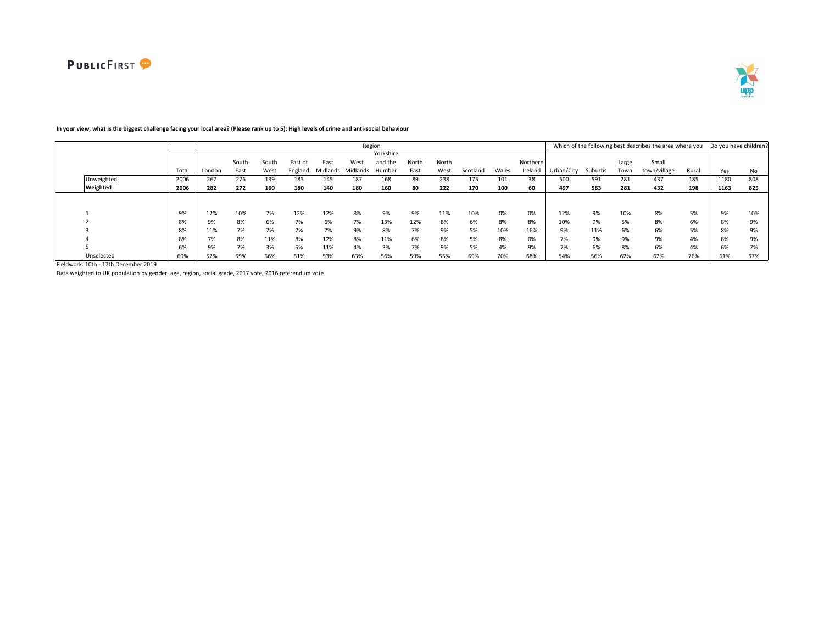

#### Total London South East South West East of England East Midlands Midlands Humber West Yorkshire and the North East North West Scotland Wales Northern Ireland Urban/City Suburbs Large Town Small town/village Rural Yes No Unweighted 2006 267 276 139 183 145 187 168 89 238 175 101 38 500 591 281 437 185 1180 808 Weighted 2006 | 282 272 160 180 140 180 160 80 222 170 100 60 | 497 583 281 432 198 | 1163 825 1 9% 12% 10% 7% 12% 12% 8% 9% 9% 11% 10% 0% 0% 12% 9% 10% 8% 5% 9% 10% 2 8% 9% 8% 6% 7% 6% 7% 13% 12% 8% 6% 8% 8% 10% 9% 5% 8% 6% 8% 9% 3 8% 11% 7% 7% 7% 7% 9% 8% 7% 9% 5% 10% 16% 9% 11% 6% 6% 5% 8% 9% 4 8% 7% 8% 11% 8% 12% 8% 11% 6% 8% 5% 8% 0% 7% 9% 9% 9% 4% 8% 9% 5 6% 9% 7% 3% 5% 11% 4% 3% 7% 9% 5% 4% 9% 7% 6% 8% 6% 4% 6% 7% Unselected 60% 52% 59% 66% 61% 53% 63% 56% 59% 55% 69% 70% 68% 54% 56% 62% 62% 76% 61% 57% Region **Example 20 and Total Contract Contract Contract Contract Contract Contract Contract Contract Contract Contract Contract Contract Contract Contract Contract Contract Contract Contract Contract Contract Contract Cont**

# **In your view, what is the biggest challenge facing your local area? (Please rank up to 5): High levels of crime and anti-social behaviour**

Fieldwork: 10th - 17th December 2019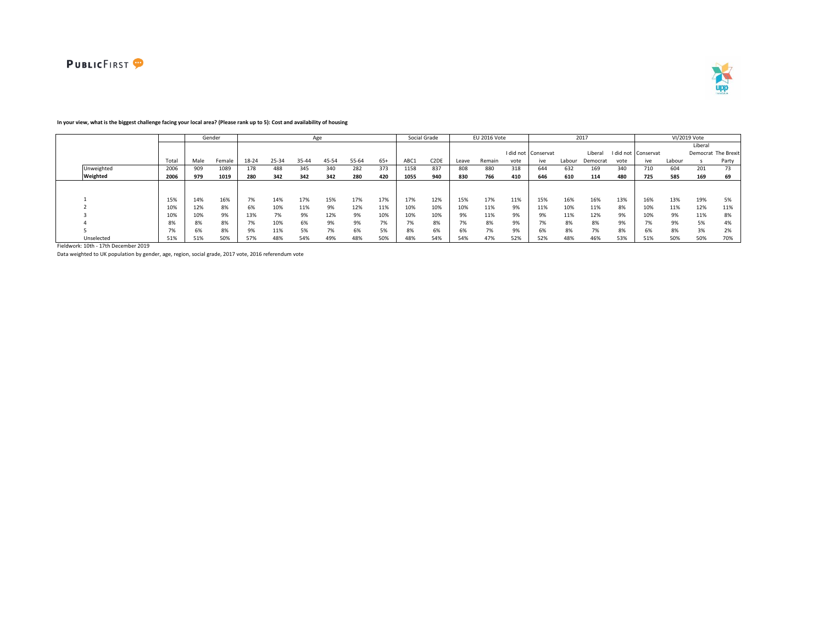



# **In your view, what is the biggest challenge facing your local area? (Please rank up to 5): Cost and availability of housing**

|            |       |      | Gender |       |       | Age   |       |       |       |      | Social Grade      |       | EU 2016 Vote |      |                                 |        | 2017     |      |                     |        | VI/2019 Vote |                     |
|------------|-------|------|--------|-------|-------|-------|-------|-------|-------|------|-------------------|-------|--------------|------|---------------------------------|--------|----------|------|---------------------|--------|--------------|---------------------|
|            |       |      |        |       |       |       |       |       |       |      |                   |       |              |      |                                 |        |          |      |                     |        | Liberal      |                     |
|            |       |      |        |       |       |       |       |       |       |      |                   |       |              |      | I did not Conservat             |        | Liberal  |      | I did not Conservat |        |              | Democrat The Brexit |
|            | Total | Male | Female | 18-24 | 25-34 | 35-44 | 45-54 | 55-64 | $65+$ | ABC1 | C <sub>2</sub> DE | Leave | Remain       | vote | ive                             | Labour | Democrat | vote | ive                 | Labour |              | Party               |
| Unweighted | 2006  | 909  | 1089   | 178   | 488   | 345   | 340   | 282   | 373   | 1158 | 837               | 808   | 880          | 318  | 644                             | 632    | 169      | 340  | 710                 | 604    | 201          | 73                  |
| Weighted   | 2006  | 979  | 1019   | 280   | 342   | 342   | 342   | 280   | 420   | 1055 | 940               | 830   | 766          | 410  | 646                             | 610    | 114      | 480  | 725                 | 585    | 169          | 69                  |
|            |       |      |        |       |       |       |       |       |       |      |                   |       |              |      |                                 |        |          |      |                     |        |              |                     |
|            |       |      |        |       |       |       |       |       |       |      |                   |       |              |      |                                 |        |          |      |                     |        |              |                     |
|            | 15%   | 14%  | 16%    | 7%    | 14%   | 17%   | 15%   | 17%   | 17%   | 17%  | 12%               | 15%   | 17%          | 11%  | 15%                             | 16%    | 16%      | 13%  | 16%                 | 13%    | 19%          | 5%                  |
|            | 10%   | 12%  | 8%     | 6%    | 10%   | 11%   | 9%    | 12%   | 11%   | 10%  | 10%               | 10%   | 11%          | 9%   | 11%                             | 10%    | 11%      | 8%   | 10%                 | 11%    | 12%          | 11%                 |
|            | 10%   | 10%  | 9%     | 13%   | 7%    | 9%    | 12%   | 9%    | 10%   | 10%  | 10%               | 9%    | 11%          | 9%   | 9%                              | 11%    | 12%      | 9%   | 10%                 | 9%     | 11%          | 8%                  |
|            | 8%    | 8%   | 8%     | 7%    | 10%   | 6%    | 9%    | 9%    | 7%    | 7%   | 8%                | 7%    | 8%           | 9%   | $\overline{\phantom{a}}$<br>170 | 8%     | 8%       | 9%   | 7%                  | 9%     | 5%           | 4%                  |
|            | 7%    | 6%   | 8%     | 9%    | 11%   | 5%    | 7%    | 6%    | 5%    | 8%   | 6%                | 6%    | 7%           | 9%   | 6%                              | 8%     | 7%       | 8%   | 6%                  | 8%     | 3%           | 2%                  |
| Unselected | 51%   | 51%  | 50%    | 57%   | 48%   | 54%   | 49%   | 48%   | 50%   | 48%  | 54%               | 54%   | 47%          | 52%  | 52%                             | 48%    | 46%      | 53%  | 51%                 | 50%    | 50%          | 70%                 |

Fieldwork: 10th - 17th December 2019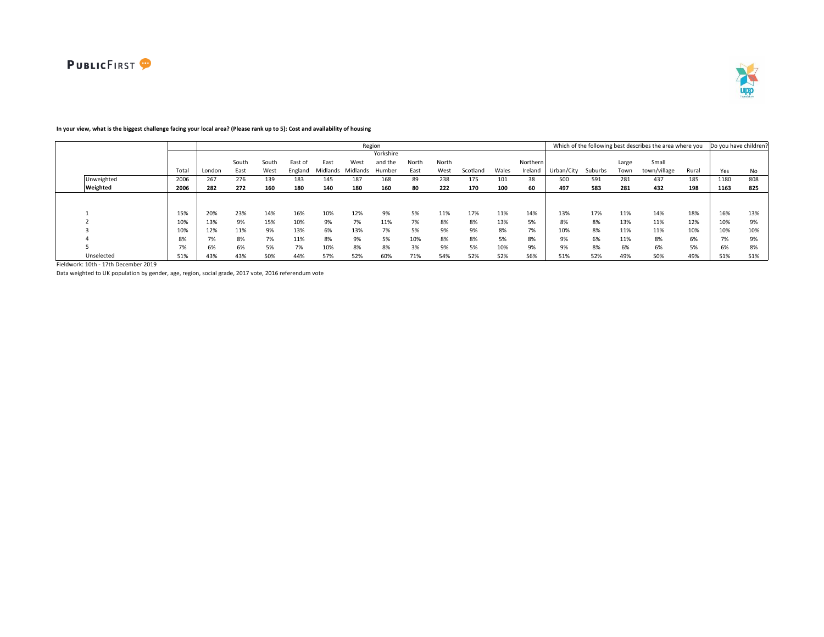

#### Total London South East South West East of England Midlands Midlands Humber East West Yorkshire and the North East North West Scotland Wales Northern Ireland Urban/City Suburbs Large Town Small town/village Rural Yes No Unweighted 2006 267 276 139 183 145 187 168 89 238 175 101 38 500 591 281 437 185 1180 808 Weighted 2006 | 282 272 160 180 140 180 160 80 222 170 100 60 | 497 583 281 432 198 | 1163 825 1 15% 20% 23% 14% 16% 10% 12% 9% 5% 11% 17% 11% 14% 13% 17% 11% 14% 18% 16% 13% 2 10% 13% 9% 15% 10% 9% 7% 11% 7% 8% 8% 13% 5% 8% 8% 13% 11% 12% 10% 9% 3 10% 12% 11% 9% 13% 6% 13% 7% 5% 9% 9% 8% 7% 10% 8% 11% 11% 10% 10% 10% 4 8% 7% 8% 7% 11% 8% 9% 5% 10% 8% 8% 5% 8% 9% 6% 11% 8% 6% 7% 9% 5 7% 6% 6% 5% 7% 10% 8% 8% 3% 9% 5% 10% 9% 9% 8% 6% 6% 5% 6% 8% Unselected 51% 43% 43% 50% 44% 57% 52% 60% 71% 54% 52% 52% 56% 51% 52% 49% 50% 49% 51% 51% Region **Example 20 and Total Contract Contract Contract Contract Contract Contract Contract Contract Contract Contract Contract Contract Contract Contract Contract Contract Contract Contract Contract Contract Contract Cont**

# **In your view, what is the biggest challenge facing your local area? (Please rank up to 5): Cost and availability of housing**

Fieldwork: 10th - 17th December 2019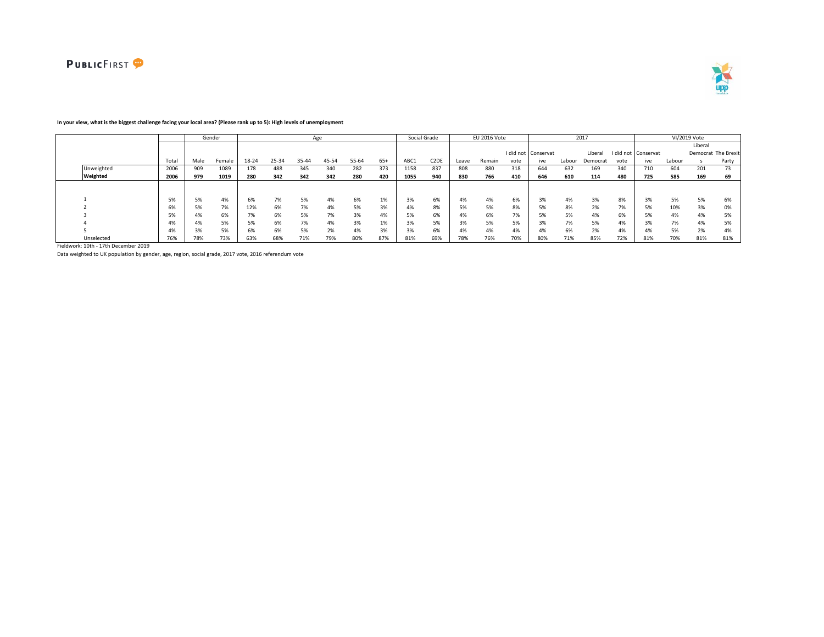



### **In your view, what is the biggest challenge facing your local area? (Please rank up to 5): High levels of unemployment**

|            |       |      | Gender |       |       | Age   |       |       |       |      | Social Grade      |       | EU 2016 Vote |      |                     |        | 2017     |      |                     |        | VI/2019 Vote |                     |
|------------|-------|------|--------|-------|-------|-------|-------|-------|-------|------|-------------------|-------|--------------|------|---------------------|--------|----------|------|---------------------|--------|--------------|---------------------|
|            |       |      |        |       |       |       |       |       |       |      |                   |       |              |      |                     |        |          |      |                     |        | Liberal      |                     |
|            |       |      |        |       |       |       |       |       |       |      |                   |       |              |      | I did not Conservat |        | Liberal  |      | I did not Conservat |        |              | Democrat The Brexit |
|            | Total | Male | Female | 18-24 | 25-34 | 35-44 | 45-54 | 55-64 | $65+$ | ABC1 | C <sub>2</sub> DE | Leave | Remain       | vote | ive                 | Labour | Democrat | vote | ive                 | Labour |              | Party               |
| Unweighted | 2006  | 909  | 1089   | 178   | 488   | 345   | 340   | 282   | 373   | 1158 | 837               | 808   | 880          | 318  | 644                 | 632    | 169      | 340  | 710                 | 604    | 201          | 73                  |
| Weighted   | 2006  | 979  | 1019   | 280   | 342   | 342   | 342   | 280   | 420   | 1055 | 940               | 830   | 766          | 410  | 646                 | 610    | 114      | 480  | 725                 | 585    | 169          | 69                  |
|            |       |      |        |       |       |       |       |       |       |      |                   |       |              |      |                     |        |          |      |                     |        |              |                     |
|            |       |      |        |       |       |       |       |       |       |      |                   |       |              |      |                     |        |          |      |                     |        |              |                     |
|            | 5%    | 5%   | 4%     | 6%    | 7%    | 5%    | 4%    | 6%    | 1%    | 3%   | 6%                | 4%    | 4%           | 6%   | 3%                  | 4%     | 3%       | 8%   | 3%                  | 5%     | 5%           | 6%                  |
|            | 6%    | 5%   | 7%     | 12%   | 6%    | 7%    | 4%    | 5%    | 3%    | 4%   | 8%                | 5%    | 5%           | 8%   |                     | 8%     | 2%       | 7%   | 5%                  | 10%    | 3%           | 0%                  |
|            | 5%    | 4%   | 6%     | 7%    | 6%    |       | 7%    | 3%    | 4%    | 5%   | 6%                | 4%    | 6%           | 7%   |                     | 5%     | 4%       | 6%   | 5%                  | 4%     | 4%           | 5%                  |
|            | 4%    | 4%   | 5%     | 5%    | 6%    | 70/   | 4%    | 3%    | 1%    | 3%   | 5%                | 3%    | 5%           | 5%   | $\sim$<br>ہ%        | 7%     | 5%       | 4%   | 3%                  | 7%     | 4%           | 5%                  |
|            | 4%    | 3%   | 5%     | 6%    | 6%    | 5%    | 2%    | 4%    | 3%    | 3%   | 6%                | 4%    | 4%           | 4%   | 4%                  | 6%     | 2%       | 4%   | 4%                  | 5%     | 2%           | 4%                  |
| Unselected | 76%   | 78%  | 73%    | 63%   | 68%   | 71%   | 79%   | 80%   | 87%   | 81%  | 69%               | 78%   | 76%          | 70%  | 80%                 | 71%    | 85%      | 72%  | 81%                 | 70%    | 81%          | 81%                 |

Fieldwork: 10th - 17th December 2019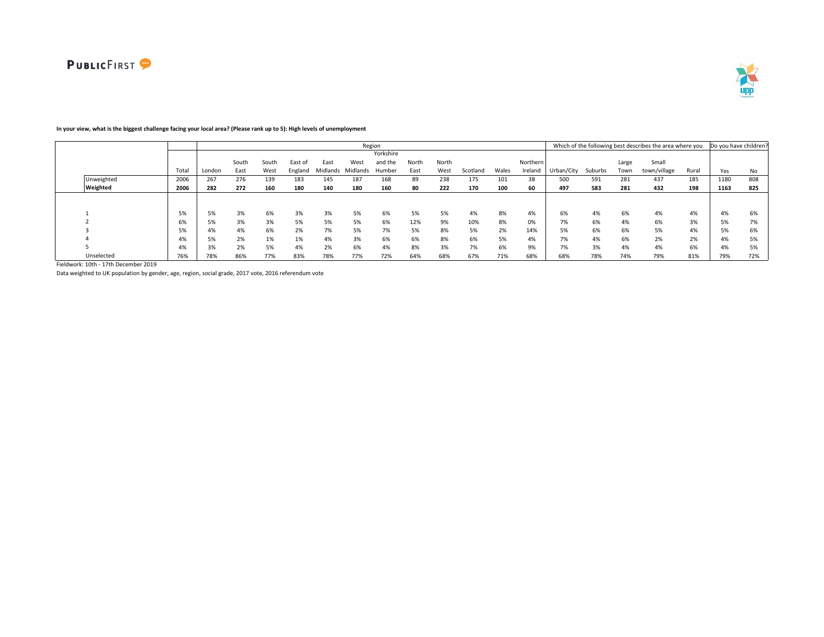

#### Total London South East South West East of England East Midlands Midlands Humber West Yorkshire and the North East North West Scotland Wales Northern Ireland Urban/City Suburbs Large Town Small town/village Rural Yes No Unweighted 2006 267 276 139 183 145 187 168 89 238 175 101 38 500 591 281 437 185 1180 808 Weighted 2006 | 282 272 160 180 140 180 160 80 222 170 100 60 | 497 583 281 432 198 | 1163 825 1 5% 5% 3% 6% 3% 3% 5% 6% 5% 5% 4% 8% 4% 6% 4% 6% 4% 4% 4% 6% 2 6% 5% 3% 3% 5% 5% 5% 6% 12% 9% 10% 8% 0% 7% 6% 4% 6% 3% 5% 7% 3 5% 4% 4% 6% 2% 7% 5% 7% 5% 8% 5% 2% 14% 5% 6% 6% 5% 4% 5% 6% 4 4% 5% 2% 1% 1% 4% 3% 6% 6% 8% 6% 5% 4% 7% 4% 6% 2% 2% 4% 5% 5 4% 3% 2% 5% 4% 2% 6% 4% 8% 3% 7% 6% 9% 7% 3% 4% 4% 6% 4% 5% Unselected 76% 78% 86% 77% 83% 78% 77% 72% 64% 68% 67% 71% 68% 68% 78% 74% 79% 81% 79% 72% Region **Example 20 and Total Contract Contract Contract Contract Contract Contract Contract Contract Contract Contract Contract Contract Contract Contract Contract Contract Contract Contract Contract Contract Contract Cont**

# **In your view, what is the biggest challenge facing your local area? (Please rank up to 5): High levels of unemployment**

Fieldwork: 10th - 17th December 2019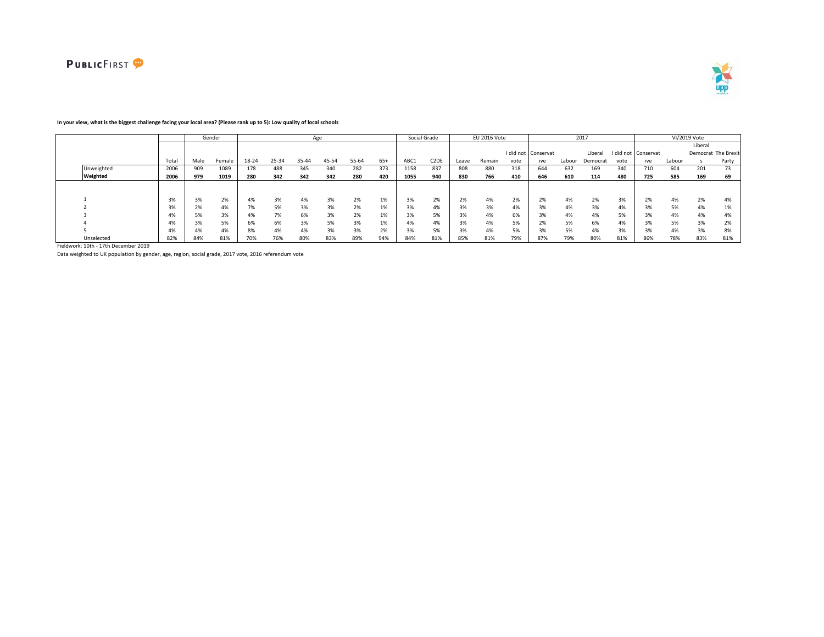



# **In your view, what is the biggest challenge facing your local area? (Please rank up to 5): Low quality of local schools**

|            |       |      | Gender |       |       | Age   |       |       |       |      | Social Grade      |       | EU 2016 Vote |      |                     |        | 2017     |      |                     |        | VI/2019 Vote |                     |
|------------|-------|------|--------|-------|-------|-------|-------|-------|-------|------|-------------------|-------|--------------|------|---------------------|--------|----------|------|---------------------|--------|--------------|---------------------|
|            |       |      |        |       |       |       |       |       |       |      |                   |       |              |      |                     |        |          |      |                     |        | Liberal      |                     |
|            |       |      |        |       |       |       |       |       |       |      |                   |       |              |      | I did not Conservat |        | Liberal  |      | I did not Conservat |        |              | Democrat The Brexit |
|            | Total | Male | Female | 18-24 | 25-34 | 35-44 | 45-54 | 55-64 | $65+$ | ABC1 | C <sub>2</sub> DE | Leave | Remain       | vote | ive                 | Labour | Democrat | vote | ive                 | Labour |              | Party               |
| Unweighted | 2006  | 909  | 1089   | 178   | 488   | 345   | 340   | 282   | 373   | 1158 | 837               | 808   | 880          | 318  | 644                 | 632    | 169      | 340  | 710                 | 604    | 201          | 73                  |
| Weighted   | 2006  | 979  | 1019   | 280   | 342   | 342   | 342   | 280   | 420   | 1055 | 940               | 830   | 766          | 410  | 646                 | 610    | 114      | 480  | 725                 | 585    | 169          | 69                  |
|            |       |      |        |       |       |       |       |       |       |      |                   |       |              |      |                     |        |          |      |                     |        |              |                     |
|            |       |      |        |       |       |       |       |       |       |      |                   |       |              |      |                     |        |          |      |                     |        |              |                     |
|            | 3%    | 3%   | 2%     | 4%    | 3%    |       | 3%    | 2%    | 1%    | 3%   | 2%                | 2%    | 4%           | 2%   | 20<br>2%            | 4%     | 2%       | 3%   | 2%                  | 4%     | 2%           | 4%                  |
|            | 3%    | 2%   | 4%     | 7%    | 5%    | 3%    | 3%    | 2%    | 1%    | 3%   | 4%                | 3%    | 3%           | 4%   |                     | 4%     | 3%       | 4%   | 3%                  | 5%     | 4%           | 1%                  |
|            | 4%    | 5%   | 3%     | 4%    | 7%    | 5%    | 3%    | 2%    | 1%    | 3%   | 5%                | 3%    | 4%           | 6%   | 3%                  | 4%     | 4%       | 5%   | 3%                  | 4%     | 4%           | 4%                  |
|            | 4%    | 3%   | 5%     | 6%    | 6%    | 3%    | 5%    | 3%    | 1%    | 4%   | 4%                | 3%    | 4%           | 5%   | 770                 | 5%     | 6%       | 4%   | 3%                  | 5%     | 3%           | 20/<br>270          |
|            | 4%    | 4%   | 4%     | 8%    | 4%    | 4%    | 3%    | 3%    | 2%    | 3%   | 5%                | 3%    | 4%           | 5%   |                     | 5%     | 4%       | 3%   | 3%                  | 4%     | 3%           | 8%                  |
| Unselected | 82%   | 84%  | 81%    | 70%   | 76%   | 80%   | 83%   | 89%   | 94%   | 84%  | 81%               | 85%   | 81%          | 79%  | 87%                 | 79%    | 80%      | 81%  | 86%                 | 78%    | 83%          | 81%                 |

Fieldwork: 10th - 17th December 2019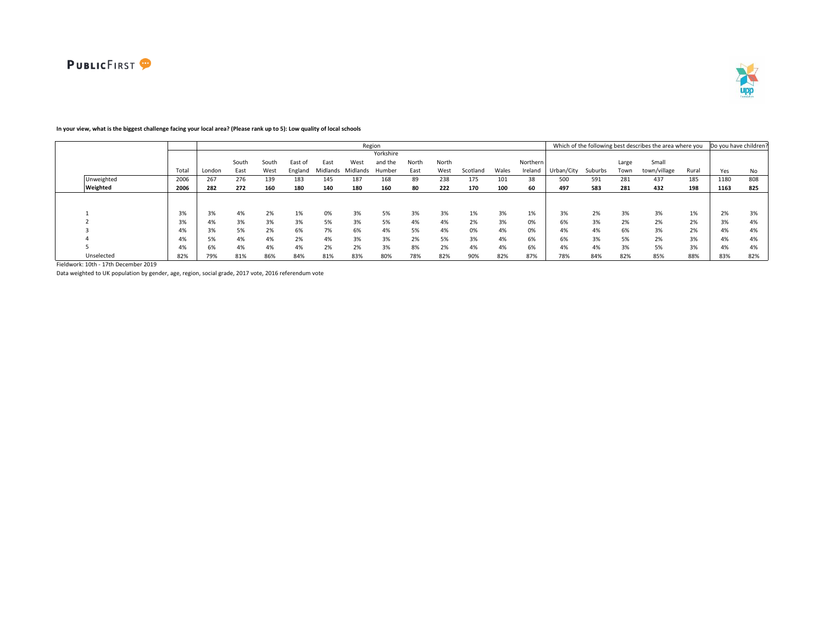



# **In your view, what is the biggest challenge facing your local area? (Please rank up to 5): Low quality of local schools**

|            |       |        |       |       |         |          |          | Region    |       |       |          |       |          |            |         |       | Which of the following best describes the area where you |       | Do you have children? |     |
|------------|-------|--------|-------|-------|---------|----------|----------|-----------|-------|-------|----------|-------|----------|------------|---------|-------|----------------------------------------------------------|-------|-----------------------|-----|
|            |       |        |       |       |         |          |          | Yorkshire |       |       |          |       |          |            |         |       |                                                          |       |                       |     |
|            |       |        | South | South | East of | East     | West     | and the   | North | North |          |       | Northern |            |         | Large | Small                                                    |       |                       |     |
|            | Total | London | East  | West  | England | Midlands | Midlands | Humber    | East  | West  | Scotland | Wales | Ireland  | Urban/City | Suburbs | Town  | town/village                                             | Rural | Yes                   | No  |
| Unweighted | 2006  | 267    | 276   | 139   | 183     | 145      | 187      | 168       | 89    | 238   | 175      | 101   | 38       | 500        | 591     | 281   | 437                                                      | 185   | 1180                  | 808 |
| Weighted   | 2006  | 282    | 272   | 160   | 180     | 140      | 180      | 160       | 80    | 222   | 170      | 100   | 60       | 497        | 583     | 281   | 432                                                      | 198   | 1163                  | 825 |
|            |       |        |       |       |         |          |          |           |       |       |          |       |          |            |         |       |                                                          |       |                       |     |
|            |       |        |       |       |         |          |          |           |       |       |          |       |          |            |         |       |                                                          |       |                       |     |
|            | 3%    | 3%     | 4%    | 2%    | 1%      | 0%       | 3%       | 5%        | 3%    | 3%    | 1%       | 3%    | 1%       | 3%         | 2%      | 3%    | 3%                                                       | 1%    | 2%                    | 3%  |
|            | 3%    | 4%     | 3%    | 3%    | 3%      | 5%       | 3%       | 5%        | 4%    | 4%    | 2%       | 3%    | 0%       | 6%         | 3%      | 2%    | 2%                                                       | 2%    | 3%                    | 4%  |
|            | 4%    | 3%     | 5%    | 2%    | 6%      | 7%       | 6%       | 4%        | 5%    | 4%    | 0%       | 4%    | 0%       | 4%         | 4%      | 6%    | 3%                                                       | 2%    | 4%                    | 4%  |
|            | 4%    | 5%     | 4%    | 4%    | 2%      | 4%       | 3%       | 3%        | 2%    | 5%    | 3%       | 4%    | 6%       | 6%         | 3%      | 5%    | 2%                                                       | 3%    | 4%                    | 4%  |
|            | 4%    | 6%     | 4%    | 4%    | 4%      | 2%       | 2%       | 3%        | 8%    | 2%    | 4%       | 4%    | 6%       | 4%         | 4%      | 3%    | 5%                                                       | 3%    | 4%                    | 4%  |
| Unselected | 82%   | 79%    | 81%   | 86%   | 84%     | 81%      | 83%      | 80%       | 78%   | 82%   | 90%      | 82%   | 87%      | 78%        | 84%     | 82%   | 85%                                                      | 88%   | 83%                   | 82% |

Fieldwork: 10th - 17th December 2019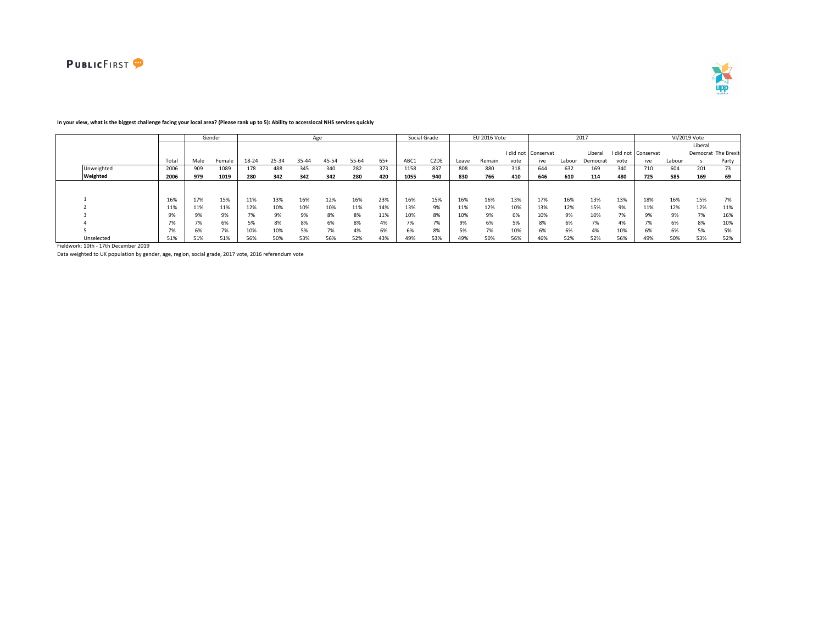



|            |              |      | Gender |       |       |       | Age   |       |       |      | Social Grade      |       | EU 2016 Vote |      |                     |        | 2017     |           |           |        | VI/2019 Vote |                     |
|------------|--------------|------|--------|-------|-------|-------|-------|-------|-------|------|-------------------|-------|--------------|------|---------------------|--------|----------|-----------|-----------|--------|--------------|---------------------|
|            |              |      |        |       |       |       |       |       |       |      |                   |       |              |      |                     |        |          |           |           |        | Liberal      |                     |
|            |              |      |        |       |       |       |       |       |       |      |                   |       |              |      | I did not Conservat |        | Liberal  | I did not | Conservat |        |              | Democrat The Brexit |
|            | Total        | Male | Female | 18-24 | 25-34 | 35-44 | 45-54 | 55-64 | $65+$ | ABC1 | C <sub>2</sub> DE | Leave | Remain       | vote | ive                 | Labour | Democrat | vote      | ive       | Labour |              | Party               |
| Unweighted | 2006         | 909  | 1089   | 178   | 488   | 345   | 340   | 282   | 373   | 1158 | 837               | 808   | 880          | 318  | 644                 | 632    | 169      | 340       | 710       | 604    | 201          | 73                  |
| Weighted   | 2006         | 979  | 1019   | 280   | 342   | 342   | 342   | 280   | 420   | 1055 | 940               | 830   | 766          | 410  | 646                 | 610    | 114      | 480       | 725       | 585    | 169          | 69                  |
|            |              |      |        |       |       |       |       |       |       |      |                   |       |              |      |                     |        |          |           |           |        |              |                     |
|            | 16%          | 17%  | 15%    | 11%   | 13%   | 16%   | 12%   | 16%   | 23%   | 16%  | 15%               | 16%   | 16%          | 13%  | 17%                 | 16%    | 13%      | 13%       | 18%       | 16%    | 15%          | 7%                  |
|            |              | 11%  | 11%    | 12%   | 10%   | 10%   | 10%   | 11%   | 14%   | 13%  | 9%                | 11%   | 12%          | 10%  | 13%                 | 12%    | 15%      | 9%        | 11%       | 12%    | 12%          | 11%                 |
|            | Qº/          |      | 9%     | 7%    | 9%    | 9%    | 8%    | 8%    | 11%   | 10%  | 8%                | 10%   | 9%           | 6%   | 10%                 | 9%     | 10%      | 7%        |           | 9%     | 7%           | 16%                 |
|            | 70/          |      | 6%     | 5%    | 8%    | 8%    | 6%    | 8%    | 4%    | 7%   | 7%                | 9%    | 6%           | 5%   | 8%                  | 6%     | 7%       | 4%        |           | 6%     | 8%           | 10%                 |
|            | $\mathbf{a}$ |      | 7%     | 10%   | 10%   | 5%    | 7%    | 4%    | 6%    | 6%   | 8%                | 5%    | 7%           | 10%  | 6%                  | 6%     | 4%       | 10%       |           | 6%     | 5%           | 5%                  |
| Unselected | 51%          | 51%  | 51%    | 56%   | 50%   | 53%   | 56%   | 52%   | 43%   | 49%  | 53%               | 49%   | 50%          | 56%  | 46%                 | 52%    | 52%      | 56%       | 49%       | 50%    | 53%          | 52%                 |

### **In your view, what is the biggest challenge facing your local area? (Please rank up to 5): Ability to accesslocal NHS services quickly**

Fieldwork: 10th - 17th December 2019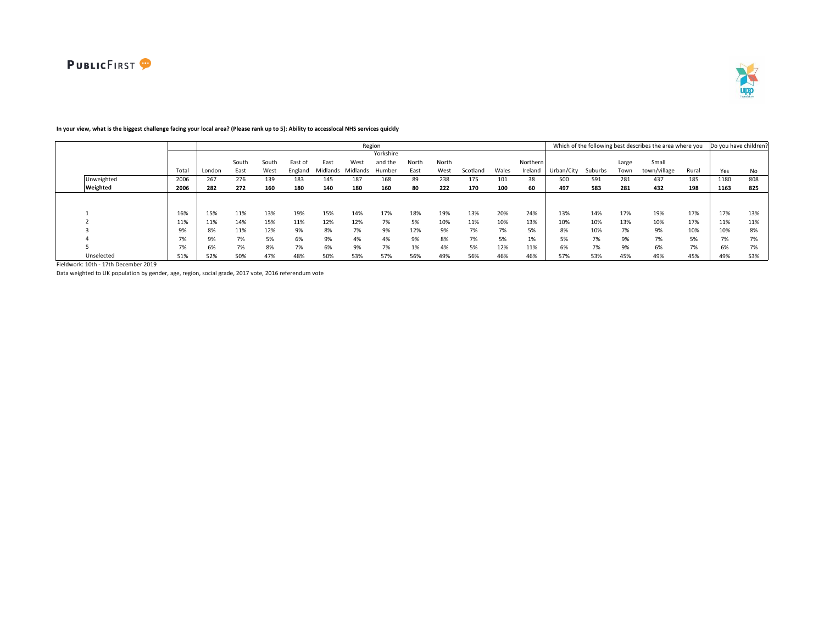

#### Total London South East South West East of England East Midlands Midlands Humber West Yorkshire and the North East North West Scotland Wales Northern Ireland Urban/City Suburbs Large Town Small town/village Rural Yes No Unweighted 2006 267 276 139 183 145 187 168 89 238 175 101 38 500 591 281 437 185 1180 808 Weighted 2006 | 282 272 160 180 140 180 160 80 222 170 100 60 | 497 583 281 432 198 | 1163 825 1 16% 15% 11% 13% 19% 15% 14% 17% 18% 19% 13% 20% 24% 13% 14% 17% 19% 17% 17% 13% 2 11% 11% 14% 15% 11% 12% 12% 7% 5% 10% 11% 10% 13% 10% 10% 13% 10% 17% 11% 11% 3 9% 8% 11% 12% 9% 8% 7% 9% 12% 9% 7% 7% 5% 8% 10% 7% 9% 10% 10% 8% 4 7% | 7% 9% 7% 5% 6% 9% 4% 4% 9% 8% 7% 5% 1% | 5% 7% 9% 7% 5% | 7% 7% 5 7% 6% 7% 8% 7% 6% 9% 7% 1% 4% 5% 12% 11% 6% 7% 9% 6% 7% 6% 7% Unselected 51% 52% 50% 47% 48% 50% 53% 57% 56% 49% 56% 46% 46% 57% 53% 45% 49% 45% 49% 53% Region **Example 20 and Total Contract Contract Contract Contract Contract Contract Contract Contract Contract Contract Contract Contract Contract Contract Contract Contract Contract Contract Contract Contract Contract Cont**

### **In your view, what is the biggest challenge facing your local area? (Please rank up to 5): Ability to accesslocal NHS services quickly**

Fieldwork: 10th - 17th December 2019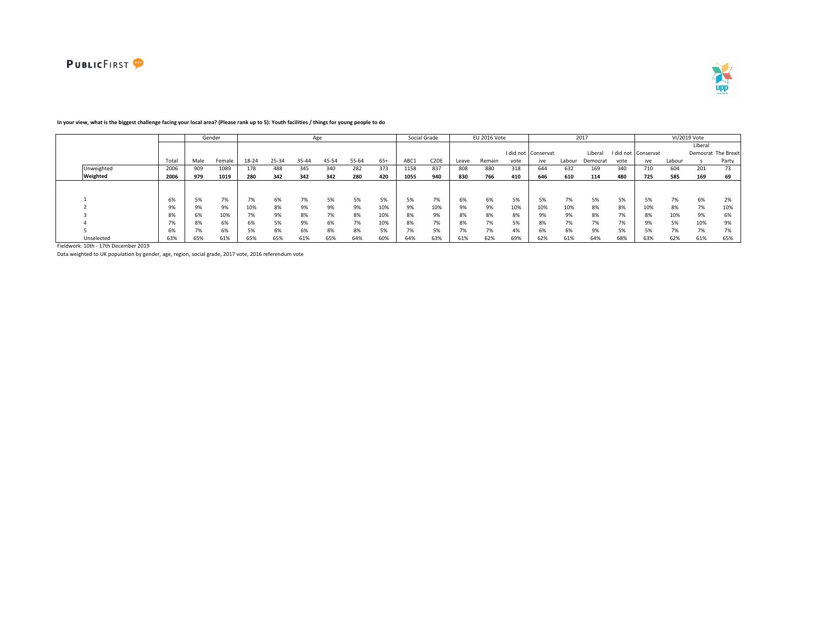



|            |                   |      | Gender |       |       |       | Age   |       |       |              | Social Grade      |       | EU 2016 Vote |      |                     |        | 2017     |           |           |        | VI/2019 Vote |                     |
|------------|-------------------|------|--------|-------|-------|-------|-------|-------|-------|--------------|-------------------|-------|--------------|------|---------------------|--------|----------|-----------|-----------|--------|--------------|---------------------|
|            |                   |      |        |       |       |       |       |       |       |              |                   |       |              |      |                     |        |          |           |           |        | Liberal      |                     |
|            |                   |      |        |       |       |       |       |       |       |              |                   |       |              |      | I did not Conservat |        | Liberal  | I did not | Conservat |        |              | Democrat The Brexit |
|            | Total             | Male | Female | 18-24 | 25-34 | 35-44 | 45-54 | 55-64 | $65+$ | ABC1         | C <sub>2</sub> DE | Leave | Remain       | vote | ive                 | Labour | Democrat | vote      | ive       | Labour |              | Party               |
| Unweighted | 2006              | 909  | 1089   | 178   | 488   | 345   | 340   | 282   | 373   | 1158         | 837               | 808   | 880          | 318  | 644                 | 632    | 169      | 340       | 710       | 604    | 201          | 73                  |
| Weighted   | 2006              | 979  | 1019   | 280   | 342   | 342   | 342   | 280   | 420   | 1055         | 940               | 830   | 766          | 410  | 646                 | 610    | 114      | 480       | 725       | 585    | 169          | 69                  |
|            |                   |      |        |       |       |       |       |       |       |              |                   |       |              |      |                     |        |          |           |           |        |              |                     |
|            | 6%                | 5%   | 7%     | 7%    | 6%    | 7%    | 5%    | 5%    | 5%    | 5%           | 7%                | 6%    | 6%           | 5%   | 5%                  | 7%     | 5%       | 5%        | 5%        | 7%     | 6%           | 2%                  |
|            |                   |      | 9%     | 10%   | 8%    | 9%    | 9%    | 9%    | 10%   | 9%           | 10%               | 9%    | 9%           | 10%  | 10%                 | 10%    | 8%       | 8%        | 10%       | 8%     | 7%           | 10%                 |
|            | 8%                | 6%   | 10%    | 7%    | 9%    | 8%    | 7%    | 8%    | 10%   | 8%           | 9%                | 8%    | 8%           | 8%   | 9%                  | 9%     | 8%       | 7%        | 8%        | 10%    | 9%           | 6%                  |
|            | $\rightarrow$ 0.4 | 8%   | 6%     | 6%    | 5%    | 9%    | 6%    | 7%    | 10%   | 8%           | 7%                | 8%    | 7%           | 5%   | x%                  | 7%     | 7%       | 7%        |           | 5%     | 10%          | 9%                  |
|            | 6%                |      | 6%     | 5%    | 6%    | 6%    | 8%    | 8%    | 5%    | $\mathbf{a}$ | 5%                | 7%    | 7%           | 4%   | 6%                  | 6%     | 9%       | 5%        |           | 7%     | 7%           | 7%                  |
| Unselected | 63%               | 65%  | 61%    | 65%   | 65%   | 61%   | 65%   | 64%   | 60%   | 64%          | 63%               | 61%   | 62%          | 69%  | 62%                 | 61%    | 64%      | 68%       | 63%       | 62%    | 61%          | 65%                 |

### **In your view, what is the biggest challenge facing your local area? (Please rank up to 5): Youth facilities / things for young people to do**

Fieldwork: 10th - 17th December 2019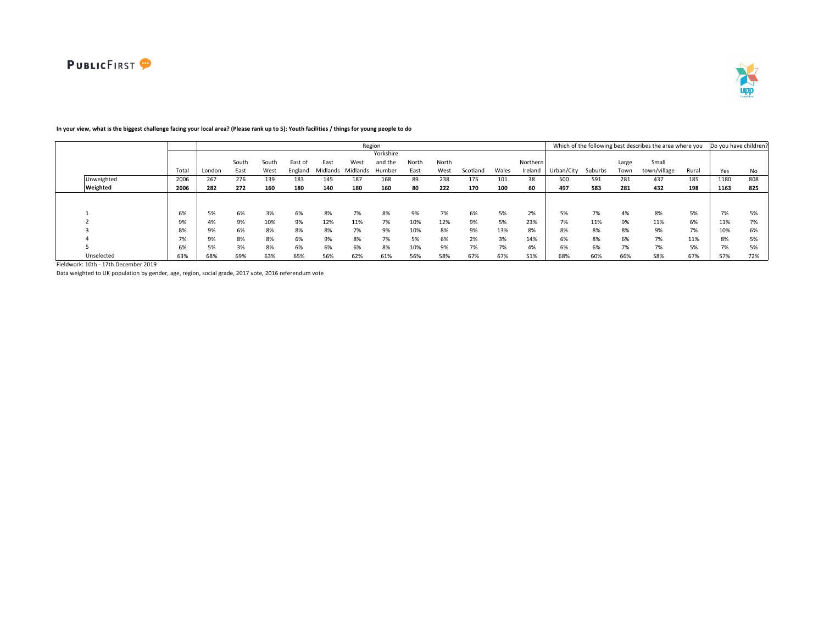

|            |      |        |       |       |         |          |          | Region    |       |       |          |       |          |            |         |       | Which of the following best describes the area where you |       | Do you have children? |     |
|------------|------|--------|-------|-------|---------|----------|----------|-----------|-------|-------|----------|-------|----------|------------|---------|-------|----------------------------------------------------------|-------|-----------------------|-----|
|            |      |        |       |       |         |          |          | Yorkshire |       |       |          |       |          |            |         |       |                                                          |       |                       |     |
|            |      |        | South | South | East of | East     | West     | and the   | North | North |          |       | Northern |            |         | Large | Small                                                    |       |                       |     |
|            | Tota | London | East  | West  | England | Midlands | Midlands | Humber    | East  | West  | Scotland | Wales | Ireland  | Urban/City | Suburbs | Town  | town/village                                             | Rural | Yes                   | No  |
| Unweighted | 2006 | 267    | 276   | 139   | 183     | 145      | 187      | 168       | 89    | 238   | 175      | 101   | 38       | 500        | 591     | 281   | 437                                                      | 185   | 1180                  | 808 |
| Weighted   | 2006 | 282    | 272   | 160   | 180     | 140      | 180      | 160       | 80    | 222   | 170      | 100   | 60       | 497        | 583     | 281   | 432                                                      | 198   | 1163                  | 825 |
|            |      |        |       |       |         |          |          |           |       |       |          |       |          |            |         |       |                                                          |       |                       |     |
|            |      |        |       |       |         |          |          |           |       |       |          |       |          |            |         |       |                                                          |       |                       |     |
|            | 6%   | 5%     | 6%    | 3%    | 6%      | 8%       | 7%       | 8%        | 9%    | 7%    | 6%       | 5%    | 2%       | 5%         | 7%      | 4%    | 8%                                                       | 5%    | 7%                    | 5%  |
|            | 9%   | 4%     | 9%    | 10%   | 9%      | 12%      | 11%      | 7%        | 10%   | 12%   | 9%       | 5%    | 23%      | 7%         | 11%     | 9%    | 11%                                                      | 6%    | 11%                   | 7%  |
|            | 8%   | 9%     | 6%    | 8%    | 8%      | 8%       | 7%       | 9%        | 10%   | 8%    | 9%       | 13%   | 8%       | 8%         | 8%      | 8%    | 9%                                                       | 7%    | 10%                   | 6%  |
|            | 7%   | 9%     | 8%    | 8%    | 6%      | 9%       | 8%       | 7%        | 5%    | 6%    | 2%       | 3%    | 14%      | 6%         | 8%      | 6%    | 7%                                                       | 11%   | 8%                    | 5%  |
|            | 6%   | 5%     | 3%    | 8%    | 6%      | 6%       | 6%       | 8%        | 10%   | 9%    | 7%       | 7%    | 4%       | 6%         | 6%      | 7%    | 7%                                                       | 5%    | 7%                    | 5%  |
| Unselected | 63%  | 68%    | 69%   | 63%   | 65%     | 56%      | 62%      | 61%       | 56%   | 58%   | 67%      | 67%   | 51%      | 68%        | 60%     | 66%   | 58%                                                      | 67%   | 57%                   | 72% |

# **In your view, what is the biggest challenge facing your local area? (Please rank up to 5): Youth facilities / things for young people to do**

Fieldwork: 10th - 17th December 2019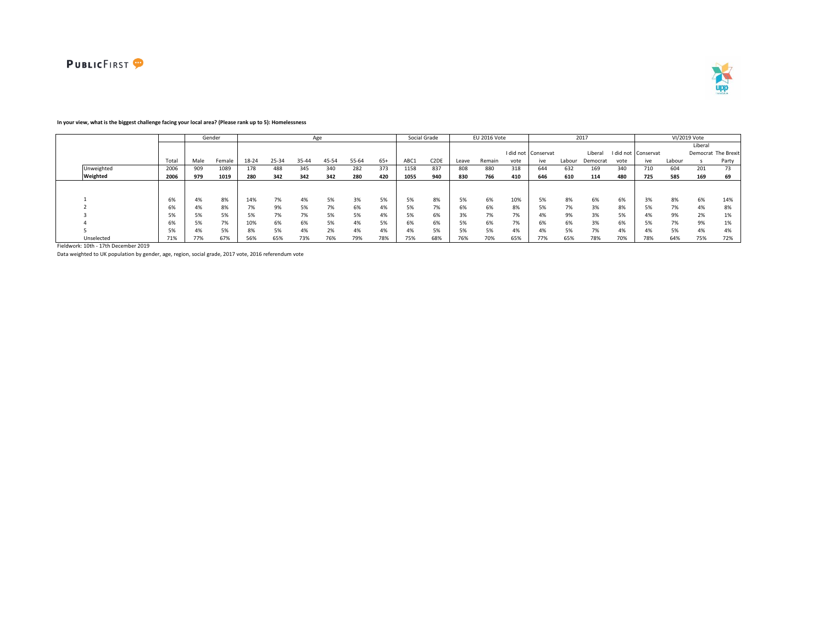



### **In your view, what is the biggest challenge facing your local area? (Please rank up to 5): Homelessness**

|            |       |      | Gender |       |       | Age   |       |       |       |      | Social Grade      |       | EU 2016 Vote |      |                     |        | 2017     |      |                     |        | VI/2019 Vote |                     |
|------------|-------|------|--------|-------|-------|-------|-------|-------|-------|------|-------------------|-------|--------------|------|---------------------|--------|----------|------|---------------------|--------|--------------|---------------------|
|            |       |      |        |       |       |       |       |       |       |      |                   |       |              |      |                     |        |          |      |                     |        | Liberal      |                     |
|            |       |      |        |       |       |       |       |       |       |      |                   |       |              |      | I did not Conservat |        | Liberal  |      | I did not Conservat |        |              | Democrat The Brexit |
|            | Total | Male | Female | 18-24 | 25-34 | 35-44 | 45-54 | 55-64 | $65+$ | ABC1 | C <sub>2</sub> DE | Leave | Remain       | vote | ive                 | Labour | Democrat | vote | ive                 | Labour |              | Party               |
| Unweighted | 2006  | 909  | 1089   | 178   | 488   | 345   | 340   | 282   | 373   | 1158 | 837               | 808   | 880          | 318  | 644                 | 632    | 169      | 340  | 710                 | 604    | 201          | 73                  |
| Weighted   | 2006  | 979  | 1019   | 280   | 342   | 342   | 342   | 280   | 420   | 1055 | 940               | 830   | 766          | 410  | 646                 | 610    | 114      | 480  | 725                 | 585    | 169          | 69                  |
|            |       |      |        |       |       |       |       |       |       |      |                   |       |              |      |                     |        |          |      |                     |        |              |                     |
|            |       |      |        |       |       |       |       |       |       |      |                   |       |              |      |                     |        |          |      |                     |        |              |                     |
|            | 6%    | 4%   | 8%     | 14%   | 7%    | 4%    | 5%    | 3%    | 5%    | 5%   | 8%                | 5%    | 6%           | 10%  | 5%                  | 8%     | 6%       | 6%   | 3%                  | 8%     | 6%           | 14%                 |
|            | 6%    | 4%   | 8%     | 7%    | 9%    |       | 7%    | 6%    | 4%    | 5%   | 7%                | 6%    | 6%           | 8%   |                     | 7%     | 3%       | 8%   | 5%                  | 7%     | 4%           | 8%                  |
|            | 5%    | 5%   | 5%     | 5%    | 7%    | 7%    | 5%    | 5%    | 4%    | 5%   | 6%                | 3%    | 7%           | 7%   | 4%                  | 9%     | 3%       | 5%   | 4%                  | 9%     | 2%           | 170                 |
|            | 6%    | 5%   | 7%     | 10%   | 6%    | 6%    | 5%    | 4%    | 5%    | 6%   | 6%                | 5%    | 6%           | 7%   | 6%                  | 6%     | 3%       | 6%   | 5%                  | 7%     | 9%           | 170                 |
|            | 5%    | 4%   | 5%     | 8%    | 5%    | 4%    | 2%    | 4%    | 4%    |      | 5%                | 5%    | 5%           | 4%   |                     | 5%     | 7%       | 4%   |                     | 5%     | 4%           |                     |
| Unselected | 71%   | 77%  | 67%    | 56%   | 65%   | 73%   | 76%   | 79%   | 78%   | 75%  | 68%               | 76%   | 70%          | 65%  | 77%                 | 65%    | 78%      | 70%  | 78%                 | 64%    | 75%          | 72%                 |

Fieldwork: 10th - 17th December 2019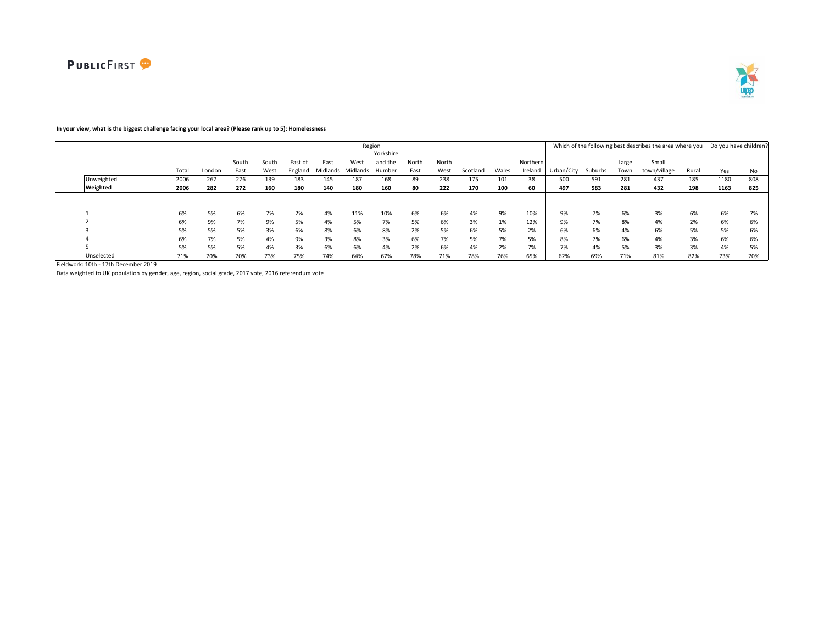

# **In your view, what is the biggest challenge facing your local area? (Please rank up to 5): Homelessness**

|            |       |        |       |       |         |          |          | Region    |       |       |          |       |          |            |         |       | Which of the following best describes the area where you |       | Do you have children? |     |
|------------|-------|--------|-------|-------|---------|----------|----------|-----------|-------|-------|----------|-------|----------|------------|---------|-------|----------------------------------------------------------|-------|-----------------------|-----|
|            |       |        |       |       |         |          |          | Yorkshire |       |       |          |       |          |            |         |       |                                                          |       |                       |     |
|            |       |        | South | South | East of | East     | West     | and the   | North | North |          |       | Northern |            |         | Large | Small                                                    |       |                       |     |
|            | Total | London | East  | West  | England | Midlands | Midlands | Humber    | East  | West  | Scotland | Wales | Ireland  | Urban/City | Suburbs | Town  | town/village                                             | Rural | Yes                   | No  |
| Unweighted | 2006  | 267    | 276   | 139   | 183     | 145      | 187      | 168       | 89    | 238   | 175      | 101   | 38       | 500        | 591     | 281   | 437                                                      | 185   | 1180                  | 808 |
| Weighted   | 2006  | 282    | 272   | 160   | 180     | 140      | 180      | 160       | 80    | 222   | 170      | 100   | 60       | 497        | 583     | 281   | 432                                                      | 198   | 1163                  | 825 |
|            |       |        |       |       |         |          |          |           |       |       |          |       |          |            |         |       |                                                          |       |                       |     |
|            |       |        |       |       |         |          |          |           |       |       |          |       |          |            |         |       |                                                          |       |                       |     |
|            | 6%    | 5%     | 6%    | 7%    | 2%      | 4%       | 11%      | 10%       | 6%    | 6%    | 4%       | 9%    | 10%      | 9%         | 7%      | 6%    | 3%                                                       | 6%    | 6%                    | 7%  |
|            | 6%    | 9%     | 7%    | 9%    | 5%      | 4%       | 5%       | 7%        | 5%    | 6%    | 3%       | 1%    | 12%      | 9%         | 7%      | 8%    | 4%                                                       | 2%    | 6%                    | 6%  |
|            | 5%    | 5%     | 5%    | 3%    | 6%      | 8%       | 6%       | 8%        | 2%    | 5%    | 6%       | 5%    | 2%       | 6%         | 6%      | 4%    | 6%                                                       | 5%    | 5%                    | 6%  |
|            | 6%    | 7%     | 5%    | 4%    | 9%      | 3%       | 8%       | 3%        | 6%    | 7%    | 5%       | 7%    | 5%       | 8%         | 7%      | 6%    | 4%                                                       | 3%    | 6%                    | 6%  |
|            | 5%    | 5%     | 5%    | 4%    | 3%      | 6%       | 6%       | 4%        | 2%    | 6%    | 4%       | 2%    | 7%       | 7%         | 4%      | 5%    | 3%                                                       | 3%    | 4%                    | 5%  |
| Unselected | 71%   | 70%    | 70%   | 73%   | 75%     | 74%      | 64%      | 67%       | 78%   | 71%   | 78%      | 76%   | 65%      | 62%        | 69%     | 71%   | 81%                                                      | 82%   | 73%                   | 70% |

Fieldwork: 10th - 17th December 2019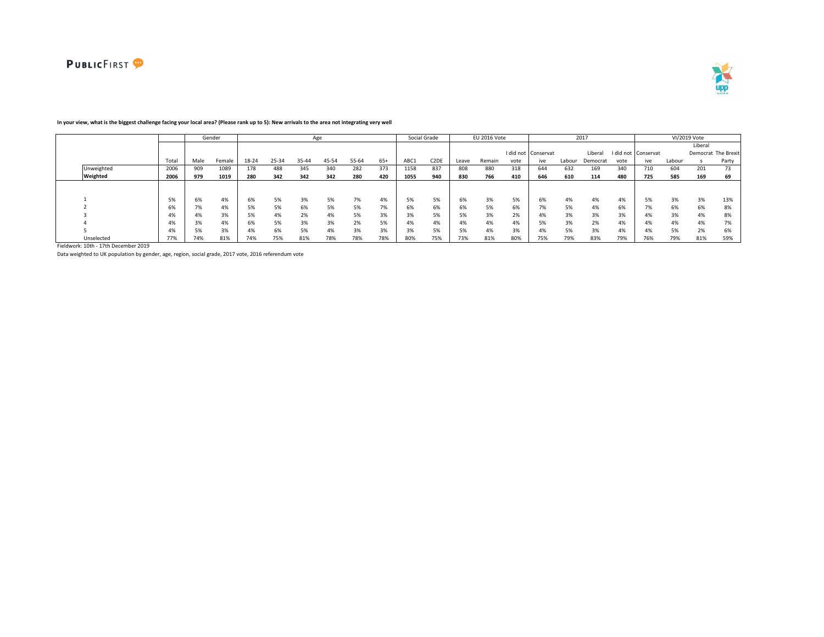



|            |       |      | Gender |       |       |       | Age   |       |       |      | Social Grade      |       | EU 2016 Vote |      |                     |        | 2017     |           |           |        | VI/2019 Vote |                     |
|------------|-------|------|--------|-------|-------|-------|-------|-------|-------|------|-------------------|-------|--------------|------|---------------------|--------|----------|-----------|-----------|--------|--------------|---------------------|
|            |       |      |        |       |       |       |       |       |       |      |                   |       |              |      |                     |        |          |           |           |        | Liberal      |                     |
|            |       |      |        |       |       |       |       |       |       |      |                   |       |              |      | I did not Conservat |        | Liberal  | I did not | Conservat |        |              | Democrat The Brexit |
|            | Total | Male | Female | 18-24 | 25-34 | 35-44 | 45-54 | 55-64 | $65+$ | ABC1 | C <sub>2</sub> DE | Leave | Remain       | vote | ive                 | Labour | Democrat | vote      | ive       | Labour |              | Party               |
| Unweighted | 2006  | 909  | 1089   | 178   | 488   | 345   | 340   | 282   | 373   | 1158 | 837               | 808   | 880          | 318  | 644                 | 632    | 169      | 340       | 710       | 604    | 201          | 73                  |
| Weighted   | 2006  | 979  | 1019   | 280   | 342   | 342   | 342   | 280   | 420   | 1055 | 940               | 830   | 766          | 410  | 646                 | 610    | 114      | 480       | 725       | 585    | 169          | 69                  |
|            |       |      |        |       |       |       |       |       |       |      |                   |       |              |      |                     |        |          |           |           |        |              |                     |
|            | EQ    | 6%   | 4%     | 6%    | 5%    | 3%    | 5%    | 7%    | 4%    | 5%   | 5%                | 6%    | 3%           | 5%   | 6%                  | 4%     | 4%       | 4%        | 5%        | 3%     | 3%           | 13%                 |
|            |       |      | 4%     | 5%    | 5%    | 6%    | 5%    | 5%    | 7%    | 6%   | 6%                | 6%    | 5%           | 6%   | $1\%$               | 5%     | 4%       | 6%        |           | 6%     | 6%           | 8%                  |
|            | 4%    | 4%   | 3%     | 5%    | 4%    | 2%    | 4%    | 5%    | 3%    |      | 5%                | 5%    | 3%           | 2%   | 4%                  | 3%     | 3%       | 3%        | 4%        | 3%     | 4%           | 8%                  |
|            | 4%    |      | 4%     | 6%    | 5%    | 3%    | 3%    | 2%    | 5%    | 4%   | 4%                | 4%    | 4%           | 4%   | 5%                  | 3%     | 2%       | 4%        | 4%        | 4%     | 4%           | 7%                  |
|            | 4%    |      | 3%     | 4%    | 6%    | 5%    | 4%    | 3%    | 3%    | 370  | 5%                | 5%    | 4%           | 3%   | $4\%$               | 5%     | 3%       | 4%        | 4%        | 5%     | 2%           | 6%                  |
| Unselected | 77%   | 74%  | 81%    | 74%   | 75%   | 81%   | 78%   | 78%   | 78%   | 80%  | 75%               | 73%   | 81%          | 80%  | 75%                 | 79%    | 83%      | 79%       | $16\%$    | 79%    | 81%          | 59%                 |

### **In your view, what is the biggest challenge facing your local area? (Please rank up to 5): New arrivals to the area not integrating very well**

Fieldwork: 10th - 17th December 2019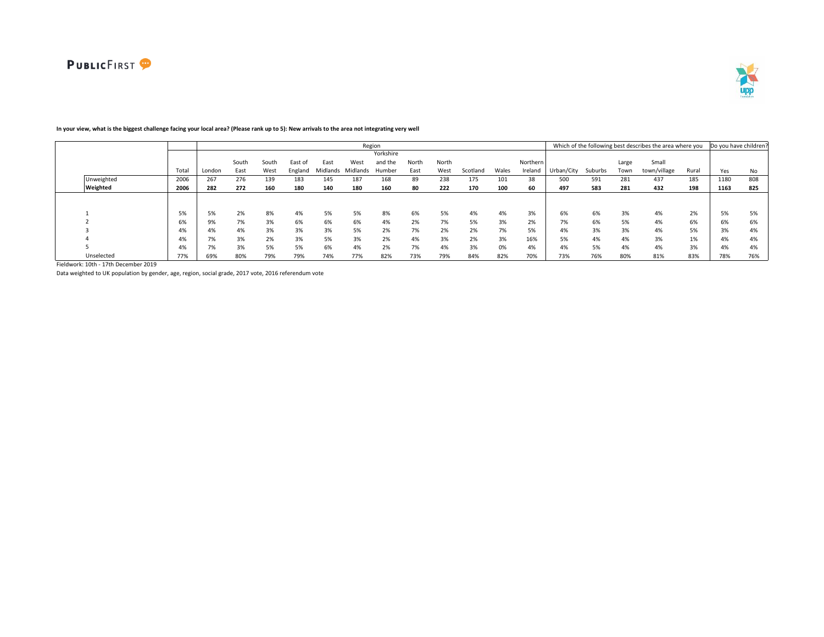

#### Total London South East South West East of England East Midlands Midlands Humber West Yorkshire and the North East North West Scotland Wales Northern Ireland Urban/City Suburbs Large Town Small town/village Rural Yes No Unweighted 2006 267 276 139 183 145 187 168 89 238 175 101 38 500 591 281 437 185 1180 808 Weighted 2006 | 282 272 160 180 140 180 160 80 222 170 100 60 | 497 583 281 432 198 | 1163 825 1 5% 5% 2% 8% 4% 5% 5% 8% 6% 5% 4% 4% 3% 6% 6% 3% 4% 2% 5% 5% 2 6% 9% 7% 3% 6% 6% 6% 4% 2% 7% 5% 3% 2% 7% 6% 5% 4% 6% 6% 6% 3 4% 4% 4% 3% 3% 3% 5% 2% 7% 2% 2% 7% 5% 4% 3% 3% 4% 5% 3% 4% 4 5% 19% 7% 3% 2% 3% 5% 3% 2% 4% 3% 2% 3% 16% 5% 4% 4% 3% 1% 4% 4% 5 4% 7% 3% 5% 5% 6% 4% 2% 7% 4% 3% 0% 4% 4% 5% 4% 4% 3% 4% 4% Unselected 77% 69% 80% 79% 79% 74% 77% 82% 73% 79% 84% 82% 70% 73% 76% 80% 81% 83% 78% 76% Region **Example 20 and Total Contract Contract Contract Contract Contract Contract Contract Contract Contract Contract Contract Contract Contract Contract Contract Contract Contract Contract Contract Contract Contract Cont**

## **In your view, what is the biggest challenge facing your local area? (Please rank up to 5): New arrivals to the area not integrating very well**

Fieldwork: 10th - 17th December 2019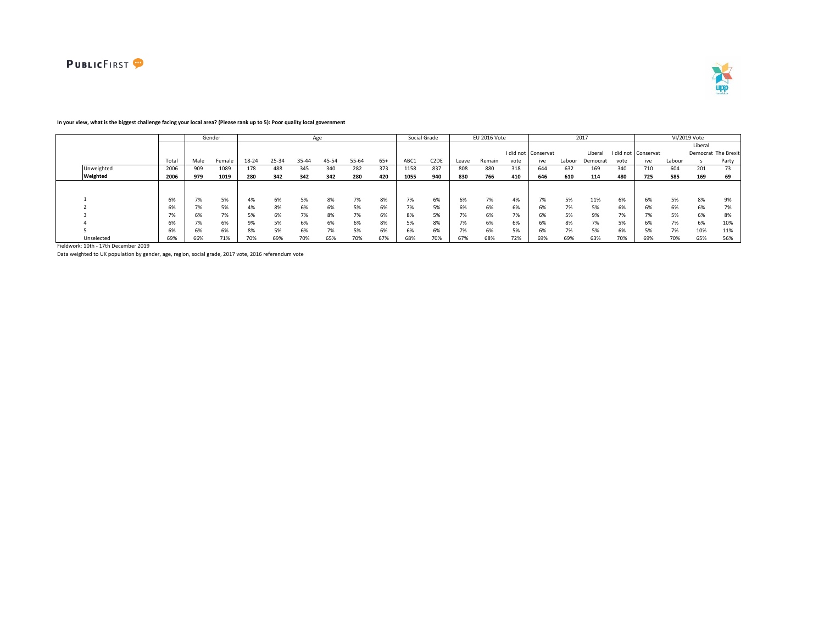



#### Total Male Female 18-24 25-34 35-44 45-54 55-64 65+ ABC1 C2DE Leave Remain I did not vote Conservat ive Labour Liberal I did not Democrat vote Conservat ive Labour Liberal Democrat The Brexit s Party Unweighted 2006 909 1089 178 488 345 340 282 373 1158 837 808 880 318 644 632 169 340 710 604 201 73 Weighted | 2006 | 979 1019 | 280 342 342 342 280 420 | 1055 940 | 830 766 410 | 646 610 114 480 | 725 585 169 69 1 6% 7% 5% 4% 6% 5% 8% 7% 8% 7% 6% 6% 7% 4% 7% 5% 11% 6% 6% 5% 8% 9% 2 6% 7% 5% 4% 8% 6% 6% 5% 6% 7% 5% 6% 6% 6% 6% 7% 5% 6% 6% 6% 6% 7% 3 7% 6% 7% 5% 6% 7% 8% 7% 6% 8% 5% 7% 6% 7% 6% 5% 9% 7% 7% 5% 6% 8% 4 6% 7% 6% 9% 5% 6% 6% 6% 8% 5% 8% 7% 6% 6% 6% 8% 7% 5% 6% 7% 6% 10% 5 6% 6% 6% 8% 5% 6% 7% 5% 6% 6% 6% 7% 6% 5% 6% 7% 5% 6% 5% 7% 10% 11% Unselected | 69% | 66% 71% | 70% 69% 70% 65% 70% | 68% 70% | 69% 69% 69% 70% 65% 56% 56% 56% 56% 56% 56% 56% 56% 56% 56% 56% 56% 56% 56% 56% 56% 56% 56% 56% Gender Age Social Grade EU 2016 Vote 2017 VI/2019 Vote

### **In your view, what is the biggest challenge facing your local area? (Please rank up to 5): Poor quality local government**

Fieldwork: 10th - 17th December 2019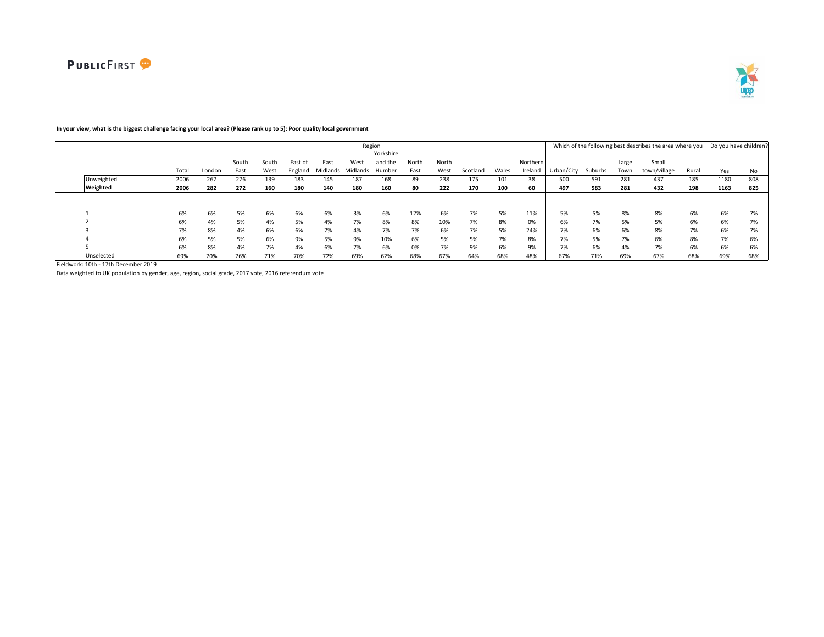

#### Total London South East South West East of England East Midlands Midlands Humber West Yorkshire and the North East North West Scotland Wales Northern Ireland Urban/City Suburbs Large Town Small town/village Rural Yes No Unweighted 2006 267 276 139 183 145 187 168 89 238 175 101 38 500 591 281 437 185 1180 808 Weighted 2006 | 282 272 160 180 140 180 160 80 222 170 100 60 | 497 583 281 432 198 | 1163 825 1 6% 6% 5% 6% 6% 6% 3% 6% 12% 6% 7% 5% 11% 5% 5% 8% 8% 6% 6% 7% 2 6% 4% 5% 4% 5% 4% 7% 8% 8% 10% 7% 8% 0% 6% 7% 5% 5% 6% 6% 7% 3 7% 8% 4% 6% 6% 7% 4% 7% 7% 6% 7% 5% 24% 7% 6% 6% 8% 7% 6% 7% 4 6% 5% 5% 6% 9% 5% 9% 10% 6% 5% 5% 7% 8% 7% 5% 7% 6% 8% 7% 6% 5 6% 8% 4% 7% 4% 6% 7% 6% 0% 7% 9% 6% 9% 7% 6% 4% 7% 6% 6% 6% Unselected 69% 70% 76% 71% 70% 72% 69% 62% 68% 67% 64% 68% 48% 67% 71% 69% 67% 68% 69% 68% Region **Example 20 and Total Contract Contract Contract Contract Contract Contract Contract Contract Contract Contract Contract Contract Contract Contract Contract Contract Contract Contract Contract Contract Contract Cont**

## **In your view, what is the biggest challenge facing your local area? (Please rank up to 5): Poor quality local government**

Fieldwork: 10th - 17th December 2019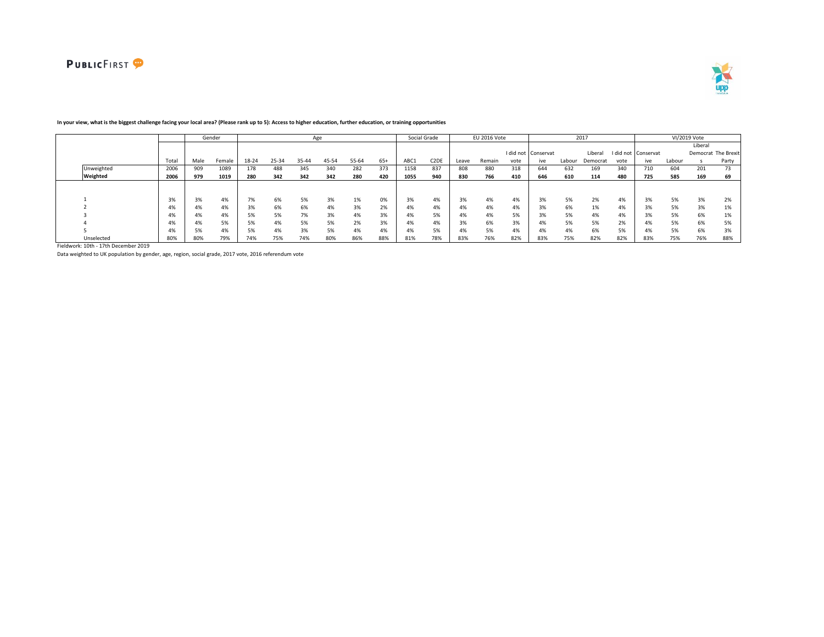



|            |                       |      | Gender |       |       |       | Age   |       |       |       | Social Grade      |                       | EU 2016 Vote |      |                     |        | 2017     |           |           |        | VI/2019 Vote |                     |
|------------|-----------------------|------|--------|-------|-------|-------|-------|-------|-------|-------|-------------------|-----------------------|--------------|------|---------------------|--------|----------|-----------|-----------|--------|--------------|---------------------|
|            |                       |      |        |       |       |       |       |       |       |       |                   |                       |              |      |                     |        |          |           |           |        | Liberal      |                     |
|            |                       |      |        |       |       |       |       |       |       |       |                   |                       |              |      | I did not Conservat |        | Liberal  | I did not | Conservat |        |              | Democrat The Brexit |
|            | Total                 | Male | Female | 18-24 | 25-34 | 35-44 | 45-54 | 55-64 | $65+$ | ABC1  | C <sub>2</sub> DE | Leave                 | Remain       | vote | ive                 | Labour | Democrat | vote      | ive       | Labour |              | Party               |
| Unweighted | 2006                  | 909  | 1089   | 178   | 488   | 345   | 340   | 282   | 373   | 1158  | 837               | 808                   | 880          | 318  | 644                 | 632    | 169      | 340       | 710       | 604    | 201          | 73                  |
| Weighted   | 2006                  | 979  | 1019   | 280   | 342   | 342   | 342   | 280   | 420   | 1055  | 940               | 830                   | 766          | 410  | 646                 | 610    | 114      | 480       | 725       | 585    | 169          | 69                  |
|            |                       |      |        |       |       |       |       |       |       |       |                   |                       |              |      |                     |        |          |           |           |        |              |                     |
|            | 20 <sup>2</sup><br>3% | 3%   | 4%     | 7%    | 6%    | 5%    | 3%    | 1%    | 0%    | 3%    | 4%                | 3%                    | 4%           | 4%   | 3%                  | 5%     | 2%       | 4%        | 3%        | 5%     | 3%           | 2%                  |
|            | 4%                    | 4%   | 4%     | 3%    | 6%    | 6%    | 4%    | 3%    | 2%    | $4\%$ | 4%                | 4%                    | 4%           | 4%   | 3%                  | 6%     | 1%       | 4%        |           | 5%     | 3%           | 1%                  |
|            | 4%                    | 4%   | 4%     | 5%    | 5%    | 7%    | 3%    | 4%    | 3%    | 4%    | 5%                | 4%                    | 4%           | 5%   | 3%                  | 5%     | 4%       | 4%        | 3%        | 5%     | 6%           | 1%                  |
|            | 4%                    | 4%   | 5%     | 5%    | 4%    | 5%    | 5%    | 2%    | 3%    | 4%    | 4%                | 20 <sup>2</sup><br>3% | 6%           | 3%   | $4\%$               | 5%     | 5%       | 2%        | 4%        | 5%     | 6%           | 5%                  |
|            | 4%                    |      | 4%     | 5%    | 4%    | 3%    | 5%    | 4%    | 4%    | 4%    | 5%                | 4%                    | 5%           | 4%   | 4%                  | 4%     | 6%       | 5%        | 4%        | 5%     | 6%           | 3%                  |
| Unselected | 80%                   | 80%  | 79%    | 74%   | 75%   | 74%   | 80%   | 86%   | 88%   | 81%   | 78%               | 83%                   | 76%          | 82%  | 83%                 | 75%    | 82%      | 82%       | 83%       | 75%    | 76%          | 88%                 |

### **In your view, what is the biggest challenge facing your local area? (Please rank up to 5): Access to higher education, further education, or training opportunities**

Fieldwork: 10th - 17th December 2019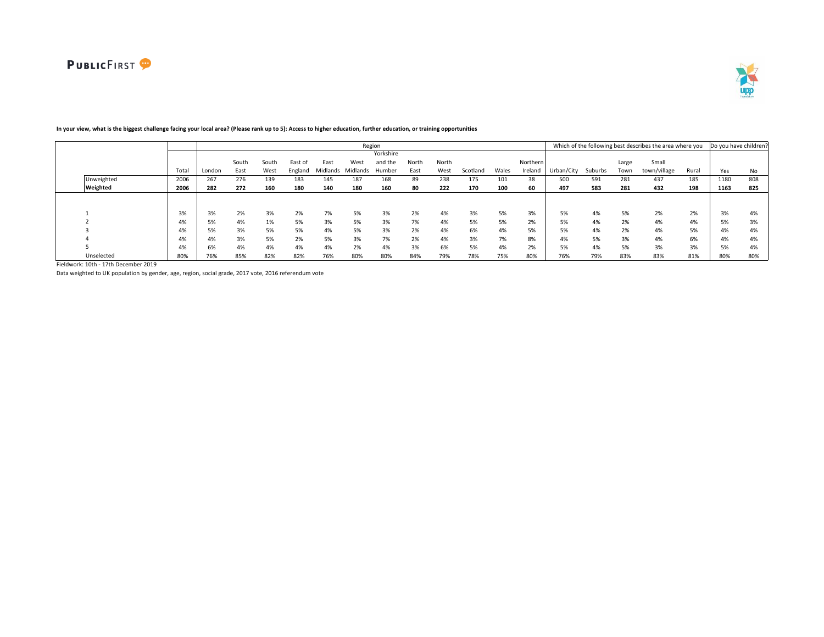

|            |       |        |              |       |         |          |          | Region    |       |       |          |       |          |            |         |       | Which of the following best describes the area where you |       | Do you have children |     |
|------------|-------|--------|--------------|-------|---------|----------|----------|-----------|-------|-------|----------|-------|----------|------------|---------|-------|----------------------------------------------------------|-------|----------------------|-----|
|            |       |        |              |       |         |          |          | Yorkshire |       |       |          |       |          |            |         |       |                                                          |       |                      |     |
|            |       |        | South        | South | East of | East     | West     | and the   | North | North |          |       | Northern |            |         | Large | Small                                                    |       |                      |     |
|            | Total | London | East         | West  | England | Midlands | Midlands | Humber    | East  | West  | Scotland | Wales | Ireland  | Urban/City | Suburbs | Town  | town/village                                             | Rural | Yes                  | No  |
| Unweighted | 2006  | 267    | 276          | 139   | 183     | 145      | 187      | 168       | 89    | 238   | 175      | 101   | 38       | 500        | 591     | 281   | 437                                                      | 185   | 1180                 | 808 |
| Weighted   | 2006  | 282    | 272          | 160   | 180     | 140      | 180      | 160       | 80    | 222   | 170      | 100   | 60       | 497        | 583     | 281   | 432                                                      | 198   | 1163                 | 825 |
|            |       |        |              |       |         |          |          |           |       |       |          |       |          |            |         |       |                                                          |       |                      |     |
|            |       |        |              |       |         |          |          |           |       |       |          |       |          |            |         |       |                                                          |       |                      |     |
|            | 3%    | 3%     | 20/<br>$2\%$ | 3%    | 2%      | 7%       | 5%       | 3%        | 2%    | 4%    | 3%       | 5%    | 3%       | 5%         | 4%      | 5%    | 2%                                                       | 2%    | 3%                   | 4%  |
|            | 4%    | 5%     | 4%           | 1%    | 5%      | 3%       | 5%       | 3%        | 7%    | 4%    | 5%       | 5%    | 2%       | 5%         | 4%      | 2%    | 4%                                                       | 4%    | 5%                   | 3%  |
|            | 4%    | 5%     | 3%           | 5%    | 5%      | 4%       | 5%       | 3%        | 2%    | 4%    | 6%       | 4%    | 5%       | 5%         | 4%      | 2%    | 4%                                                       | 5%    | 4%                   | 4%  |
|            | 4%    | 4%     | 3%           | 5%    | 2%      | 5%       | 3%       | 7%        | 2%    | 4%    | 3%       | 7%    | 8%       | 4%         | 5%      | 3%    | 4%                                                       | 6%    | 4%                   | 4%  |
|            | 4%    | 6%     | 4%           | 4%    | 4%      | 4%       | 2%       | 4%        | 3%    | 6%    | 5%       | 4%    | 2%       | 5%         | 4%      | 5%    | 3%                                                       | 3%    | 5%                   | 4%  |
| Unselected | 80%   | 76%    | 85%          | 82%   | 82%     | 76%      | 80%      | 80%       | 84%   | 79%   | 78%      | 75%   | 80%      | 76%        | 79%     | 83%   | 83%                                                      | 81%   | 80%                  | 80% |

# **In your view, what is the biggest challenge facing your local area? (Please rank up to 5): Access to higher education, further education, or training opportunities**

Fieldwork: 10th - 17th December 2019

Data weighted to UK population by gender, age, region, social grade, 2017 vote, 2016 referendum vote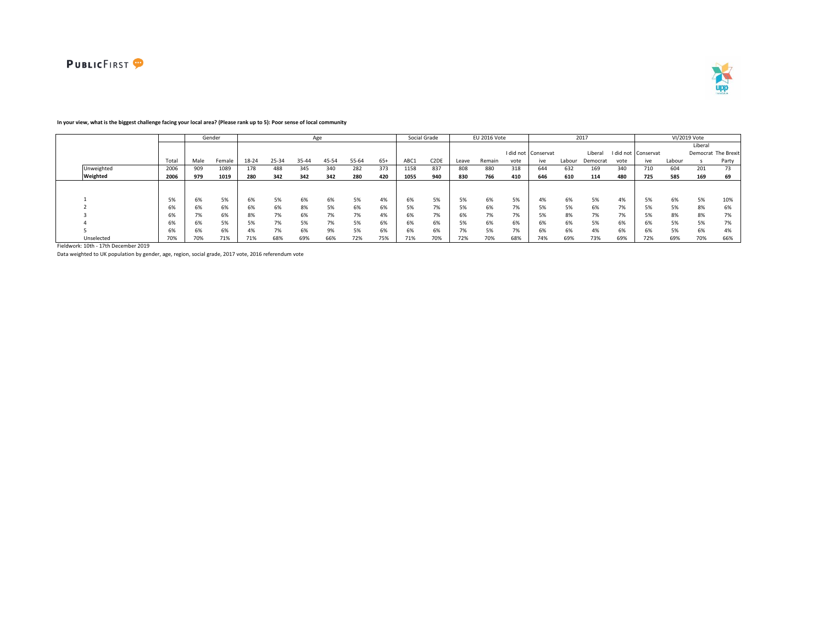



#### Total Male Female 18-24 25-34 35-44 45-54 55-64 65+ ABC1 C2DE Leave Remain I did not vote Conservat ive Labour Liberal I did not Democrat vote Conservat ive Labour Liberal Democrat The Brexit s Party Unweighted 2006 909 1089 178 488 345 340 282 373 1158 837 808 880 318 644 632 169 340 710 604 201 73 Weighted | 2006 | 979 1019 | 280 342 342 342 280 420 | 1055 940 | 830 766 410 | 646 610 114 480 | 725 585 169 69 1 5% 6% 5% 6% 5% 6% 6% 5% 4% 6% 5% 5% 6% 5% 4% 6% 5% 4% 5% 6% 5% 10% 2 6% 6% 6% 6% 6% 8% 5% 6% 6% 5% 7% 5% 6% 7% 5% 5% 6% 7% 5% 5% 8% 6% 3 6% 7% 6% 8% 7% 6% 7% 7% 4% 6% 7% 6% 7% 7% 5% 8% 7% 7% 5% 8% 8% 7% 4 6% 6% 5% 5% 7% 5% 7% 5% 6% 6% 6% 5% 6% 6% 6% 6% 5% 6% 6% 5% 5% 7% 5 6% 6% 6% 4% 7% 6% 9% 5% 6% 6% 6% 7% 5% 7% 6% 6% 4% 6% 6% 5% 6% 4% Unselected 70% 70% 71% 71% 68% 69% 66% 72% 75% 71% 70% 72% 70% 68% 74% 69% 73% 69% 72% 69% 70% 66% Gender Age Social Grade EU 2016 Vote 2017 VI/2019 Vote

### **In your view, what is the biggest challenge facing your local area? (Please rank up to 5): Poor sense of local community**

Fieldwork: 10th - 17th December 2019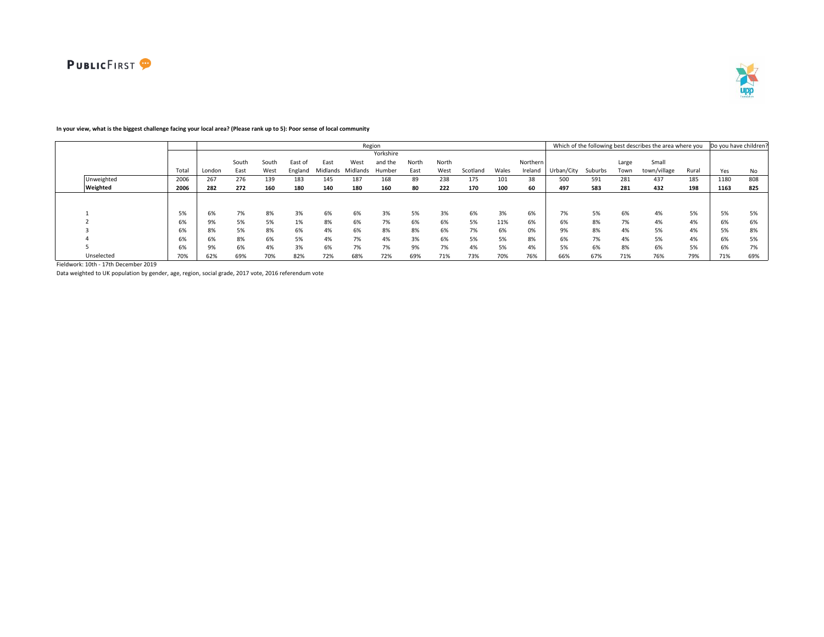

#### Total London South East South West East of England East Midlands Midlands Humber West Yorkshire and the North East North West Scotland Wales Northern Ireland Urban/City Suburbs Large Town Small town/village Rural Yes No Unweighted 2006 267 276 139 183 145 187 168 89 238 175 101 38 500 591 281 437 185 1180 808 Weighted 2006 | 282 272 160 180 140 180 160 80 222 170 100 60 | 497 583 281 432 198 | 1163 825 1 5% 6% 7% 8% 3% 6% 6% 3% 5% 3% 6% 3% 6% 7% 5% 6% 4% 5% 5% 5% 2 6% 9% 5% 5% 1% 8% 6% 7% 6% 6% 5% 11% 6% 6% 8% 7% 4% 4% 6% 6% 3 6% 8% 5% 8% 6% 4% 6% 8% 8% 6% 7% 6% 0% 9% 8% 4% 5% 4% 5% 8% 4 6% 6% 8% 6% 5% 4% 7% 4% 3% 6% 5% 5% 8% 6% 7% 4% 5% 4% 6% 5% 5 6% 9% 6% 4% 3% 6% 7% 7% 9% 7% 4% 5% 4% 5% 6% 8% 6% 5% 6% 7% Unselected 70% 62% 69% 70% 82% 72% 68% 72% 69% 71% 73% 70% 76% 66% 67% 71% 76% 79% 71% 69% Region **Example 20 and Total Contract Contract Contract Contract Contract Contract Contract Contract Contract Contract Contract Contract Contract Contract Contract Contract Contract Contract Contract Contract Contract Cont**

## **In your view, what is the biggest challenge facing your local area? (Please rank up to 5): Poor sense of local community**

Fieldwork: 10th - 17th December 2019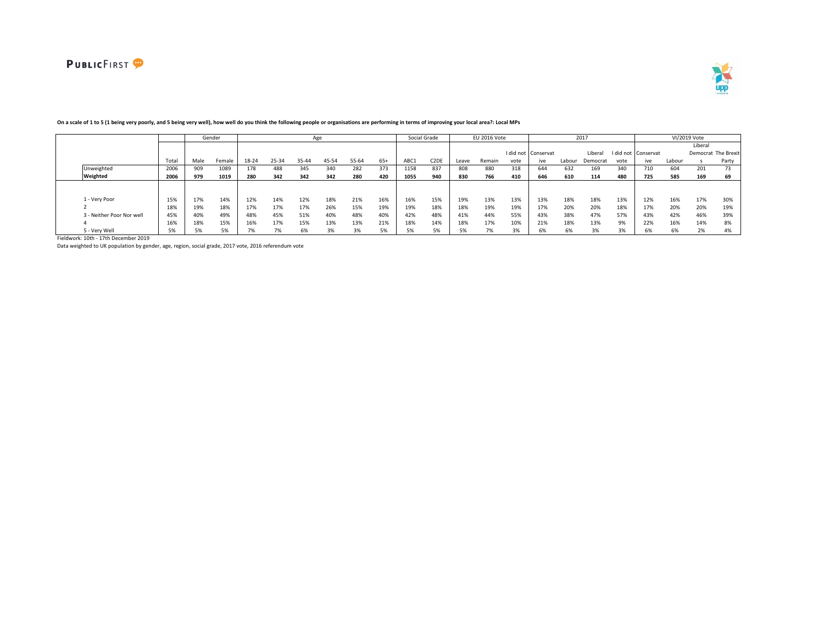



|                           |       |      | Gender |       |       |       | Age   |       |       |      | Social Grade      |       | EU 2016 Vote |      |                     |        | 2017     |           |             |        | VI/2019 Vote |                     |
|---------------------------|-------|------|--------|-------|-------|-------|-------|-------|-------|------|-------------------|-------|--------------|------|---------------------|--------|----------|-----------|-------------|--------|--------------|---------------------|
|                           |       |      |        |       |       |       |       |       |       |      |                   |       |              |      |                     |        |          |           |             |        | Liberal      |                     |
|                           |       |      |        |       |       |       |       |       |       |      |                   |       |              |      | I did not Conservat |        | Liberal  | I did not | : Conservat |        |              | Democrat The Brexit |
|                           | Total | Male | Female | 18-24 | 25-34 | 35-44 | 45-54 | 55-64 | $65+$ | ABC1 | C <sub>2</sub> DE | Leave | Remain       | vote | ive                 | Labour | Democrat | vote      | ive         | Labour |              | Party               |
| Unweighted                | 2006  | 909  | 1089   | 178   | 488   | 345   | 340   | 282   | 373   | 1158 | 837               | 808   | 880          | 318  | 644                 | 632    | 169      | 340       | 710         | 604    | 201          | 73                  |
| Weighted                  | 2006  | 979  | 1019   | 280   | 342   | 342   | 342   | 280   | 420   | 1055 | 940               | 830   | 766          | 410  | 646                 | 610    | 114      | 480       | 725         | 585    | 169          | 69                  |
|                           |       |      |        |       |       |       |       |       |       |      |                   |       |              |      |                     |        |          |           |             |        |              |                     |
|                           |       |      |        |       |       |       |       |       |       |      |                   |       |              |      |                     |        |          |           |             |        |              |                     |
| 1 - Verv Poor             | 15%   | 17%  | 14%    | 12%   | 14%   | 12%   | 18%   | 21%   | 16%   | 16%  | 15%               | 19%   | 13%          | 13%  | 13%                 | 18%    | 18%      | 13%       | 12%         | 16%    | 17%          | 30%                 |
|                           | 18%   | 19%  | 18%    | 17%   | 17%   | 17%   | 26%   | 15%   | 19%   | 19%  | 18%               | 18%   | 19%          | 19%  | 17%                 | 20%    | 20%      | 18%       | 17%         | 20%    | 20%          | 19%                 |
| 3 - Neither Poor Nor well | 45%   | 40%  | 49%    | 48%   | 45%   | 51%   | 40%   | 48%   | 40%   | 42%  | 48%               | 41%   | 44%          | 55%  | 43%                 | 38%    | 47%      | 57%       | 43%         | 42%    | 46%          | 39%                 |
|                           | 16%   | 18%  | 15%    | 16%   | 17%   | 15%   | 13%   | 13%   | 21%   | 18%  | 14%               | 18%   | 17%          | 10%  | 21%                 | 18%    | 13%      | 9%        | 22%         | 16%    | 14%          | 8%                  |
| 5 - Verv Well             |       |      | 50/    |       | 7%    | 6%    | 3%    |       | 5%    |      |                   |       |              | 3%   |                     |        |          |           |             | 6%     | 2%           | 4%                  |

## **On a scale of 1 to 5 (1 being very poorly, and 5 being very well), how well do you think the following people or organisations are performing in terms of improving your local area?: Local MPs**

Fieldwork: 10th - 17th December 2019

Data weighted to UK population by gender, age, region, social grade, 2017 vote, 2016 referendum vote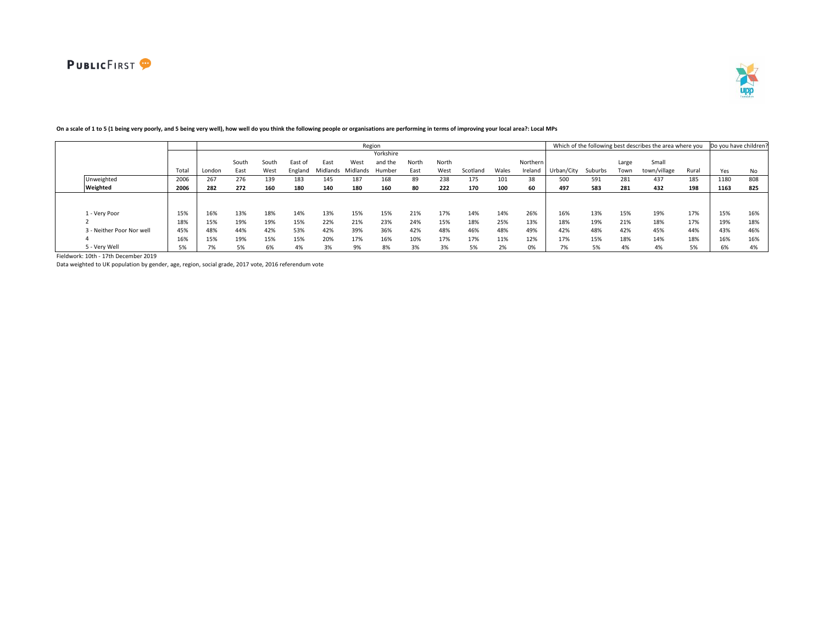

|                           |       |        |       |       |         |                   |      | Region    |       |       |          |       |          |            |         |       | Which of the following best describes the area where you |       | Do you have children |     |
|---------------------------|-------|--------|-------|-------|---------|-------------------|------|-----------|-------|-------|----------|-------|----------|------------|---------|-------|----------------------------------------------------------|-------|----------------------|-----|
|                           |       |        |       |       |         |                   |      | Yorkshire |       |       |          |       |          |            |         |       |                                                          |       |                      |     |
|                           |       |        | South | South | East of | East              | West | and the   | North | North |          |       | Northern |            |         | Large | Small                                                    |       |                      |     |
|                           | Total | London | East  | West  | England | Midlands Midlands |      | Humber    | East  | West  | Scotland | Wales | Ireland  | Urban/City | Suburbs | Town  | town/village                                             | Rural | Yes                  | No  |
| Unweighted                | 2006  | 267    | 276   | 139   | 183     | 145               | 187  | 168       | 89    | 238   | 175      | 101   | 38       | 500        | 591     | 281   | 437                                                      | 185   | 1180                 | 808 |
| Weighted                  | 2006  | 282    | 272   | 160   | 180     | 140               | 180  | 160       | 80    | 222   | 170      | 100   | 60       | 497        | 583     | 281   | 432                                                      | 198   | 1163                 | 825 |
|                           |       |        |       |       |         |                   |      |           |       |       |          |       |          |            |         |       |                                                          |       |                      |     |
|                           |       |        |       |       |         |                   |      |           |       |       |          |       |          |            |         |       |                                                          |       |                      |     |
| 1 - Very Poor             | 15%   | 16%    | 13%   | 18%   | 14%     | 13%               | 15%  | 15%       | 21%   | 17%   | 14%      | 14%   | 26%      | 16%        | 13%     | 15%   | 19%                                                      | 17%   | 15%                  | 16% |
|                           | 18%   | 15%    | 19%   | 19%   | 15%     | 22%               | 21%  | 23%       | 24%   | 15%   | 18%      | 25%   | 13%      | 18%        | 19%     | 21%   | 18%                                                      | 17%   | 19%                  | 18% |
| 3 - Neither Poor Nor well | 45%   | 48%    | 44%   | 42%   | 53%     | 42%               | 39%  | 36%       | 42%   | 48%   | 46%      | 48%   | 49%      | 42%        | 48%     | 42%   | 45%                                                      | 44%   | 43%                  | 46% |
|                           | 16%   | 15%    | 19%   | 15%   | 15%     | 20%               | 17%  | 16%       | 10%   | 17%   | 17%      | 11%   | 12%      | 17%        | 15%     | 18%   | 14%                                                      | 18%   | 16%                  | 16% |
| 5 - Very Well             | 5%    | 7%     | 5%    | 6%    | 4%      | 3%                | 9%   | 8%        | 3%    | 3%    | 5%       | 2%    | 0%       | 7%         | 5%      | 4%    | 4%                                                       | 5%    | 6%                   | 4%  |

# **On a scale of 1 to 5 (1 being very poorly, and 5 being very well), how well do you think the following people or organisations are performing in terms of improving your local area?: Local MPs**

Fieldwork: 10th - 17th December 2019

Data weighted to UK population by gender, age, region, social grade, 2017 vote, 2016 referendum vote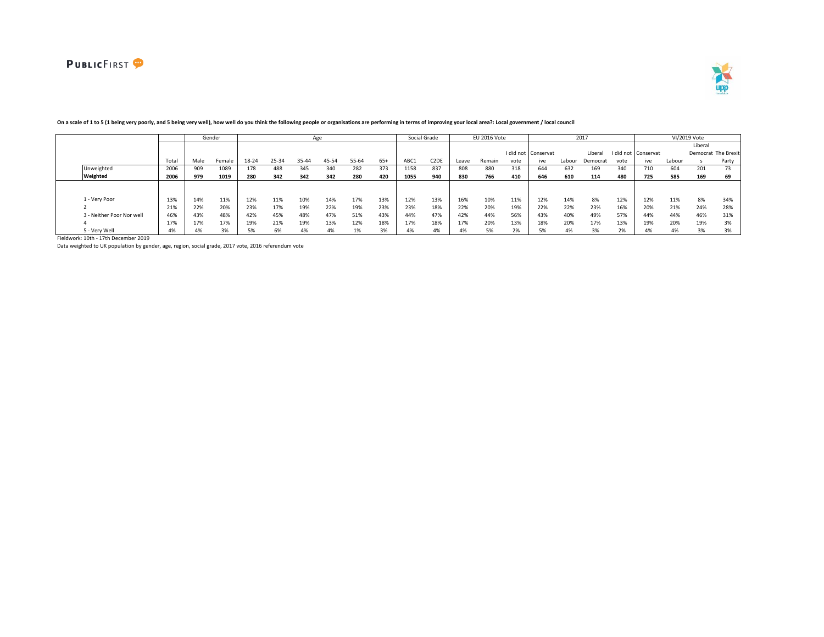



|                           |       |       | Gender |       |       |       | Age   |       |       |      | Social Grade            |       | EU 2016 Vote |      |                     |        | 2017     |      |                     |        | VI/2019 Vote |                     |
|---------------------------|-------|-------|--------|-------|-------|-------|-------|-------|-------|------|-------------------------|-------|--------------|------|---------------------|--------|----------|------|---------------------|--------|--------------|---------------------|
|                           |       |       |        |       |       |       |       |       |       |      |                         |       |              |      |                     |        |          |      |                     |        | Liberal      |                     |
|                           |       |       |        |       |       |       |       |       |       |      |                         |       |              |      | I did not Conservat |        | Libera   |      | I did not Conservat |        |              | Democrat The Brexit |
|                           | Total | Male  | Female | 18-24 | 25-34 | 35-44 | 45-54 | 55-64 | $65+$ | ABC1 | C <sub>2</sub> DE       | Leave | Remain       | vote | ive                 | Labour | Democrat | vote | ive                 | Labour |              | Party               |
| Unweighted                | 2006  | 909   | 1089   | 178   | 488   | 345   | 340   | 282   | 373   | 1158 | 837                     | 808   | 880          | 318  | 644                 | 632    | 169      | 340  | 710                 | 604    | 201          | 73                  |
| Weighted                  | 2006  | 979   | 1019   | 280   | 342   | 342   | 342   | 280   | 420   | 1055 | 940                     | 830   | 766          | 410  | 646                 | 610    | 114      | 480  | 725                 | 585    | 169          | 69                  |
|                           |       |       |        |       |       |       |       |       |       |      |                         |       |              |      |                     |        |          |      |                     |        |              |                     |
|                           |       |       |        |       |       |       |       |       |       |      |                         |       |              |      |                     |        |          |      |                     |        |              |                     |
| 1 - Verv Poor             | 13%   | 14%   | 11%    | 12%   | 11%   | 10%   | 14%   | 17%   | 13%   | 12%  | 13%                     | 16%   | 10%          | 11%  | 12%                 | 14%    | 8%       | 12%  | 12%                 | 11%    | 8%           | 34%                 |
|                           | 21%   | 22%   | 20%    | 23%   | 17%   | 19%   | 22%   | 19%   | 23%   | 23%  | 18%                     | 22%   | 20%          | 19%  | 22%                 | 22%    | 23%      | 16%  | 20%                 | 21%    | 24%          | 28%                 |
| 3 - Neither Poor Nor well | 46%   | 43%   | 48%    | 42%   | 45%   | 48%   | 47%   | 51%   | 43%   | 44%  | 47%                     | 42%   | 44%          | 56%  | 43%                 | 40%    | 49%      | 57%  | 44%                 | 44%    | 46%          | 31%                 |
|                           | 17%   | 17%   | 17%    | 19%   | 21%   | 19%   | 13%   | 12%   | 18%   | 17%  | 18%                     | 17%   | 20%          | 13%  | 18%                 | 20%    | 17%      | 13%  | 19%                 | 20%    | 19%          | 3%                  |
| 5 - Very Well             | 4%    | $4\%$ | $\sim$ | 5%    | 6%    | 4%    | 4%    | 1%    | 3%    | 4%   | $\overline{a}$<br>$4\%$ | 4%    | 5%           | 2%   |                     |        |          | 20   | 4%                  | $4\%$  | 3%           | 3%                  |

### **On a scale of 1 to 5 (1 being very poorly, and 5 being very well), how well do you think the following people or organisations are performing in terms of improving your local area?: Local government / local council**

Fieldwork: 10th - 17th December 2019

Data weighted to UK population by gender, age, region, social grade, 2017 vote, 2016 referendum vote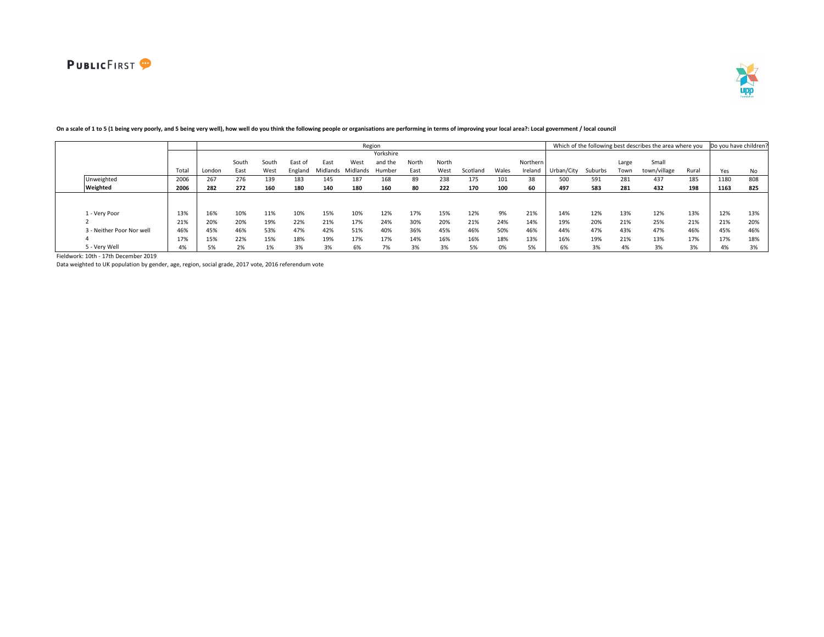

|                           |       |        |       |       |         |          |          | Region    |       |       |          |       |          |            |         |       | Which of the following best describes the area where you |       | Do you have children? |     |
|---------------------------|-------|--------|-------|-------|---------|----------|----------|-----------|-------|-------|----------|-------|----------|------------|---------|-------|----------------------------------------------------------|-------|-----------------------|-----|
|                           |       |        |       |       |         |          |          | Yorkshire |       |       |          |       |          |            |         |       |                                                          |       |                       |     |
|                           |       |        | South | South | East of | East     | West     | and the   | North | North |          |       | Northern |            |         | Large | Small                                                    |       |                       |     |
|                           | Total | London | East  | West  | England | Midlands | Midlands | Humber    | East  | West  | Scotland | Wales | Ireland  | Urban/City | Suburbs | Town  | town/village                                             | Rural | Yes                   | No  |
| Unweighted                | 2006  | 267    | 276   | 139   | 183     | 145      | 187      | 168       | 89    | 238   | 175      |       | 38       | 500        | 591     | 281   | 437                                                      | 185   | 1180                  | 808 |
| Weighted                  | 2006  | 282    | 272   | 160   | 180     | 140      | 180      | 160       | 80    | 222   | 170      | 100   | 60       | 497        | 583     | 281   | 432                                                      | 198   | 1163                  | 825 |
|                           |       |        |       |       |         |          |          |           |       |       |          |       |          |            |         |       |                                                          |       |                       |     |
|                           |       |        |       |       |         |          |          |           |       |       |          |       |          |            |         |       |                                                          |       |                       |     |
| 1 - Verv Poor             | 13%   | 16%    | 10%   | 11%   | 10%     | 15%      | 10%      | 12%       | 17%   | 15%   | 12%      | 9%    | 21%      | 14%        | 12%     | 13%   | 12%                                                      | 13%   | 12%                   | 13% |
|                           | 21%   | 20%    | 20%   | 19%   | 22%     | 21%      | 17%      | 24%       | 30%   | 20%   | 21%      | 24%   | 14%      | 19%        | 20%     | 21%   | 25%                                                      | 21%   | 21%                   | 20% |
| 3 - Neither Poor Nor well | 46%   | 45%    | 46%   | 53%   | 47%     | 42%      | 51%      | 40%       | 36%   | 45%   | 46%      | 50%   | 46%      | 44%        | 47%     | 43%   | 47%                                                      | 46%   | 45%                   | 46% |
|                           | 17%   | 15%    | 22%   | 15%   | 18%     | 19%      | 17%      | 17%       | 14%   | 16%   | 16%      | 18%   | 13%      | 16%        | 19%     | 21%   | 13%                                                      | 17%   | 17%                   | 18% |
| 5 - Verv Well             | 4%    | 5%     | 2%    | 1%    |         | 3%       | 6%       |           | 3%    |       | 5%       |       | 5%       | 6%         | 3%      | 4%    | 3%                                                       | 3%    | 4%                    | 3%  |

# On a scale of 1 to 5 (1 being very poorly, and 5 being very well), how well do you think the following people or organisations are performing in terms of improving your local area?: Local government / local council

Fieldwork: 10th - 17th December 2019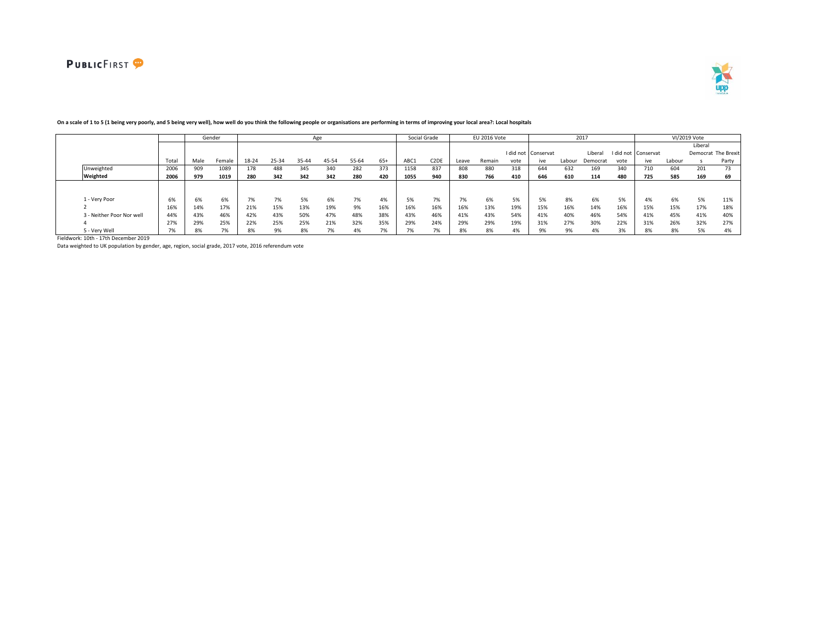



|                           |       |      | Gender |       |       |       | Age   |       |       |      | Social Grade      |       | EU 2016 Vote |      |                     |        | 2017     |           |           |        | VI/2019 Vote |                     |
|---------------------------|-------|------|--------|-------|-------|-------|-------|-------|-------|------|-------------------|-------|--------------|------|---------------------|--------|----------|-----------|-----------|--------|--------------|---------------------|
|                           |       |      |        |       |       |       |       |       |       |      |                   |       |              |      |                     |        |          |           |           |        | Liberal      |                     |
|                           |       |      |        |       |       |       |       |       |       |      |                   |       |              |      | I did not Conservat |        | Liberal  | I did not | Conservat |        |              | Democrat The Brexit |
|                           | Total | Male | Female | 18-24 | 25-34 | 35-44 | 45-54 | 55-64 | $65+$ | ABC1 | C <sub>2</sub> DE | Leave | Remain       | vote | ive                 | Labour | Democrat | vote      | ive       | Labour |              | Party               |
| Unweighted                | 2006  | 909  | 1089   | 178   | 488   | 345   | 340   | 282   | 373   | 1158 | 837               | 808   | 880          | 318  | 644                 | 632    | 169      | 340       | 710       | 604    | 201          | 73                  |
| Weighted                  | 2006  | 979  | 1019   | 280   | 342   | 342   | 342   | 280   | 420   | 1055 | 940               | 830   | 766          | 410  | 646                 | 610    | 114      | 480       | 725       | 585    | 169          | 69                  |
|                           |       |      |        |       |       |       |       |       |       |      |                   |       |              |      |                     |        |          |           |           |        |              |                     |
|                           |       |      |        |       |       |       |       |       |       |      |                   |       |              |      |                     |        |          |           |           |        |              |                     |
| 1 - Verv Poor             | 6%    | 6%   | 6%     | 7%    | 7%    | 5%    | 6%    | 7%    | 4%    | 5%   | 7%                | 7%    | 6%           | 5%   | 5%                  | 8%     | 6%       | 5%        | 4%        | 6%     | 5%           | 11%                 |
|                           | 16%   | 14%  | 17%    | 21%   | 15%   | 13%   | 19%   | 9%    | 16%   | 16%  | 16%               | 16%   | 13%          | 19%  | 15%                 | 16%    | 14%      | 16%       | 15%       | 15%    | 17%          | 18%                 |
| 3 - Neither Poor Nor well | 44%   | 43%  | 46%    | 42%   | 43%   | 50%   | 47%   | 48%   | 38%   | 43%  | 46%               | 41%   | 43%          | 54%  | 41%                 | 40%    | 46%      | 54%       | 41%       | 45%    | 41%          | 40%                 |
|                           | 27%   | 29%  | 25%    | 22%   | 25%   | 25%   | 21%   | 32%   | 35%   | 29%  | 24%               | 29%   | 29%          | 19%  | 31%                 | 27%    | 30%      | 22%       | 31%       | 26%    | 32%          | 27%                 |
| 5 - Verv Well             |       | 8%   |        | 8%    | 9%    | 8%    |       |       |       |      |                   | 8%    | 8%           | 4%   |                     | 9%     |          |           |           | 8%     | 5%           | 4%                  |

### **On a scale of 1 to 5 (1 being very poorly, and 5 being very well), how well do you think the following people or organisations are performing in terms of improving your local area?: Local hospitals**

Fieldwork: 10th - 17th December 2019

Data weighted to UK population by gender, age, region, social grade, 2017 vote, 2016 referendum vote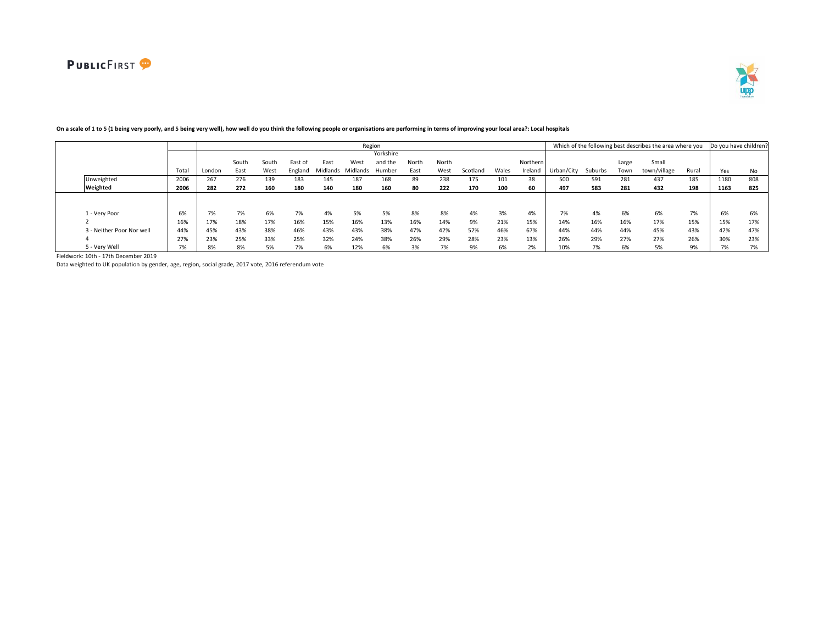

|                           |       |        |       |       |         |                   |      | Region    |       |       |          |       |          |            |         |       | Which of the following best describes the area where you |       | Do you have children |     |
|---------------------------|-------|--------|-------|-------|---------|-------------------|------|-----------|-------|-------|----------|-------|----------|------------|---------|-------|----------------------------------------------------------|-------|----------------------|-----|
|                           |       |        |       |       |         |                   |      | Yorkshire |       |       |          |       |          |            |         |       |                                                          |       |                      |     |
|                           |       |        | South | South | East of | East              | West | and the   | North | North |          |       | Northern |            |         | Large | Small                                                    |       |                      |     |
|                           | Total | London | East  | West  | England | Midlands Midlands |      | Humber    | East  | West  | Scotland | Wales | Ireland  | Urban/City | Suburbs | Town  | town/village                                             | Rural | Yes                  | No  |
| Unweighted                | 2006  | 267    | 276   | 139   | 183     | 145               | 187  | 168       | 89    | 238   | 175      | 101   | 38       | 500        | 591     | 281   | 437                                                      | 185   | 1180                 | 808 |
| Weighted                  | 2006  | 282    | 272   | 160   | 180     | 140               | 180  | 160       | 80    | 222   | 170      | 100   | 60       | 497        | 583     | 281   | 432                                                      | 198   | 1163                 | 825 |
|                           |       |        |       |       |         |                   |      |           |       |       |          |       |          |            |         |       |                                                          |       |                      |     |
|                           |       |        |       |       |         |                   |      |           |       |       |          |       |          |            |         |       |                                                          |       |                      |     |
| 1 - Very Poor             | 6%    | 7%     | 7%    | 6%    | 7%      | 4%                | 5%   | 5%        | 8%    | 8%    | 4%       | 3%    | 4%       | 7%         | 4%      | 6%    | 6%                                                       | 7%    | 6%                   | 6%  |
|                           | 16%   | 17%    | 18%   | 17%   | 16%     | 15%               | 16%  | 13%       | 16%   | 14%   | 9%       | 21%   | 15%      | 14%        | 16%     | 16%   | 17%                                                      | 15%   | 15%                  | 17% |
| 3 - Neither Poor Nor well | 44%   | 45%    | 43%   | 38%   | 46%     | 43%               | 43%  | 38%       | 47%   | 42%   | 52%      | 46%   | 67%      | 44%        | 44%     | 44%   | 45%                                                      | 43%   | 42%                  | 47% |
|                           | 27%   | 23%    | 25%   | 33%   | 25%     | 32%               | 24%  | 38%       | 26%   | 29%   | 28%      | 23%   | 13%      | 26%        | 29%     | 27%   | 27%                                                      | 26%   | 30%                  | 23% |
| 5 - Very Well             | 7%    | 8%     | 8%    | 5%    | 7%      | 6%                | 12%  | 6%        | 3%    | 7%    | 9%       | 6%    | 2%       | 10%        | 7%      | 6%    | 5%                                                       | 9%    | 7%                   | 7%  |

# **On a scale of 1 to 5 (1 being very poorly, and 5 being very well), how well do you think the following people or organisations are performing in terms of improving your local area?: Local hospitals**

Fieldwork: 10th - 17th December 2019

Data weighted to UK population by gender, age, region, social grade, 2017 vote, 2016 referendum vote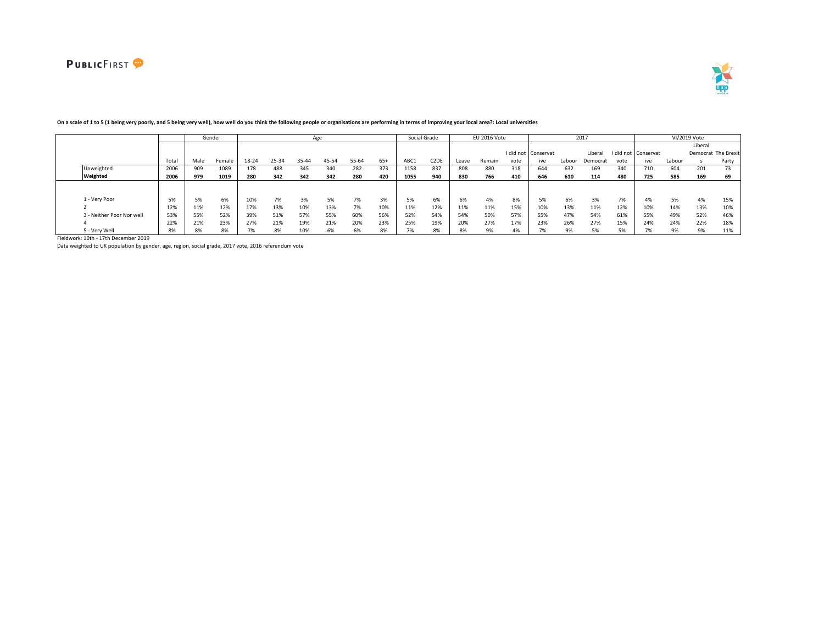



|                           |       |      | Gender |       |       |       | Age   |       |       |      | Social Grade      |       | EU 2016 Vote |      |                     |        | 2017     |           |           |        | VI/2019 Vote |                     |
|---------------------------|-------|------|--------|-------|-------|-------|-------|-------|-------|------|-------------------|-------|--------------|------|---------------------|--------|----------|-----------|-----------|--------|--------------|---------------------|
|                           |       |      |        |       |       |       |       |       |       |      |                   |       |              |      |                     |        |          |           |           |        | Liberal      |                     |
|                           |       |      |        |       |       |       |       |       |       |      |                   |       |              |      | I did not Conservat |        | Liberal  | I did not | Conservat |        |              | Democrat The Brexit |
|                           | Total | Male | Female | 18-24 | 25-34 | 35-44 | 45-54 | 55-64 | $65+$ | ABC1 | C <sub>2</sub> DE | Leave | Remain       | vote | ive                 | Labour | Democrat | vote      | ive       | Labour |              | Party               |
| Unweighted                | 2006  | 909  | 1089   | 178   | 488   | 345   | 340   | 282   | 373   | 1158 | 837               | 808   | 880          | 318  | 644                 | 632    | 169      | 340       | 710       | 604    | 201          | 73                  |
| Weighted                  | 2006  | 979  | 1019   | 280   | 342   | 342   | 342   | 280   | 420   | 1055 | 940               | 830   | 766          | 410  | 646                 | 610    | 114      | 480       | 725       | 585    | 169          | 69                  |
|                           |       |      |        |       |       |       |       |       |       |      |                   |       |              |      |                     |        |          |           |           |        |              |                     |
|                           |       |      |        |       |       |       |       |       |       |      |                   |       |              |      |                     |        |          |           |           |        |              |                     |
| 1 - Verv Poor             | 5%    | 5%   | 6%     | 10%   | 7%    | 3%    | 5%    | 7%    | 3%    | 5%   | 6%                | 6%    | 4%           | 8%   | 5%                  | 6%     | 3%       | 7%        | 4%        | 5%     | 4%           | 15%                 |
|                           | 12%   | 11%  | 12%    | 17%   | 13%   | 10%   | 13%   | 7%    | 10%   | 11%  | 12%               | 11%   | 11%          | 15%  | 10%                 | 13%    | 11%      | 12%       | 10%       | 14%    | 13%          | 10%                 |
| 3 - Neither Poor Nor well | 53%   | 55%  | 52%    | 39%   | 51%   | 57%   | 55%   | 60%   | 56%   | 52%  | 54%               | 54%   | 50%          | 57%  | 55%                 | 47%    | 54%      | 61%       | 55%       | 49%    | 52%          | 46%                 |
|                           | 22%   | 21%  | 23%    | 27%   | 21%   | 19%   | 21%   | 20%   | 23%   | 25%  | 19%               | 20%   | 27%          | 17%  | 23%                 | 26%    | 27%      | 15%       | 24%       | 24%    | 22%          | 18%                 |
| 5 - Verv Well             | 8%    | 8%   | 8%     | 7%    | 8%    | 10%   | 6%    | 6%    | 8%    |      | 8%                | 8%    | 9%           | 4%   |                     | 9%     |          |           |           | 9%     | 9%           | 11%                 |

### **On a scale of 1 to 5 (1 being very poorly, and 5 being very well), how well do you think the following people or organisations are performing in terms of improving your local area?: Local universities**

Fieldwork: 10th - 17th December 2019

Data weighted to UK population by gender, age, region, social grade, 2017 vote, 2016 referendum vote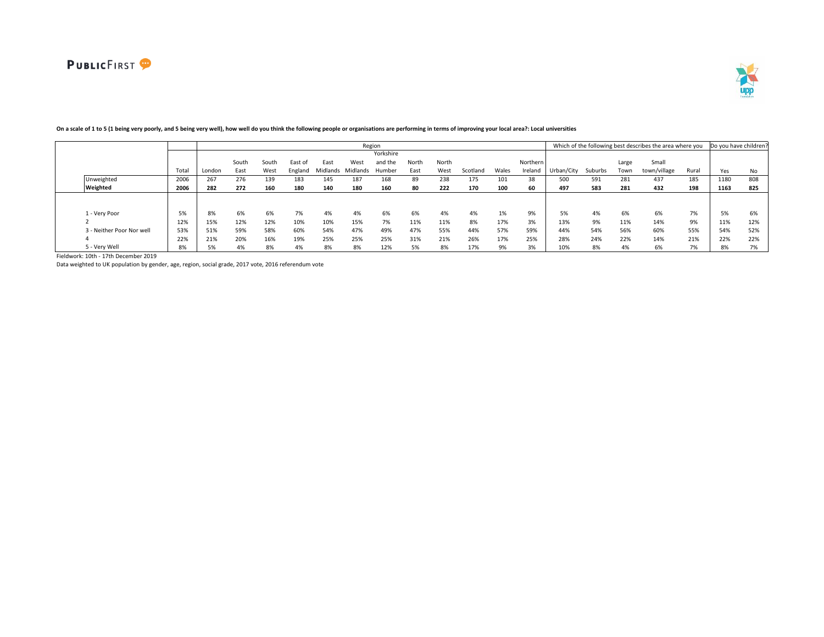

|                           |       |        |       |       |         |      |                   | Region    |       |       |          |       |          |            |         |       | Which of the following best describes the area where you |       | Do you have children |     |
|---------------------------|-------|--------|-------|-------|---------|------|-------------------|-----------|-------|-------|----------|-------|----------|------------|---------|-------|----------------------------------------------------------|-------|----------------------|-----|
|                           |       |        |       |       |         |      |                   | Yorkshire |       |       |          |       |          |            |         |       |                                                          |       |                      |     |
|                           |       |        | South | South | East of | East | West              | and the   | North | North |          |       | Northern |            |         | Large | Small                                                    |       |                      |     |
|                           | Total | London | East  | West  | England |      | Midlands Midlands | Humber    | East  | West  | Scotland | Wales | Ireland  | Jrban/City | Suburbs | Town  | town/village                                             | Rural | Yes                  | No  |
| Unweighted                | 2006  | 267    | 276   | 139   | 183     | 145  | 187               | 168       | 89    | 238   | 175      | 101   | 38       | 500        | 591     | 281   | 437                                                      | 185   | 1180                 | 808 |
| Weighted                  | 2006  | 282    | 272   | 160   | 180     | 140  | 180               | 160       | 80    | 222   | 170      | 100   | 60       | 497        | 583     | 281   | 432                                                      | 198   | 1163                 | 825 |
|                           |       |        |       |       |         |      |                   |           |       |       |          |       |          |            |         |       |                                                          |       |                      |     |
|                           |       |        |       |       |         |      |                   |           |       |       |          |       |          |            |         |       |                                                          |       |                      |     |
| 1 - Very Poor             | 5%    | 8%     | 6%    | 6%    | 7%      | 4%   | 4%                | 6%        | 6%    | 4%    | 4%       | 1%    | 9%       | 5%         | 4%      | 6%    | 6%                                                       | 7%    | 5%                   | 6%  |
|                           | 12%   | 15%    | 12%   | 12%   | 10%     | 10%  | 15%               | 7%        | 11%   | 11%   | 8%       | 17%   | 3%       | 13%        | 9%      | 11%   | 14%                                                      | 9%    | 11%                  | 12% |
| 3 - Neither Poor Nor well | 53%   | 51%    | 59%   | 58%   | 60%     | 54%  | 47%               | 49%       | 47%   | 55%   | 44%      | 57%   | 59%      | 44%        | 54%     | 56%   | 60%                                                      | 55%   | 54%                  | 52% |
|                           | 22%   | 21%    | 20%   | 16%   | 19%     | 25%  | 25%               | 25%       | 31%   | 21%   | 26%      | 17%   | 25%      | 28%        | 24%     | 22%   | 14%                                                      | 21%   | 22%                  | 22% |
| 5 - Very Well             | 8%    | 5%     | 4%    | 8%    | 4%      | 8%   | 8%                | 12%       | 5%    | 8%    | 17%      | 9%    | 3%       | 10%        | 8%      | 4%    | 6%                                                       | 7%    | 8%                   | 7%  |

# **On a scale of 1 to 5 (1 being very poorly, and 5 being very well), how well do you think the following people or organisations are performing in terms of improving your local area?: Local universities**

Fieldwork: 10th - 17th December 2019

Data weighted to UK population by gender, age, region, social grade, 2017 vote, 2016 referendum vote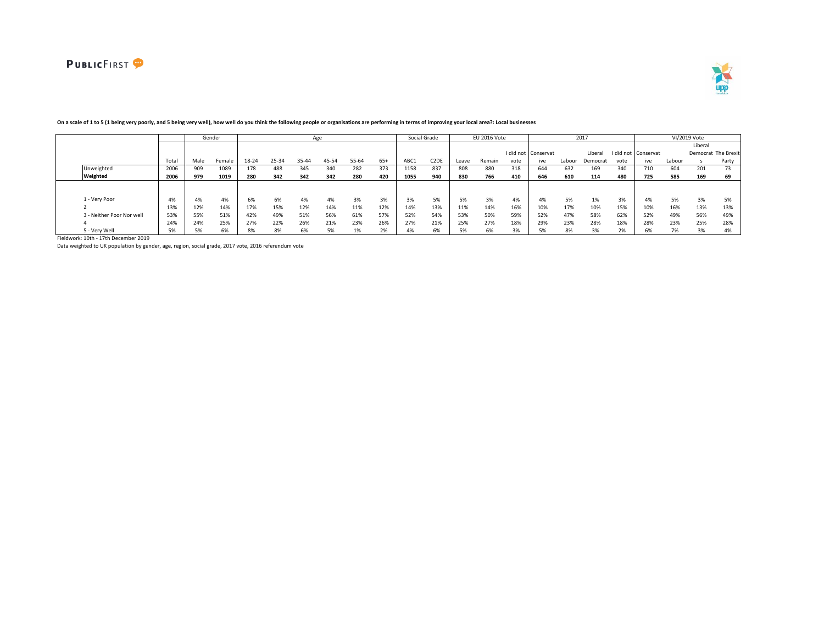



|                           |          |      | Gender |       |       |       | Age   |       |           |       | Social Grade      |       | EU 2016 Vote |      |                     |        | 2017     |           |           |        | VI/2019 Vote |                     |
|---------------------------|----------|------|--------|-------|-------|-------|-------|-------|-----------|-------|-------------------|-------|--------------|------|---------------------|--------|----------|-----------|-----------|--------|--------------|---------------------|
|                           |          |      |        |       |       |       |       |       |           |       |                   |       |              |      |                     |        |          |           |           |        | Liberal      |                     |
|                           |          |      |        |       |       |       |       |       |           |       |                   |       |              |      | I did not Conservat |        | Liberal  | I did not | Conservat |        |              | Democrat The Brexit |
|                           | Total    | Male | Female | 18-24 | 25-34 | 35-44 | 45-54 | 55-64 | $65+$     | ABC1  | C <sub>2</sub> DE | Leave | Remain       | vote | ive                 | Labour | Democrat | vote      | ive       | Labour |              | Party               |
| Unweighted                | 2006     | 909  | 1089   | 178   | 488   | 345   | 340   | 282   | 373       | 1158  | 837               | 808   | 880          | 318  | 644                 | 632    | 169      | 340       | 710       | 604    | 201          | 73                  |
| Weighted                  | 2006     | 979  | 1019   | 280   | 342   | 342   | 342   | 280   | 420       | 1055  | 940               | 830   | 766          | 410  | 646                 | 610    | 114      | 480       | 725       | 585    | 169          | 69                  |
|                           |          |      |        |       |       |       |       |       |           |       |                   |       |              |      |                     |        |          |           |           |        |              |                     |
|                           |          |      |        |       |       |       |       |       |           |       |                   |       |              |      |                     |        |          |           |           |        |              |                     |
| 1 - Very Poor             | 4%       | 4%   | 4%     | 6%    | 6%    | 4%    | 4%    | 3%    | 3%        | 3%    | 5%                | 5%    | 3%           | 4%   | 4%                  | 5%     | 1%       | 3%        | 4%        | 5%     | 3%           | 5%                  |
|                           | 13%      | 12%  | 14%    | 17%   | 15%   | 12%   | 14%   | 11%   | 12%       | 14%   | 13%               | 11%   | 14%          | 16%  | 10%                 | 17%    | 10%      | 15%       | 10%       | 16%    | 13%          | 13%                 |
| 3 - Neither Poor Nor well | 53%      | 55%  | 51%    | 42%   | 49%   | 51%   | 56%   | 61%   | 57%       | 52%   | 54%               | 53%   | 50%          | 59%  | 52%                 | 47%    | 58%      | 62%       | 52%       | 49%    | 56%          | 49%                 |
|                           | 24%      | 24%  | 25%    | 27%   | 22%   | 26%   | 21%   | 23%   | 26%       | 27%   | 21%               | 25%   | 27%          | 18%  | 29%                 | 23%    | 28%      | 18%       | 28%       | 23%    | 25%          | 28%                 |
| 5 - Very Well             | EQ<br>70 |      | 6%     | 8%    | 8%    | 6%    | 5%    |       | 201<br>2% | $4\%$ | 6%                | 5%    | 6%           | 3%   | 5%                  | 8%     | 3%       | 20        | 6%        | 7%     | 3%           | 4%                  |

### **On a scale of 1 to 5 (1 being very poorly, and 5 being very well), how well do you think the following people or organisations are performing in terms of improving your local area?: Local businesses**

Fieldwork: 10th - 17th December 2019

Data weighted to UK population by gender, age, region, social grade, 2017 vote, 2016 referendum vote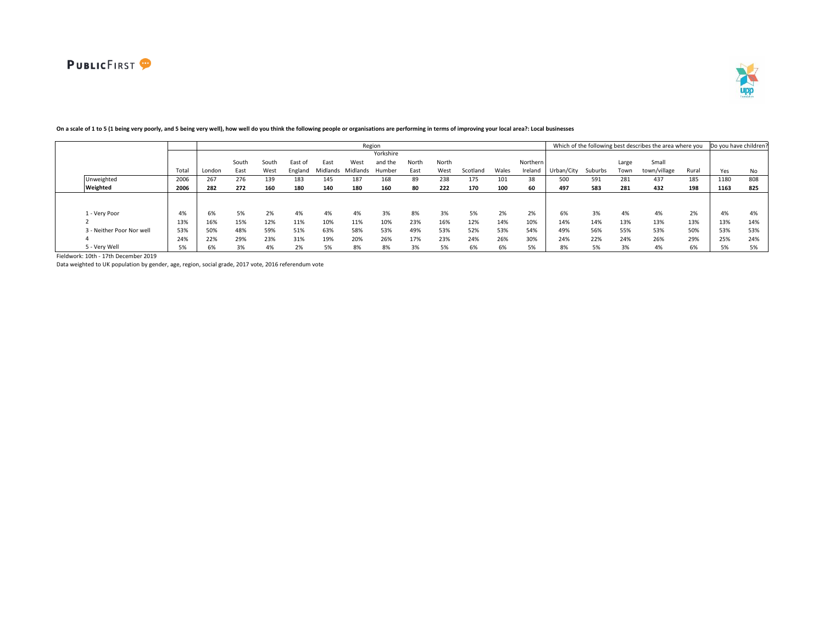

|                           |       |        |       |       |         |                   |      | Region    |       |       |          |       |          |            |         |       | Which of the following best describes the area where you |       | Do you have children |     |
|---------------------------|-------|--------|-------|-------|---------|-------------------|------|-----------|-------|-------|----------|-------|----------|------------|---------|-------|----------------------------------------------------------|-------|----------------------|-----|
|                           |       |        |       |       |         |                   |      | Yorkshire |       |       |          |       |          |            |         |       |                                                          |       |                      |     |
|                           |       |        | South | South | East of | East              | West | and the   | North | North |          |       | Northern |            |         | Large | Small                                                    |       |                      |     |
|                           | Total | London | East  | West  | England | Midlands Midlands |      | Humber    | East  | West  | Scotland | Wales | Ireland  | Urban/City | Suburbs | Town  | town/village                                             | Rural | Yes                  | No  |
| Unweighted                | 2006  | 267    | 276   | 139   | 183     | 145               | 187  | 168       | 89    | 238   | 175      | 101   | 38       | 500        | 591     | 281   | 437                                                      | 185   | 1180                 | 808 |
| Weighted                  | 2006  | 282    | 272   | 160   | 180     | 140               | 180  | 160       | 80    | 222   | 170      | 100   | 60       | 497        | 583     | 281   | 432                                                      | 198   | 1163                 | 825 |
|                           |       |        |       |       |         |                   |      |           |       |       |          |       |          |            |         |       |                                                          |       |                      |     |
|                           |       |        |       |       |         |                   |      |           |       |       |          |       |          |            |         |       |                                                          |       |                      |     |
| 1 - Very Poor             | 4%    | 6%     | 5%    | 2%    | 4%      | 4%                | 4%   | 3%        | 8%    | 3%    | 5%       | 2%    | 2%       | 6%         | 3%      | 4%    | 4%                                                       | 2%    | 4%                   | 4%  |
|                           | 13%   | 16%    | 15%   | 12%   | 11%     | 10%               | 11%  | 10%       | 23%   | 16%   | 12%      | 14%   | 10%      | 14%        | 14%     | 13%   | 13%                                                      | 13%   | 13%                  | 14% |
| 3 - Neither Poor Nor well | 53%   | 50%    | 48%   | 59%   | 51%     | 63%               | 58%  | 53%       | 49%   | 53%   | 52%      | 53%   | 54%      | 49%        | 56%     | 55%   | 53%                                                      | 50%   | 53%                  | 53% |
|                           | 24%   | 22%    | 29%   | 23%   | 31%     | 19%               | 20%  | 26%       | 17%   | 23%   | 24%      | 26%   | 30%      | 24%        | 22%     | 24%   | 26%                                                      | 29%   | 25%                  | 24% |
| 5 - Very Well             | 5%    | 6%     | 3%    | 4%    | 2%      | 5%                | 8%   | 8%        | 3%    | 5%    | 6%       | 6%    | 5%       | 8%         | 5%      | 3%    | 4%                                                       | 6%    | 5%                   | 5%  |

# **On a scale of 1 to 5 (1 being very poorly, and 5 being very well), how well do you think the following people or organisations are performing in terms of improving your local area?: Local businesses**

Fieldwork: 10th - 17th December 2019

Data weighted to UK population by gender, age, region, social grade, 2017 vote, 2016 referendum vote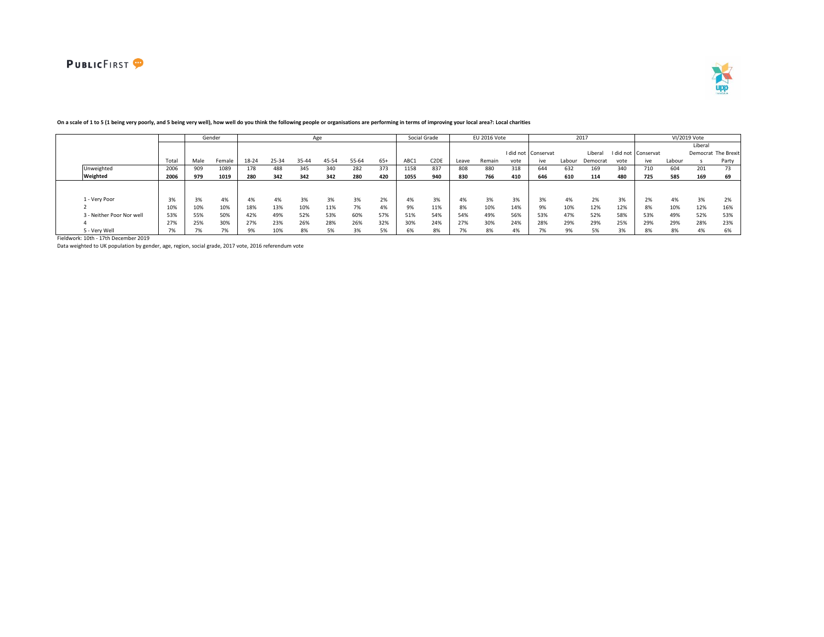



|                           |                    |      | Gender       |       |       |       | Age   |       |       |      | Social Grade      |       | EU 2016 Vote |      |                     |        | 2017     |      |                     |        | VI/2019 Vote |                     |
|---------------------------|--------------------|------|--------------|-------|-------|-------|-------|-------|-------|------|-------------------|-------|--------------|------|---------------------|--------|----------|------|---------------------|--------|--------------|---------------------|
|                           |                    |      |              |       |       |       |       |       |       |      |                   |       |              |      |                     |        |          |      |                     |        | Liberal      |                     |
|                           |                    |      |              |       |       |       |       |       |       |      |                   |       |              |      | I did not Conservat |        | Liberal  |      | I did not Conservat |        |              | Democrat The Brexit |
|                           | Total              | Male | Female       | 18-24 | 25-34 | 35-44 | 45-54 | 55-64 | $65+$ | ABC1 | C <sub>2</sub> DE | Leave | Remain       | vote | ive                 | Labour | Democrat | vote | ive                 | Labour |              | Party               |
| Unweighted                | 2006               | 909  | 1089         | 178   | 488   | 345   | 340   | 282   | 373   | 1158 | 837               | 808   | 880          | 318  | 644                 | 632    | 169      | 340  | 710                 | 604    | 201          | 73                  |
| Weighted                  | 2006               | 979  | 1019         | 280   | 342   | 342   | 342   | 280   | 420   | 1055 | 940               | 830   | 766          | 410  | 646                 | 610    | 114      | 480  | 725                 | 585    | 169          | 69                  |
|                           |                    |      |              |       |       |       |       |       |       |      |                   |       |              |      |                     |        |          |      |                     |        |              |                     |
|                           |                    |      |              |       |       |       |       |       |       |      |                   |       |              |      |                     |        |          |      |                     |        |              |                     |
| 1 - Very Poor             |                    | 3%   | 4%           | 4%    | 4%    | 3%    | 3%    | 3%    | 2%    | 4%   | 3%                | 4%    | 3%           | 3%   | 3%                  | 4%     | 2%       | 3%   | 2%                  | 4%     | 3%           | 2%                  |
|                           | 10%                | 10%  | 10%          | 18%   | 13%   | 10%   | 11%   | 7%    | 4%    | 9%   | 11%               | 8%    | 10%          | 14%  | 9%                  | 10%    | 12%      | 12%  | 8%                  | 10%    | 12%          | 16%                 |
| 3 - Neither Poor Nor well | 53%                | 55%  | 50%          | 42%   | 49%   | 52%   | 53%   | 60%   | 57%   | 51%  | 54%               | 54%   | 49%          | 56%  | 53%                 | 47%    | 52%      | 58%  | 53%                 | 49%    | 52%          | 53%                 |
|                           | 27%                | 25%  | 30%          | 27%   | 23%   | 26%   | 28%   | 26%   | 32%   | 30%  | 24%               | 27%   | 30%          | 24%  | 28%                 | 29%    | 29%      | 25%  | 29%                 | 29%    | 28%          | 23%                 |
| 5 - Very Well             | $\mathbf{u}$<br>70 |      | $\mathbf{a}$ | 9%    | 10%   | 8%    | 5%    |       | 5%    | 6%   | 8%                |       | 8%           | 4%   |                     | 9%     |          | 3%   | 8%                  | 8%     | 4%           | 6%                  |

## **On a scale of 1 to 5 (1 being very poorly, and 5 being very well), how well do you think the following people or organisations are performing in terms of improving your local area?: Local charities**

Fieldwork: 10th - 17th December 2019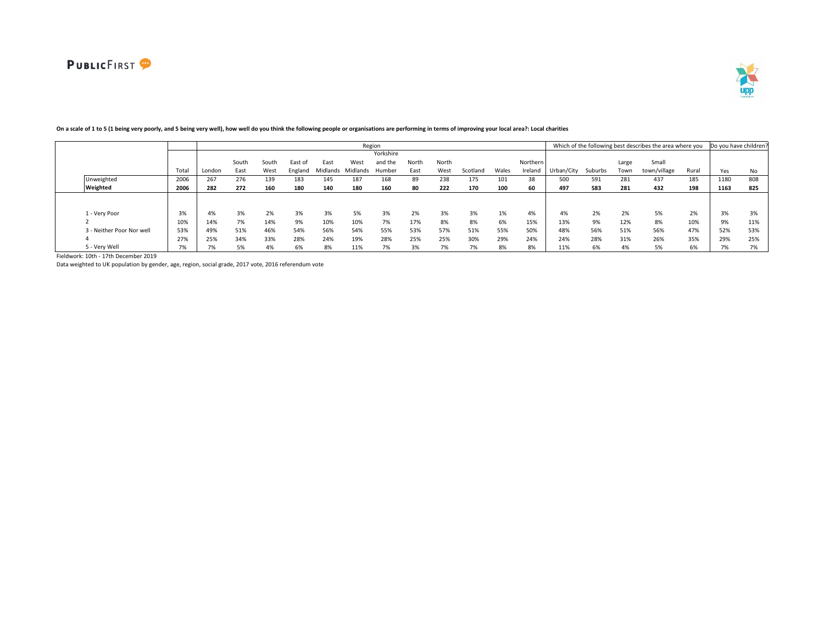

|                           |       |        |       |       |         |      |                   | Region    |       |       |              |       |          |            |         |       | Which of the following best describes the area where you |       | Do you have children |     |
|---------------------------|-------|--------|-------|-------|---------|------|-------------------|-----------|-------|-------|--------------|-------|----------|------------|---------|-------|----------------------------------------------------------|-------|----------------------|-----|
|                           |       |        |       |       |         |      |                   | Yorkshire |       |       |              |       |          |            |         |       |                                                          |       |                      |     |
|                           |       |        | South | South | East of | East | West              | and the   | North | North |              |       | Northern |            |         | Large | Small                                                    |       |                      |     |
|                           | Total | London | East  | West  | England |      | Midlands Midlands | Humber    | East  | West  | Scotland     | Wales | Ireland  | Urban/City | Suburbs | Town  | town/village                                             | Rural | Yes                  | No  |
| Unweighted                | 2006  | 267    | 276   | 139   | 183     | 145  | 187               | 168       | 89    | 238   | 175          | 101   | 38       | 500        | 591     | 281   | 437                                                      | 185   | 1180                 | 808 |
| Weighted                  | 2006  | 282    | 272   | 160   | 180     | 140  | 180               | 160       | 80    | 222   | 170          | 100   | 60       | 497        | 583     | 281   | 432                                                      | 198   | 1163                 | 825 |
|                           |       |        |       |       |         |      |                   |           |       |       |              |       |          |            |         |       |                                                          |       |                      |     |
|                           |       |        |       |       |         |      |                   |           |       |       |              |       |          |            |         |       |                                                          |       |                      |     |
| 1 - Very Poor             | 3%    | 4%     | 3%    | 2%    | 3%      | 3%   | 5%                | 3%        | 2%    | 3%    | 3%           | 1%    | 4%       | 4%         | 2%      | 2%    | 5%                                                       | 2%    | 3%                   | 3%  |
|                           | 10%   | 14%    | 7%    | 14%   | 9%      | 10%  | 10%               | 7%        | 17%   | 8%    | 8%           | 6%    | 15%      | 13%        | 9%      | 12%   | 8%                                                       | 10%   | 9%                   | 11% |
| 3 - Neither Poor Nor well | 53%   | 49%    | 51%   | 46%   | 54%     | 56%  | 54%               | 55%       | 53%   | 57%   | 51%          | 55%   | 50%      | 48%        | 56%     | 51%   | 56%                                                      | 47%   | 52%                  | 53% |
|                           | 27%   | 25%    | 34%   | 33%   | 28%     | 24%  | 19%               | 28%       | 25%   | 25%   | 30%          | 29%   | 24%      | 24%        | 28%     | 31%   | 26%                                                      | 35%   | 29%                  | 25% |
| 5 - Very Well             | 7%    | 7%     | 5%    | 4%    | 6%      | 8%   | 11%               |           | 3%    |       | 70/<br>$1\%$ | 8%    | 8%       | 11%        | 6%      | 4%    | 5%                                                       | 6%    | 7%                   | 7%  |

# **On a scale of 1 to 5 (1 being very poorly, and 5 being very well), how well do you think the following people or organisations are performing in terms of improving your local area?: Local charities**

Fieldwork: 10th - 17th December 2019

Data weighted to UK population by gender, age, region, social grade, 2017 vote, 2016 referendum vote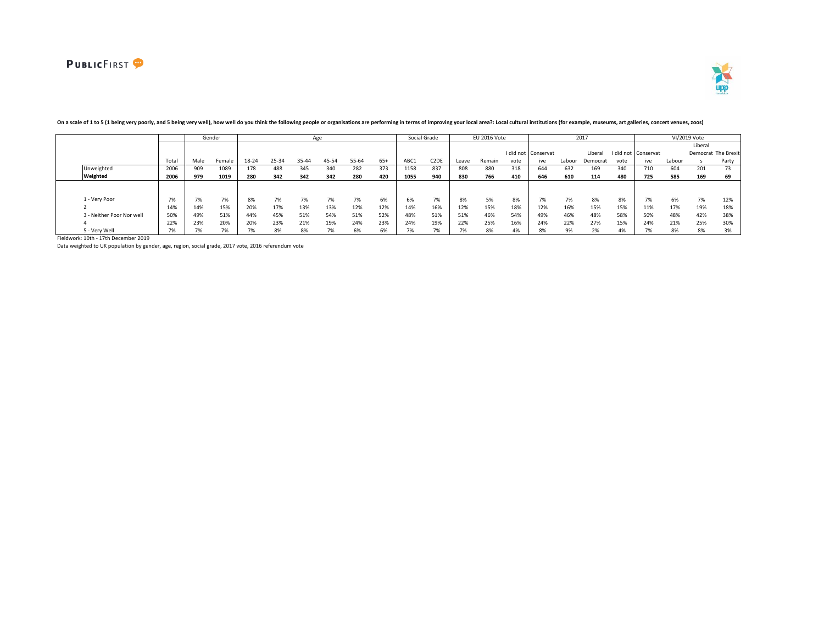

|                           |              |      | Gender |       |       | Age   |       |       |       |      | Social Grade                  |       | <b>EU 2016 Vote</b> |      |                     |        | 2017     |      |                     |        | VI/2019 Vote |                     |
|---------------------------|--------------|------|--------|-------|-------|-------|-------|-------|-------|------|-------------------------------|-------|---------------------|------|---------------------|--------|----------|------|---------------------|--------|--------------|---------------------|
|                           |              |      |        |       |       |       |       |       |       |      |                               |       |                     |      |                     |        |          |      |                     |        | Liberal      |                     |
|                           |              |      |        |       |       |       |       |       |       |      |                               |       |                     |      | I did not Conservat |        | Liberal  |      | I did not Conservat |        |              | Democrat The Brexit |
|                           | Total        | Male | Female | 18-24 | 25-34 | 35-44 | 45-54 | 55-64 | $65+$ | ABC1 | C <sub>2</sub> D <sub>I</sub> | Leave | Remain              | vote | ive                 | Labour | Democrat | vote | ive                 | Labour |              | Party               |
| Unweighted                | 2006         | 909  | 1089   | 178   | 488   | 345   | 340   | 282   | 373   | 1158 | 837                           | 808   | 880                 | 318  | 644                 | 632    | 169      | 340  | 710                 | 604    | 201          | 73                  |
| Weighted                  | 2006         | 979  | 1019   | 280   | 342   | 342   | 342   | 280   | 420   | 1055 | 940                           | 830   | 766                 | 410  | 646                 | 610    | 114      | 480  | 725                 | 585    | 169          | 69                  |
|                           |              |      |        |       |       |       |       |       |       |      |                               |       |                     |      |                     |        |          |      |                     |        |              |                     |
|                           |              |      |        |       |       |       |       |       |       |      |                               |       |                     |      |                     |        |          |      |                     |        |              |                     |
| 1 - Very Poor             | $\mathbf{a}$ | 170  | 7%     | 8%    | 7%    | 7%    | 7%    | 7%    | 6%    | 6%   | $\mathbf{a}$<br>$1\%$         | 8%    | 5%                  | 8%   | $1\%$               | 7%     | 8%       | 8%   | 7%                  | 6%     | 7%           | 12%                 |
|                           | 14%          | 14%  | 15%    | 20%   | 17%   | 13%   | 13%   | 12%   | 12%   | 14%  | 16%                           | 12%   | 15%                 | 18%  | 12%                 | 16%    | 15%      | 15%  | 11%                 | 17%    | 19%          | 18%                 |
| 3 - Neither Poor Nor well | 50%          | 49%  | 51%    | 44%   | 45%   | 51%   | 54%   | 51%   | 52%   | 48%  | 51%                           | 51%   | 46%                 | 54%  | 49%                 | 46%    | 48%      | 58%  | 50%                 | 48%    | 42%          | 38%                 |
|                           | 22%          | 23%  | 20%    | 20%   | 23%   | 21%   | 19%   | 24%   | 23%   | 24%  | 19%                           | 22%   | 25%                 | 16%  | 24%                 | 22%    | 27%      | 15%  | 24%                 | 21%    | 25%          | 30%                 |
| 5 - Verv Well             |              |      |        |       | 8%    |       |       |       | 6%    |      |                               | 7%    | 8%                  | 4%   |                     |        |          |      |                     | 8%     | 8%           |                     |

### On a scale of 1 to 5 (1 being very poorly, and 5 being very well), how well do you think the following people or organisations are performing in terms of improving your local area?: Local cultural institutions (for example

Fieldwork: 10th - 17th December 2019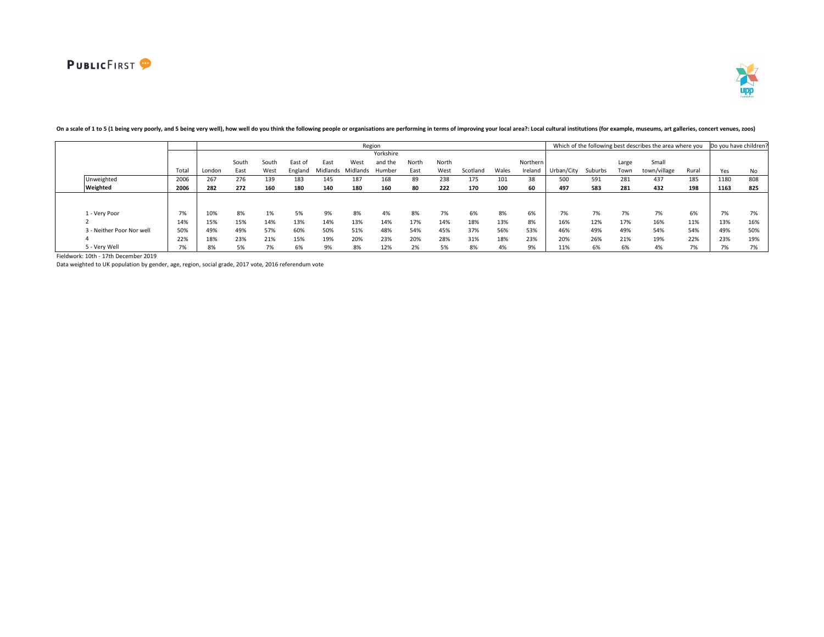

|                           |       |        |       |       |         |          |          | Region    |       |       |          |       |          |            |         |       | Which of the following best describes the area where you |       | Do you have children? |     |
|---------------------------|-------|--------|-------|-------|---------|----------|----------|-----------|-------|-------|----------|-------|----------|------------|---------|-------|----------------------------------------------------------|-------|-----------------------|-----|
|                           |       |        |       |       |         |          |          | Yorkshire |       |       |          |       |          |            |         |       |                                                          |       |                       |     |
|                           |       |        | South | Soutl | East of | East     | West     | and the   | North | North |          |       | Northern |            |         | Large | Small                                                    |       |                       |     |
|                           | Tota. | London | East  | West  | England | Midlands | Midlands | Humber    | East  | West  | Scotland | Wales | Ireland  | Urban/City | Suburbs | Town  | town/village                                             | Rural | Yes                   | No  |
| Unweighted                | 2006  | 267    | 276   | 139   | 183     | 145      | 187      | 168       | 89    | 238   | 175      | 101   | 38       | 500        | 591     | 281   | 437                                                      | 185   | 1180                  | 808 |
| Weighted                  | 2006  | 282    | 272   | 160   | 180     | 140      | 180      | 160       | 80    | 222   | 170      | 100   | 60       | 497        | 583     | 281   | 432                                                      | 198   | 1163                  | 825 |
|                           |       |        |       |       |         |          |          |           |       |       |          |       |          |            |         |       |                                                          |       |                       |     |
|                           |       |        |       |       |         |          |          |           |       |       |          |       |          |            |         |       |                                                          |       |                       |     |
| 1 - Verv Poor             | 7%    | 10%    | 8%    | 1%    | 5%      | 9%       | 8%       | 4%        | 8%    | 7%    | 6%       | 8%    | 6%       | 7%         | 7%      | 7%    | 7%                                                       | 6%    | 7%                    | 7%  |
|                           | 14%   | 15%    | 15%   | 14%   | 13%     | 14%      | 13%      | 14%       | 17%   | 14%   | 18%      | 13%   | 8%       | 16%        | 12%     | 17%   | 16%                                                      | 11%   | 13%                   | 16% |
| 3 - Neither Poor Nor well | 50%   | 49%    | 49%   | 57%   | 60%     | 50%      | 51%      | 48%       | 54%   | 45%   | 37%      | 56%   | 53%      | 46%        | 49%     | 49%   | 54%                                                      | 54%   | 49%                   | 50% |
|                           | 22%   | 18%    | 23%   | 21%   | 15%     | 19%      | 20%      | 23%       | 20%   | 28%   | 31%      | 18%   | 23%      | 20%        | 26%     | 21%   | 19%                                                      | 22%   | 23%                   | 19% |
| 5 - Verv Well             | 7%    | 8%     | 5%    | 7%    | 6%      | 9%       | 8%       | 12%       | 2%    | 5%    | 8%       | 4%    | 9%       | 11%        | 6%      | 6%    | 4%                                                       | 7%    | 7%                    | 7%  |

# On a scale of 1 to 5 (1 being very poorly, and 5 being very well), how well do you think the following people or organisations are performing in terms of improving your local area?: Local cultural institutions (for example

Fieldwork: 10th - 17th December 2019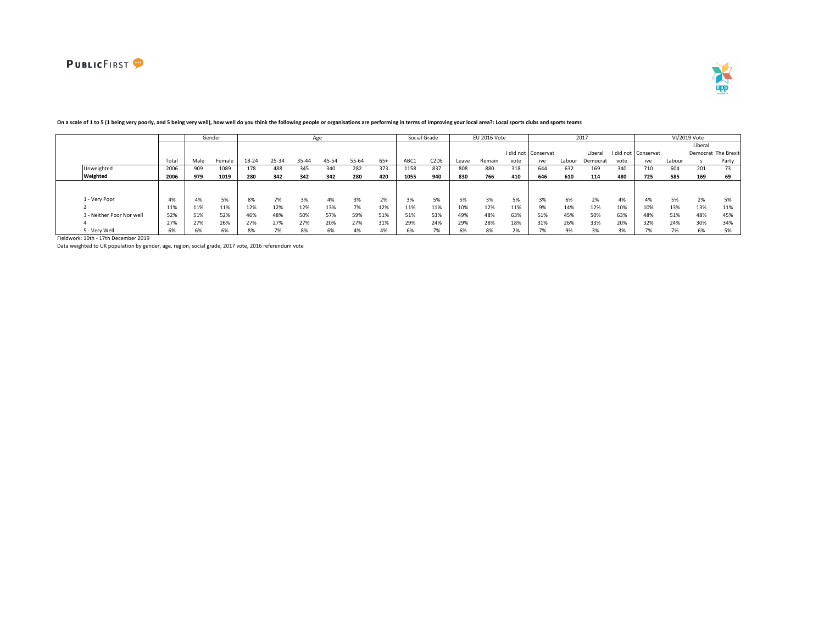



|                           |       |      | Gender |       |       | Age   |       |       |       |      | Social Grade      |       | <b>EU 2016 Vote</b> |      |                     |        | 2017     |      |                          |        | VI/2019 Vote |                     |
|---------------------------|-------|------|--------|-------|-------|-------|-------|-------|-------|------|-------------------|-------|---------------------|------|---------------------|--------|----------|------|--------------------------|--------|--------------|---------------------|
|                           |       |      |        |       |       |       |       |       |       |      |                   |       |                     |      |                     |        |          |      |                          |        | Liberal      |                     |
|                           |       |      |        |       |       |       |       |       |       |      |                   |       |                     |      | I did not Conservat |        | Liberal  |      | I did not Conservat      |        |              | Democrat The Brexit |
|                           | Total | Male | Female | 18-24 | 25-34 | 35-44 | 45-54 | 55-64 | $65+$ | ABC1 | C <sub>2</sub> DE | Leave | Remain              | vote | ive                 | Labour | Democrat | vote | ive                      | Labour |              | Party               |
| Unweighted                | 2006  | 909  | 1089   | 178   | 488   | 345   | 340   | 282   | 373   | 1158 | 837               | 808   | 880                 | 318  | 644                 | 632    | 169      | 340  | 710                      | 604    | 201          | 73                  |
| Weighted                  | 2006  | 979  | 1019   | 280   | 342   | 342   | 342   | 280   | 420   | 1055 | 940               | 830   | 766                 | 410  | 646                 | 610    | 114      | 480  | 725                      | 585    | 169          | 69                  |
|                           |       |      |        |       |       |       |       |       |       |      |                   |       |                     |      |                     |        |          |      |                          |        |              |                     |
|                           |       |      |        |       |       |       |       |       |       |      |                   |       |                     |      |                     |        |          |      |                          |        |              |                     |
| 1 - Very Poor             | 4%    | 4%   | 5%     | 8%    | 7%    | 3%    | 4%    | 3%    | 2%    | 3%   | 5%                | 5%    | 3%                  | 5%   | 20<br>3%            | 6%     | 2%       | 4%   | 4%                       | 5%     | 2%           | 5%                  |
|                           | 11%   | 11%  | 11%    | 12%   | 12%   | 12%   | 13%   | 7%    | 12%   | 11%  | 11%               | 10%   | 12%                 | 11%  | 9%                  | 14%    | 12%      | 10%  | 10%                      | 13%    | 13%          | 11%                 |
| 3 - Neither Poor Nor well | 52%   | 51%  | 52%    | 46%   | 48%   | 50%   | 57%   | 59%   | 51%   | 51%  | 53%               | 49%   | 48%                 | 63%  | 51%                 | 45%    | 50%      | 63%  | 48%                      | 51%    | 48%          | 45%                 |
|                           | 27%   | 27%  | 26%    | 27%   | 27%   | 27%   | 20%   | 27%   | 31%   | 29%  | 24%               | 29%   | 28%                 | 18%  | 31%                 | 26%    | 33%      | 20%  | 32%                      | 24%    | 30%          | 34%                 |
| 5 - Very Well             | 6%    | O70  | 6%     | 8%    | 7%    | 8%    | 6%    | 4%    | 4%    | b%   | --                | 6%    | 8%                  | 2%   |                     | 9%     | 3%       | 3%   | $\overline{\phantom{a}}$ | 7%     | 6%           |                     |

### On a scale of 1 to 5 (1 being very poorly, and 5 being very well), how well do you think the following people or organisations are performing in terms of improving your local area?: Local sports clubs and sports teams

Fieldwork: 10th - 17th December 2019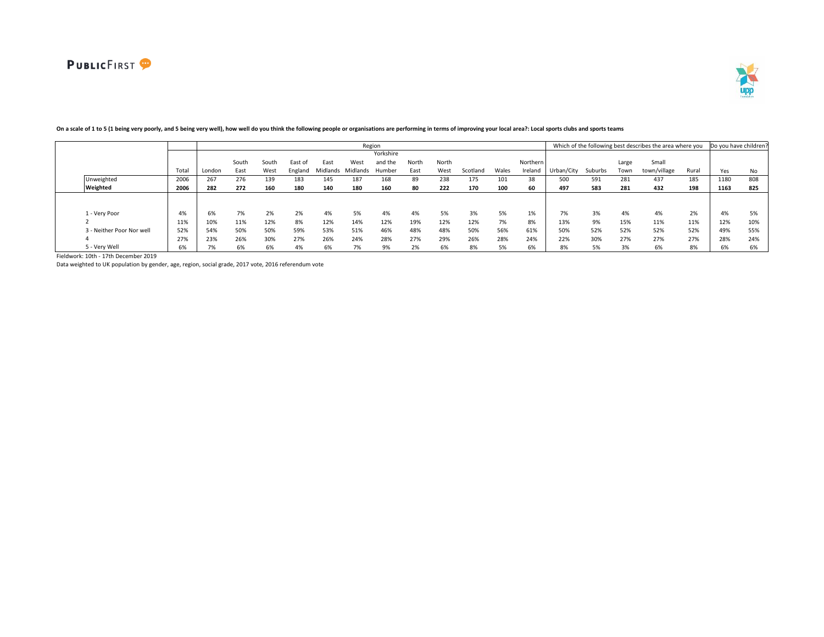

|                           |      |        |       |       |         |          |          | Region    |       |       |          |       |          |            |         |       | Which of the following best describes the area where you |       | Do you have children? |     |
|---------------------------|------|--------|-------|-------|---------|----------|----------|-----------|-------|-------|----------|-------|----------|------------|---------|-------|----------------------------------------------------------|-------|-----------------------|-----|
|                           |      |        |       |       |         |          |          | Yorkshire |       |       |          |       |          |            |         |       |                                                          |       |                       |     |
|                           |      |        | South | Soutl | East of | East     | West     | and the   | North | North |          |       | Northern |            |         | Large | Small                                                    |       |                       |     |
|                           | Tota | London | East  | West  | England | Midlands | Midlands | Humber    | East  | West  | Scotland | Wales | Ireland  | Urban/City | Suburbs | Town  | town/village                                             | Rural | Yes                   | No  |
| Unweighted                | 2006 | 267    | 276   | 139   | 183     | 145      | 187      | 168       | 89    | 238   | 175      | 101   | 38       | 500        | 591     | 281   | 437                                                      | 185   | 1180                  | 808 |
| Weighted                  | 2006 | 282    | 272   | 160   | 180     | 140      | 180      | 160       | 80    | 222   | 170      | 100   | 60       | 497        | 583     | 281   | 432                                                      | 198   | 1163                  | 825 |
|                           |      |        |       |       |         |          |          |           |       |       |          |       |          |            |         |       |                                                          |       |                       |     |
|                           |      |        |       |       |         |          |          |           |       |       |          |       |          |            |         |       |                                                          |       |                       |     |
| 1 - Verv Poor             | 4%   | 6%     | 7%    | 2%    | 2%      | 4%       | 5%       | 4%        | 4%    | 5%    | 3%       | 5%    | 1%       | 7%         | 3%      | 4%    | 4%                                                       | 2%    | 4%                    | 5%  |
|                           | 11%  | 10%    | 11%   | 12%   | 8%      | 12%      | 14%      | 12%       | 19%   | 12%   | 12%      | 7%    | 8%       | 13%        | 9%      | 15%   | 11%                                                      | 11%   | 12%                   | 10% |
| 3 - Neither Poor Nor well | 52%  | 54%    | 50%   | 50%   | 59%     | 53%      | 51%      | 46%       | 48%   | 48%   | 50%      | 56%   | 61%      | 50%        | 52%     | 52%   | 52%                                                      | 52%   | 49%                   | 55% |
|                           | 27%  | 23%    | 26%   | 30%   | 27%     | 26%      | 24%      | 28%       | 27%   | 29%   | 26%      | 28%   | 24%      | 22%        | 30%     | 27%   | 27%                                                      | 27%   | 28%                   | 24% |
| 5 - Very Well             | 6%   | 7%     | 6%    | 6%    | 4%      | 6%       | 7%       | 9%        | 2%    | 6%    | 8%       | 5%    | 6%       | 8%         | 5%      | 3%    | 6%                                                       | 8%    | 6%                    | 6%  |

# On a scale of 1 to 5 (1 being very poorly, and 5 being very well), how well do you think the following people or organisations are performing in terms of improving your local area?: Local sports clubs and sports teams

Fieldwork: 10th - 17th December 2019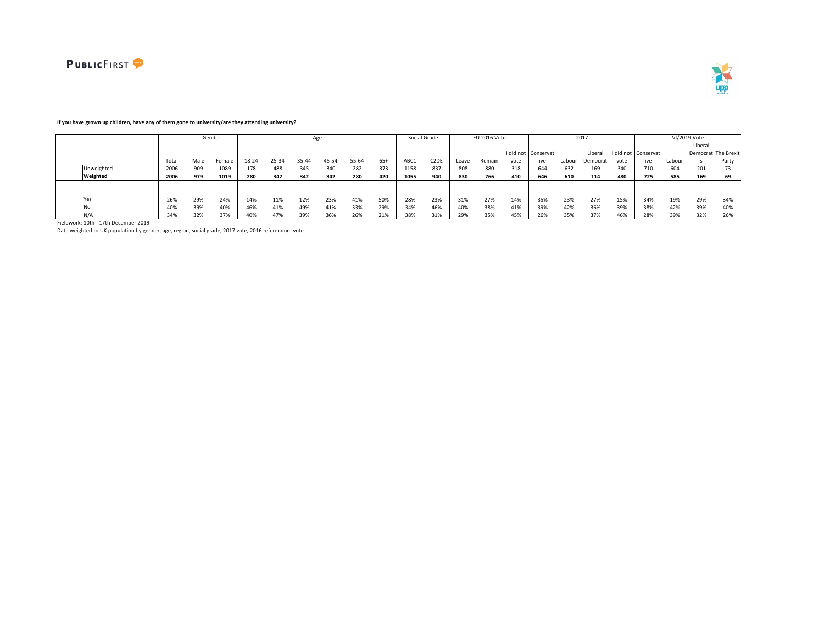



### **If you have grown up children, have any of them gone to university/are they attending university?**

|            |       |      | Gender |       |       |       | Age   |       |       |      | Social Grade                  |       | EU 2016 Vote |      |                     |        | 2017     |      |                     |        | VI/2019 Vote |                     |
|------------|-------|------|--------|-------|-------|-------|-------|-------|-------|------|-------------------------------|-------|--------------|------|---------------------|--------|----------|------|---------------------|--------|--------------|---------------------|
|            |       |      |        |       |       |       |       |       |       |      |                               |       |              |      |                     |        |          |      |                     |        | Liberal      |                     |
|            |       |      |        |       |       |       |       |       |       |      |                               |       |              |      | I did not Conservat |        | Liberal  |      | I did not Conservat |        |              | Democrat The Brexit |
|            | Total | Male | Female | 18-24 | 25-34 | 35-44 | 45-54 | 55-64 | $65+$ | ABC1 | C <sub>2</sub> D <sub>I</sub> | Leave | Remain       | vote | ive                 | Labour | Democrat | vote | ive                 | Labour |              | Party               |
| Unweighted | 2006  | 909  | 1089   | 178   | 488   | 345   | 340   | 282   | 373   | 1158 | 837                           | 808   | 880          | 318  | 644                 | 632    | 169      | 340  | 710                 | 604    | 201          |                     |
| Weighted   | 2006  | 979  | 1019   | 280   | 342   | 342   | 342   | 280   | 420   | 1055 | 940                           | 830   | 766          | 410  | 646                 | 610    | 114      | 480  | 725                 | 585    | 169          | 69                  |
|            |       |      |        |       |       |       |       |       |       |      |                               |       |              |      |                     |        |          |      |                     |        |              |                     |
|            |       |      |        |       |       |       |       |       |       |      |                               |       |              |      |                     |        |          |      |                     |        |              |                     |
| Yes        | 26%   | 29%  | 24%    | 14%   | 11%   | 12%   | 23%   | 41%   | 50%   | 28%  | 23%                           | 31%   | 27%          | 14%  | 35%                 | 23%    | 27%      | 15%  | 34%                 | 19%    | 29%          | 34%                 |
| No         | 40%   | 39%  | 40%    | 46%   | 41%   | 49%   | 41%   | 33%   | 29%   | 34%  | 46%                           | 40%   | 38%          | 41%  | 39%                 | 42%    | 36%      | 39%  | 38%                 | 42%    | 39%          | 40%                 |
| N/A        | 34%   | 32%  | 37%    | 40%   | 47%   | 39%   | 36%   | 26%   | 21%   | 38%  | 31%                           | 29%   | 35%          | 45%  | 26%                 | 35%    | 37%      | 46%  | 28%                 | 39%    | 32%          | 26%                 |

Fieldwork: 10th - 17th December 2019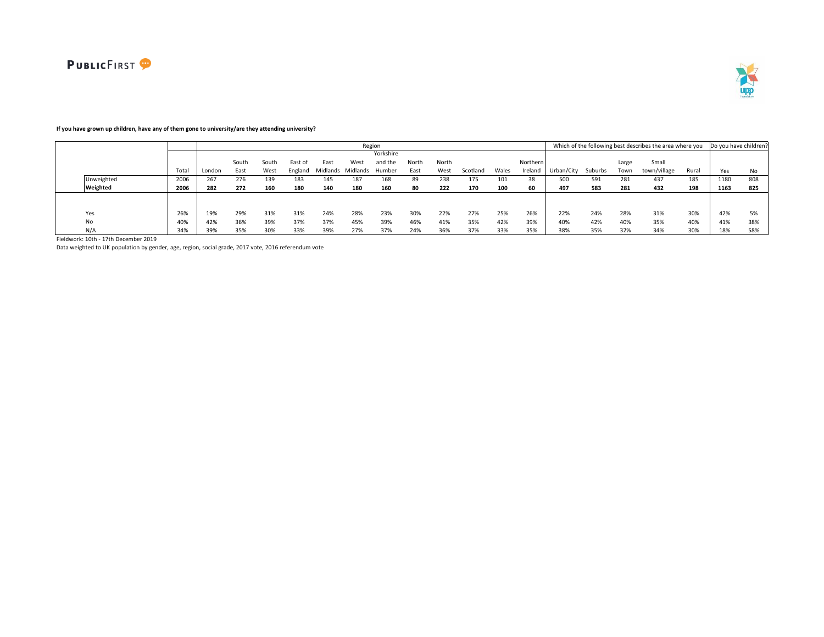



# **If you have grown up children, have any of them gone to university/are they attending university?**

|            |      |        |       |       |         |                   |      | Region    |       |       |          |       |          |            |         |       | Which of the following best describes the area where you Do you have children? |       |      |     |
|------------|------|--------|-------|-------|---------|-------------------|------|-----------|-------|-------|----------|-------|----------|------------|---------|-------|--------------------------------------------------------------------------------|-------|------|-----|
|            |      |        |       |       |         |                   |      | Yorkshire |       |       |          |       |          |            |         |       |                                                                                |       |      |     |
|            |      |        | South | South | East of | East              | West | and the   | North | North |          |       | Northern |            |         | Large | Small                                                                          |       |      |     |
|            | Tota | London | East  | West  | England | Midlands Midlands |      | Humber    | East  | West  | Scotland | Wales | Ireland  | Urban/City | Suburbs | Town  | town/village                                                                   | Rural | Yes  | No. |
| Unweighted | 2006 | 267    | 276   | 139   | 183     | 145               | 187  | 168       | 89    | 238   | 175      | 101   | 38       | 500        | 591     | 281   | 437                                                                            | 185   | 1180 | 808 |
| Weighted   | 2006 | 282    | 272   | 160   | 180     | 140               | 180  | 160       | 80    | 222   | 170      | 100   | 60       | 497        | 583     | 281   | 432                                                                            | 198   | 1163 | 825 |
|            |      |        |       |       |         |                   |      |           |       |       |          |       |          |            |         |       |                                                                                |       |      |     |
|            |      |        |       |       |         |                   |      |           |       |       |          |       |          |            |         |       |                                                                                |       |      |     |
| Yes        | 26%  | 19%    | 29%   | 31%   | 31%     | 24%               | 28%  | 23%       | 30%   | 22%   | 27%      | 25%   | 26%      | 22%        | 24%     | 28%   | 31%                                                                            | 30%   | 42%  |     |
| No         | 40%  | 42%    | 36%   | 39%   | 37%     | 37%               | 45%  | 39%       | 46%   | 41%   | 35%      | 42%   | 39%      | 40%        | 42%     | 40%   | 35%                                                                            | 40%   | 41%  | 38% |
| N/A        | 34%  | 39%    | 35%   | 30%   | 33%     | 39%               | 27%  | 37%       | 24%   | 36%   | 37%      | 33%   | 35%      | 38%        | 35%     | 32%   | 34%                                                                            | 30%   | 18%  | 58% |

Fieldwork: 10th - 17th December 2019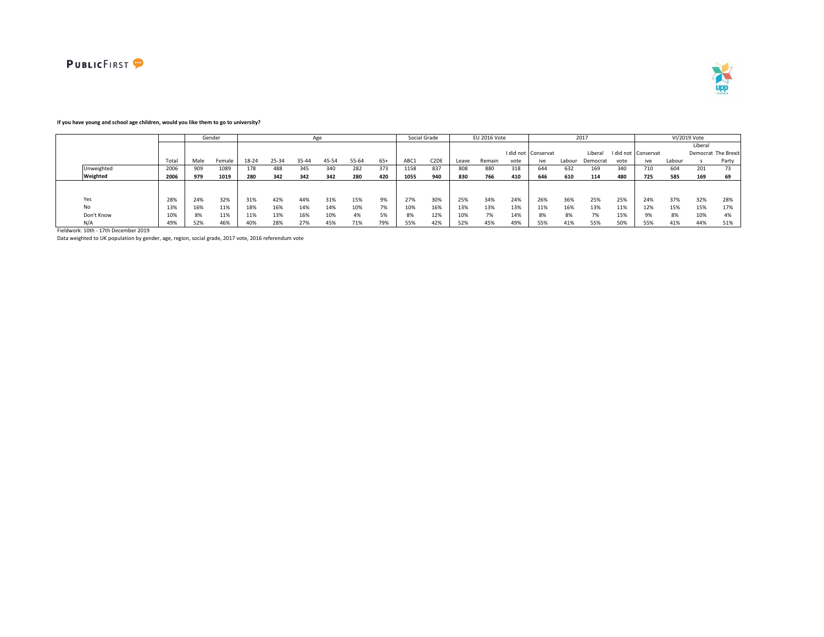



### **If you have young and school age children, would you like them to go to university?**

|            |       |      | Gender |       |       |           | Age   |       |                                 |      | Social Grade      |       | EU 2016 Vote |      |                     |        | 2017     |      |                     |        | VI/2019 Vote |                     |
|------------|-------|------|--------|-------|-------|-----------|-------|-------|---------------------------------|------|-------------------|-------|--------------|------|---------------------|--------|----------|------|---------------------|--------|--------------|---------------------|
|            |       |      |        |       |       |           |       |       |                                 |      |                   |       |              |      |                     |        |          |      |                     |        | Liberal      |                     |
|            |       |      |        |       |       |           |       |       |                                 |      |                   |       |              |      | I did not Conservat |        | Libera   |      | I did not Conservat |        |              | Democrat The Brexit |
|            | Total | Male | Female | 18-24 | 25-34 | $35 - 40$ | 45-54 | 55-64 | $65+$                           | ABC1 | C <sub>2</sub> DF | Leave | Remain       | vote | ive                 | Labour | Democrat | vote | ive                 | Labour |              | Party               |
| Unweighted | 2006  | 909  | 1089   | 178   | 488   | 345       | 340   | 282   | 373                             | 1158 | 837               | 808   | 880          | 318  | 644                 | 632    | 169      | 340  | 710                 | 604    | 201          | 73                  |
| Weighted   | 2006  | 979  | 1019   | 280   | 342   | 342       | 342   | 280   | 420                             | 1055 | 940               | 830   | 766          | 410  | 646                 | 610    | 114      | 480  | 725                 | 585    | 169          | 69                  |
|            |       |      |        |       |       |           |       |       |                                 |      |                   |       |              |      |                     |        |          |      |                     |        |              |                     |
|            |       |      |        |       |       |           |       |       |                                 |      |                   |       |              |      |                     |        |          |      |                     |        |              |                     |
| Yes        | 28%   | 24%  | 32%    | 31%   | 42%   | 44%       | 31%   | 15%   | 9%                              | 27%  | 30%               | 25%   | 34%          | 24%  | 26%                 | 36%    | 25%      | 25%  | 24%                 | 37%    | 32%          | 28%                 |
| No         | 13%   | 16%  | 11%    | 18%   | 16%   | 14%       | 14%   | 10%   | $\overline{\phantom{a}}$<br>170 | 10%  | 16%               | 13%   | 13%          | 13%  | 11%                 | 16%    | 13%      | 11%  | 12%                 | 15%    | 15%          | 17%                 |
| Don't Know | 10%   | 8%   | 11%    | 11%   | 13%   | 16%       | 10%   | 4%    | 5%                              |      | 12%               | 10%   | 7%           | 14%  | 8%                  | 8%     | 7%       | 15%  |                     | 8%     | 10%          | 4%                  |
| N/A        | 49%   | 52%  | 46%    | 40%   | 28%   | 27%       | 45%   | 71%   | 79%                             | 55%  | 42%               | 52%   | 45%          | 49%  | 55%                 | 41%    | 55%      | 50%  | 55%                 | 41%    | 44%          | 51%                 |

Fieldwork: 10th - 17th December 2019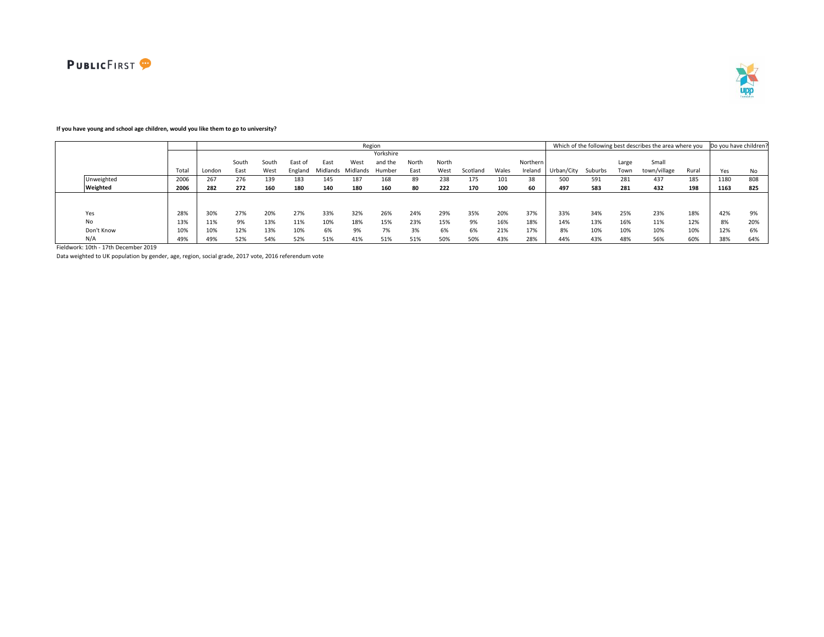

# **If you have young and school age children, would you like them to go to university?**

|            |      |        |       |       |         |                   | Region |           |       |       |          |       |          |            |         |       | Which of the following best describes the area where you |       | Do you have children? |     |
|------------|------|--------|-------|-------|---------|-------------------|--------|-----------|-------|-------|----------|-------|----------|------------|---------|-------|----------------------------------------------------------|-------|-----------------------|-----|
|            |      |        |       |       |         |                   |        | Yorkshire |       |       |          |       |          |            |         |       |                                                          |       |                       |     |
|            |      |        | South | South | East of | East              | West   | and the   | North | North |          |       | Northern |            |         | Large | Small                                                    |       |                       |     |
|            | Tota | London | East  | West  | England | Midlands Midlands |        | Humber    | East  | West  | Scotland | Wales | Ireland  | Urban/City | Suburbs | Town  | town/village                                             | Rural | Yes                   | No  |
| Unweighted | 2006 | 267    | 276   | 139   | 183     | 145               | 187    | 168       | 89    | 238   | 175      | 101   | 38       | 500        | 591     | 281   | 437                                                      | 185   | 1180                  | 808 |
| Weighted   | 2006 | 282    | 272   | 160   | 180     | 140               | 180    | 160       | 80    | 222   | 170      | 100   | 60       | 497        | 583     | 281   | 432                                                      | 198   | 1163                  | 825 |
|            |      |        |       |       |         |                   |        |           |       |       |          |       |          |            |         |       |                                                          |       |                       |     |
|            |      |        |       |       |         |                   |        |           |       |       |          |       |          |            |         |       |                                                          |       |                       |     |
| Yes        | 28%  | 30%    | 27%   | 20%   | 27%     | 33%               | 32%    | 26%       | 24%   | 29%   | 35%      | 20%   | 37%      | 33%        | 34%     | 25%   | 23%                                                      | 18%   | 42%                   |     |
| No         | 13%  | 11%    | 9%    | 13%   | 11%     | 10%               | 18%    | 15%       | 23%   | 15%   | 9%       | 16%   | 18%      | 14%        | 13%     | 16%   | 11%                                                      | 12%   | 8%                    | 20% |
| Don't Know | 10%  | 10%    | 12%   | 13%   | 10%     | 6%                | 9%     | 7%        | 3%    | 6%    | 6%       | 21%   | 17%      | 8%         | 10%     | 10%   | 10%                                                      | 10%   | 12%                   | 6%  |
| N/A        | 49%  | 49%    | 52%   | 54%   | 52%     | 51%               | 41%    | 51%       | 51%   | 50%   | 50%      | 43%   | 28%      | 44%        | 43%     | 48%   | 56%                                                      | 60%   | 38%                   | 64% |

Fieldwork: 10th - 17th December 2019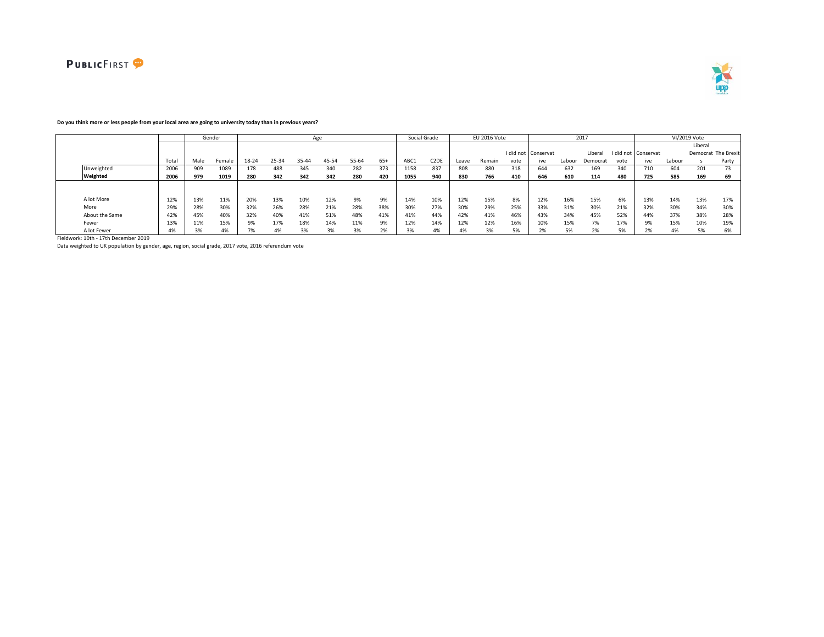



### **Do you think more or less people from your local area are going to university today than in previous years?**

|                |       |      | Gender |       |       |       | Age   |       |       |      | Social Grade      |       | EU 2016 Vote |      |                     |        | 2017     |      |                     |        | VI/2019 Vote |                     |
|----------------|-------|------|--------|-------|-------|-------|-------|-------|-------|------|-------------------|-------|--------------|------|---------------------|--------|----------|------|---------------------|--------|--------------|---------------------|
|                |       |      |        |       |       |       |       |       |       |      |                   |       |              |      |                     |        |          |      |                     |        | Liberal      |                     |
|                |       |      |        |       |       |       |       |       |       |      |                   |       |              |      | I did not Conservat |        | Liberal  |      | I did not Conservat |        |              | Democrat The Brexit |
|                | Total | Male | Female | 18-24 | 25-34 | 35-44 | 45-54 | 55-64 | $65+$ | ABC1 | C <sub>2</sub> DE | Leave | Remain       | vote | ive                 | Labour | Democrat | vote | ive                 | Labour |              | Party               |
| Unweighted     | 2006  | 909  | 1089   | 178   | 488   | 345   | 340   | 282   | 373   | 1158 | 837               | 808   | 880          | 318  | 644                 | 632    | 169      | 340  | 710                 | 604    | 201          | 73                  |
| Weighted       | 2006  | 979  | 1019   | 280   | 342   | 342   | 342   | 280   | 420   | 1055 | 940               | 830   | 766          | 410  | 646                 | 610    | 114      | 480  | 725                 | 585    | 169          | 69                  |
|                |       |      |        |       |       |       |       |       |       |      |                   |       |              |      |                     |        |          |      |                     |        |              |                     |
|                |       |      |        |       |       |       |       |       |       |      |                   |       |              |      |                     |        |          |      |                     |        |              |                     |
| A lot More     | 12%   | 13%  | 11%    | 20%   | 13%   | 10%   | 12%   | 9%    | 9%    | 14%  | 10%               | 12%   | 15%          | 8%   | 12%                 | 16%    | 15%      | 6%   | 13%                 | 14%    | 13%          | 17%                 |
| More           | 29%   | 28%  | 30%    | 32%   | 26%   | 28%   | 21%   | 28%   | 38%   | 30%  | 27%               | 30%   | 29%          | 25%  | 33%                 | 31%    | 30%      | 21%  | 32%                 | 30%    | 34%          | 30%                 |
| About the Same | 42%   | 45%  | 40%    | 32%   | 40%   | 41%   | 51%   | 48%   | 41%   | 41%  | 44%               | 42%   | 41%          | 46%  | 43%                 | 34%    | 45%      | 52%  | 44%                 | 37%    | 38%          | 28%                 |
| Fewer          | 13%   | 11%  | 15%    | 9%    | 17%   | 18%   | 14%   | 11%   | 9%    | 12%  | 14%               | 12%   | 12%          | 16%  | 10%                 | 15%    | 7%       | 17%  |                     | 15%    | 10%          | 19%                 |
| A lot Fewer    | 4%    | 3%   | 4%     | 7%    | 4%    | 3%    | 3%    | 3%    | 2%    |      | 4%                | 4%    | 3%           | 5%   | 201<br>2%           | 5%     | 2%       | 5%   |                     | 4%     | 5%           | 6%                  |

Fieldwork: 10th - 17th December 2019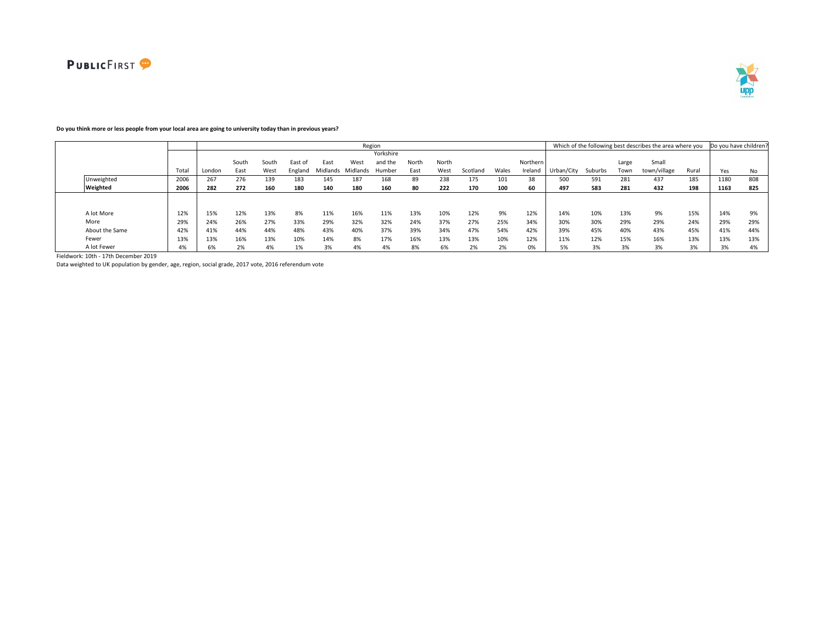



# **Do you think more or less people from your local area are going to university today than in previous years?**

|                |       |        |       |       |         |          |          | Region    |       |       |          |       |          |            |         |       | Which of the following best describes the area where you |       | Do you have children? |     |
|----------------|-------|--------|-------|-------|---------|----------|----------|-----------|-------|-------|----------|-------|----------|------------|---------|-------|----------------------------------------------------------|-------|-----------------------|-----|
|                |       |        |       |       |         |          |          | Yorkshire |       |       |          |       |          |            |         |       |                                                          |       |                       |     |
|                |       |        | South | South | East of | East     | West     | and the   | North | North |          |       | Northern |            |         | Large | Small                                                    |       |                       |     |
|                | Total | London | East  | West  | England | Midlands | Midlands | Humber    | East  | West  | Scotland | Wales | Ireland  | Urban/City | Suburbs | Town  | town/village                                             | Rural | Yes                   | No  |
| Unweighted     | 2006  | 267    | 276   | 139   | 183     | 145      | 187      | 168       | 89    | 238   | 175      | 101   | 38       | 500        | 591     | 281   | 437                                                      | 185   | 1180                  | 808 |
| Weighted       | 2006  | 282    | 272   | 160   | 180     | 140      | 180      | 160       | 80    | 222   | 170      | 100   | 60       | 497        | 583     | 281   | 432                                                      | 198   | 1163                  | 825 |
|                |       |        |       |       |         |          |          |           |       |       |          |       |          |            |         |       |                                                          |       |                       |     |
|                |       |        |       |       |         |          |          |           |       |       |          |       |          |            |         |       |                                                          |       |                       |     |
| A lot More     | 12%   | 15%    | 12%   | 13%   | 8%      | 11%      | 16%      | 11%       | 13%   | 10%   | 12%      | 9%    | 12%      | 14%        | 10%     | 13%   | 9%                                                       | 15%   | 14%                   | 9%  |
| More           | 29%   | 24%    | 26%   | 27%   | 33%     | 29%      | 32%      | 32%       | 24%   | 37%   | 27%      | 25%   | 34%      | 30%        | 30%     | 29%   | 29%                                                      | 24%   | 29%                   | 29% |
| About the Same | 42%   | 41%    | 44%   | 44%   | 48%     | 43%      | 40%      | 37%       | 39%   | 34%   | 47%      | 54%   | 42%      | 39%        | 45%     | 40%   | 43%                                                      | 45%   | 41%                   | 44% |
| Fewer          | 13%   | 13%    | 16%   | 13%   | 10%     | 14%      | 8%       | 17%       | 16%   | 13%   | 13%      | 10%   | 12%      | 11%        | 12%     | 15%   | 16%                                                      | 13%   | 13%                   | 13% |
| A lot Fewer    | 4%    | 6%     | 2%    | 4%    | 1%      | 3%       | 4%       | 4%        | 8%    | 6%    | 2%       | 2%    | 0%       | 5%         | 3%      | 3%    | 3%                                                       | 3%    | 3%                    | 4%  |

Fieldwork: 10th - 17th December 2019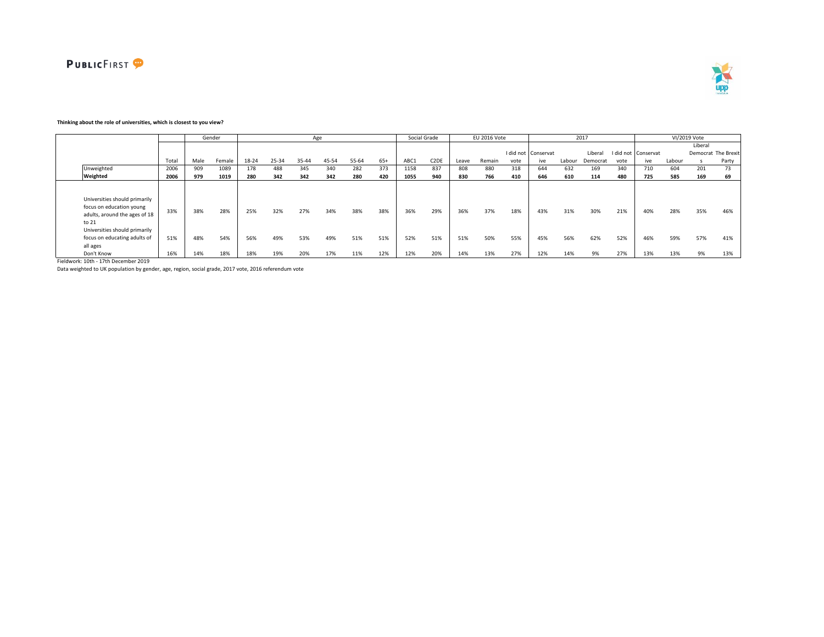



### **Thinking about the role of universities, which is closest to you view?**

|                                                                                                                                                                                  |            |            | Gender     |            |            | Age        |            |            |            |            | Social Grade      |            | EU 2016 Vote |            |                     |            | 2017       |            |                     |            | VI/2019 Vote |                     |
|----------------------------------------------------------------------------------------------------------------------------------------------------------------------------------|------------|------------|------------|------------|------------|------------|------------|------------|------------|------------|-------------------|------------|--------------|------------|---------------------|------------|------------|------------|---------------------|------------|--------------|---------------------|
|                                                                                                                                                                                  |            |            |            |            |            |            |            |            |            |            |                   |            |              |            |                     |            |            |            |                     |            | Liberal      |                     |
|                                                                                                                                                                                  |            |            |            |            |            |            |            |            |            |            |                   |            |              |            | I did not Conservat |            | Liberal    |            | I did not Conservat |            |              | Democrat The Brexit |
|                                                                                                                                                                                  | Total      | Male       | Female     | 18-24      | 25-34      | 35-44      | 45-54      | 55-64      | $65+$      | ABC1       | C <sub>2</sub> DE | Leave      | Remain       | vote       | ive                 | Labour     | Democrat   | vote       | ive                 | Labour     |              | Party               |
| Unweighted                                                                                                                                                                       | 2006       | 909        | 1089       | 178        | 488        | 345        | 340        | 282        | 373        | 1158       | 837               | 808        | 880          | 318        | 644                 | 632        | 169        | 340        | 710                 | 604        | 201          | 73                  |
| Weighted                                                                                                                                                                         | 2006       | 979        | 1019       | 280        | 342        | 342        | 342        | 280        | 420        | 1055       | 940               | 830        | 766          | 410        | 646                 | 610        | 114        | 480        | 725                 | 585        | 169          | 69                  |
| Universities should primarily<br>focus on education young<br>adults, around the ages of 18<br>to 21<br>Universities should primarily<br>focus on educating adults of<br>all ages | 33%<br>51% | 38%<br>48% | 28%<br>54% | 25%<br>56% | 32%<br>49% | 27%<br>53% | 34%<br>49% | 38%<br>51% | 38%<br>51% | 36%<br>52% | 29%<br>51%        | 36%<br>51% | 37%<br>50%   | 18%<br>55% | 43%<br>45%          | 31%<br>56% | 30%<br>62% | 21%<br>52% | 40%<br>46%          | 28%<br>59% | 35%<br>57%   | 46%<br>41%          |
| Don't Know                                                                                                                                                                       | 16%        | 14%        | 18%        | 18%        | 19%        | 20%        | 17%        | 11%        | 12%        | 12%        | 20%               | 14%        | 13%          | 27%        | 12%                 | 14%        | 9%         | 27%        | 13%                 | 13%        | 9%           | 13%                 |

Fieldwork: 10th - 17th December 2019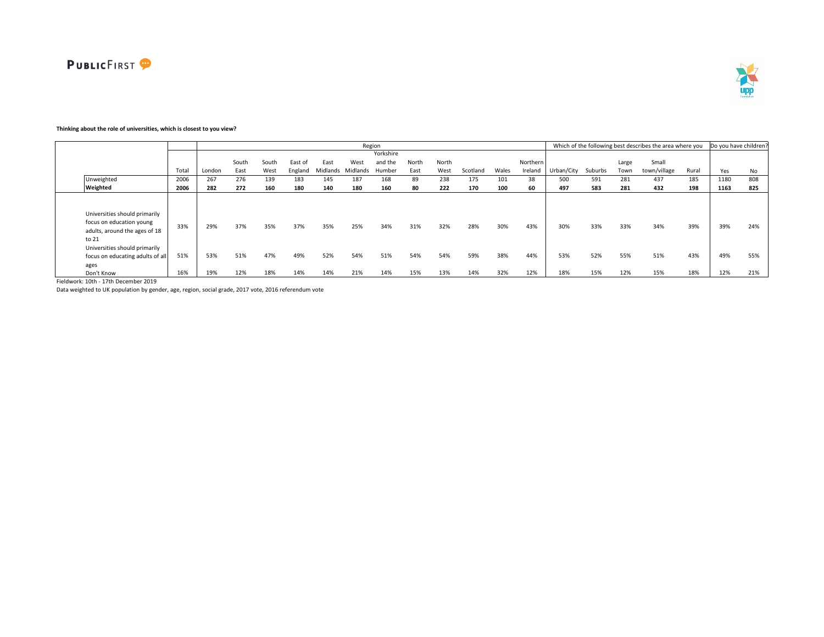



# **Thinking about the role of universities, which is closest to you view?**

|                                                                                                                                                                                  |            |            |            |            |            |            |            | Region     |            |            |            |            |            |            |            |            | Which of the following best describes the area where you |            | Do you have children? |            |
|----------------------------------------------------------------------------------------------------------------------------------------------------------------------------------|------------|------------|------------|------------|------------|------------|------------|------------|------------|------------|------------|------------|------------|------------|------------|------------|----------------------------------------------------------|------------|-----------------------|------------|
|                                                                                                                                                                                  |            |            |            |            |            |            |            | Yorkshire  |            |            |            |            |            |            |            |            |                                                          |            |                       |            |
|                                                                                                                                                                                  |            |            | South      | South      | East of    | East       | West       | and the    | North      | North      |            |            | Northern   |            |            | Large      | Small                                                    |            |                       |            |
|                                                                                                                                                                                  | Total      | London     | East       | West       | England    | Midlands   | Midlands   | Humber     | East       | West       | Scotland   | Wales      | Ireland    | Urban/City | Suburbs    | Town       | town/village                                             | Rural      | Yes                   | No         |
| Unweighted                                                                                                                                                                       | 2006       | 267        | 276        | 139        | 183        | 145        | 187        | 168        | 89         | 238        | 175        | 101        | 38         | 500        | 591        | 281        | 437                                                      | 185        | 1180                  | 808        |
| Weighted                                                                                                                                                                         | 2006       | 282        | 272        | 160        | 180        | 140        | 180        | 160        | 80         | 222        | 170        | 100        | 60         | 497        | 583        | 281        | 432                                                      | 198        | 1163                  | 825        |
| Universities should primarily<br>focus on education young<br>adults, around the ages of 18<br>to 21<br>Universities should primarily<br>focus on educating adults of all<br>ages | 33%<br>51% | 29%<br>53% | 37%<br>51% | 35%<br>47% | 37%<br>49% | 35%<br>52% | 25%<br>54% | 34%<br>51% | 31%<br>54% | 32%<br>54% | 28%<br>59% | 30%<br>38% | 43%<br>44% | 30%<br>53% | 33%<br>52% | 33%<br>55% | 34%<br>51%                                               | 39%<br>43% | 39%<br>49%            | 24%<br>55% |
| Don't Know                                                                                                                                                                       | 16%        | 19%        | 12%        | 18%        | 14%        | 14%        | 21%        | 14%        | 15%        | 13%        | 14%        | 32%        | 12%        | 18%        | 15%        | 12%        | 15%                                                      | 18%        | 12%                   | 21%        |

Fieldwork: 10th - 17th December 2019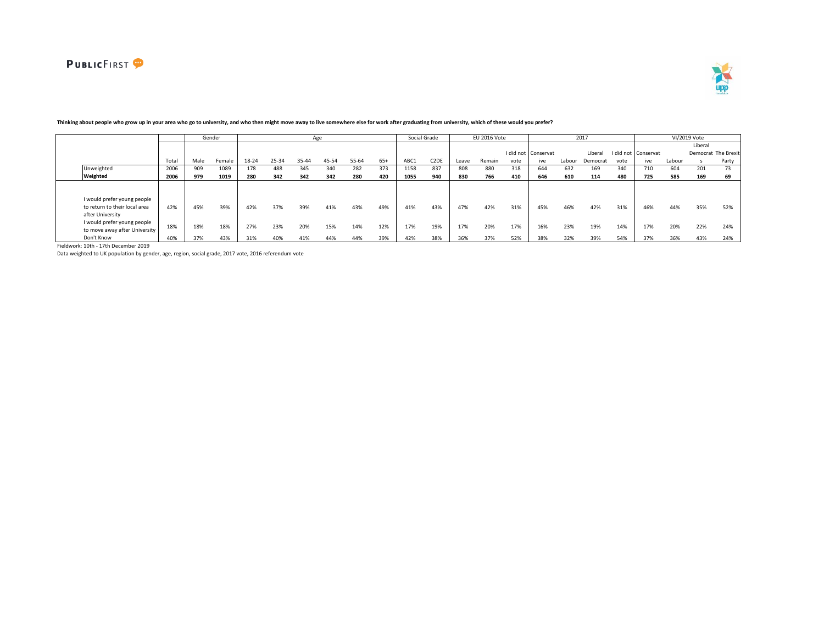

 $\mathbf{r}$ 



|                                                                                  |      |      | Gender |       |       | Age   |       |       |       |      | Social Grade      |       | EU 2016 Vote |      |                     |        | 2017     |      |                     |        | VI/2019 Vote |                     |
|----------------------------------------------------------------------------------|------|------|--------|-------|-------|-------|-------|-------|-------|------|-------------------|-------|--------------|------|---------------------|--------|----------|------|---------------------|--------|--------------|---------------------|
|                                                                                  |      |      |        |       |       |       |       |       |       |      |                   |       |              |      |                     |        |          |      |                     |        | Liberal      |                     |
|                                                                                  |      |      |        |       |       |       |       |       |       |      |                   |       |              |      | I did not Conservat |        | Liberal  |      | I did not Conservat |        |              | Democrat The Brexit |
|                                                                                  | Tota | Male | Female | 18-24 | 25-34 | 35-44 | 45-54 | 55-64 | $65+$ | ABC1 | C <sub>2</sub> DE | Leave | Remain       | vote | ive                 | Labour | Democrat | vote | ive                 | Labour |              | Party               |
| Unweighted                                                                       | 2006 | 909  | 1089   | 178   | 488   | 345   | 340   | 282   | 373   | 1158 | 837               | 808   | 880          | 318  | 644                 | 632    | 169      | 340  | 710                 | 604    | 201          | 73                  |
| Weighted                                                                         | 2006 | 979  | 1019   | 280   | 342   | 342   | 342   | 280   | 420   | 1055 | 940               | 830   | 766          | 410  | 646                 | 610    | 114      | 480  | 725                 | 585    | 169          | 69                  |
|                                                                                  |      |      |        |       |       |       |       |       |       |      |                   |       |              |      |                     |        |          |      |                     |        |              |                     |
| I would prefer young people<br>to return to their local area<br>after University | 42%  | 45%  | 39%    | 42%   | 37%   | 39%   | 41%   | 43%   | 49%   | 41%  | 43%               | 47%   | 42%          | 31%  | 45%                 | 46%    | 42%      | 31%  | 46%                 | 44%    | 35%          | 52%                 |
| I would prefer young people<br>to move away after University                     | 18%  | 18%  | 18%    | 27%   | 23%   | 20%   | 15%   | 14%   | 12%   | 17%  | 19%               | 17%   | 20%          | 17%  | 16%                 | 23%    | 19%      | 14%  | 17%                 | 20%    | 22%          | 24%                 |
| Don't Know                                                                       | 40%  | 37%  | 43%    | 31%   | 40%   | 41%   | 44%   | 44%   | 39%   | 42%  | 38%               | 36%   | 37%          | 52%  | 38%                 | 32%    | 39%      | 54%  | 37%                 | 36%    | 43%          | 24%                 |

## **Thinking about people who grow up in your area who go to university, and who then might move away to live somewhere else for work after graduating from university, which of these would you prefer?**

Fieldwork: 10th - 17th December 2019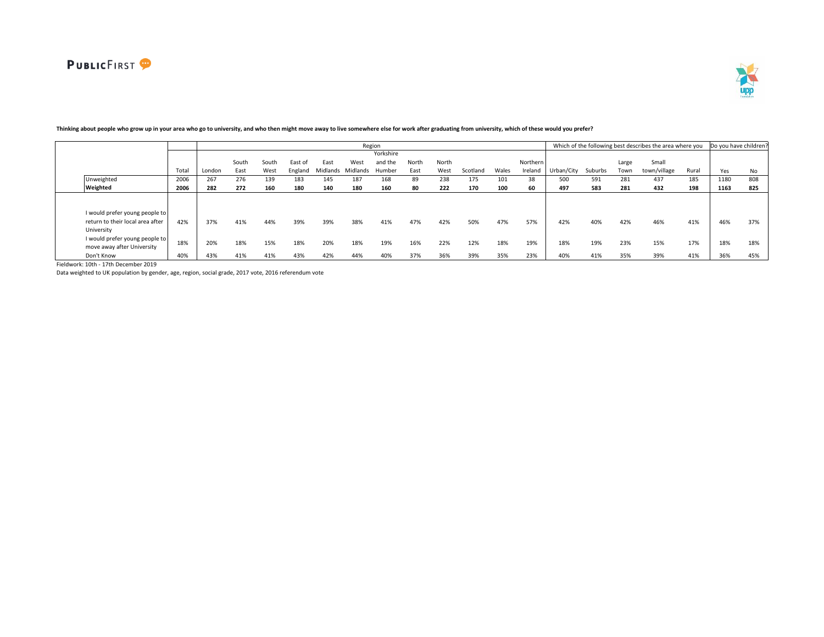

|                                                              |      |        |       |       |         |          |          | Region    |       |       |          |       |          |            |         |       | Which of the following best describes the area where you Do you have children? |       |      |     |
|--------------------------------------------------------------|------|--------|-------|-------|---------|----------|----------|-----------|-------|-------|----------|-------|----------|------------|---------|-------|--------------------------------------------------------------------------------|-------|------|-----|
|                                                              |      |        |       |       |         |          |          | Yorkshire |       |       |          |       |          |            |         |       |                                                                                |       |      |     |
|                                                              |      |        | South | South | East of | East     | West     | and the   | North | North |          |       | Northern |            |         | Large | Small                                                                          |       |      |     |
|                                                              | Tota | London | East  | West  | England | Midlands | Midlands | Humber    | East  | West  | Scotland | Wales | Ireland  | Urban/City | Suburbs | Town  | town/village                                                                   | Rural | Yes  | No  |
| Unweighted                                                   | 2006 | 267    | 276   | 139   | 183     | 145      | 187      | 168       | 89    | 238   | 175      |       | 38       | 500        | 591     | 281   | 437                                                                            | 185   | 1180 | 808 |
| Weighted                                                     | 2006 | 282    | 272   | 160   | 180     | 140      | 180      | 160       | 80    | 222   | 170      | 100   | 60       | 497        | 583     | 281   | 432                                                                            | 198   | 1163 | 825 |
|                                                              |      |        |       |       |         |          |          |           |       |       |          |       |          |            |         |       |                                                                                |       |      |     |
| I would prefer young people to                               |      |        |       |       |         |          |          |           |       |       |          |       |          |            |         |       |                                                                                |       |      |     |
| return to their local area after<br>University               | 42%  | 37%    | 41%   | 44%   | 39%     | 39%      | 38%      | 41%       | 47%   | 42%   | 50%      | 47%   | 57%      | 42%        | 40%     | 42%   | 46%                                                                            | 41%   | 46%  | 37% |
| I would prefer young people to<br>move away after University | 18%  | 20%    | 18%   | 15%   | 18%     | 20%      | 18%      | 19%       | 16%   | 22%   | 12%      | 18%   | 19%      | 18%        | 19%     | 23%   | 15%                                                                            | 17%   | 18%  | 18% |
| Don't Know                                                   | 40%  | 43%    | 41%   | 41%   | 43%     | 42%      | 44%      | 40%       | 37%   | 36%   | 39%      | 35%   | 23%      | 40%        | 41%     | 35%   | 39%                                                                            | 41%   | 36%  | 45% |
|                                                              |      |        |       |       |         |          |          |           |       |       |          |       |          |            |         |       |                                                                                |       |      |     |

# **Thinking about people who grow up in your area who go to university, and who then might move away to live somewhere else for work after graduating from university, which of these would you prefer?**

Fieldwork: 10th - 17th December 2019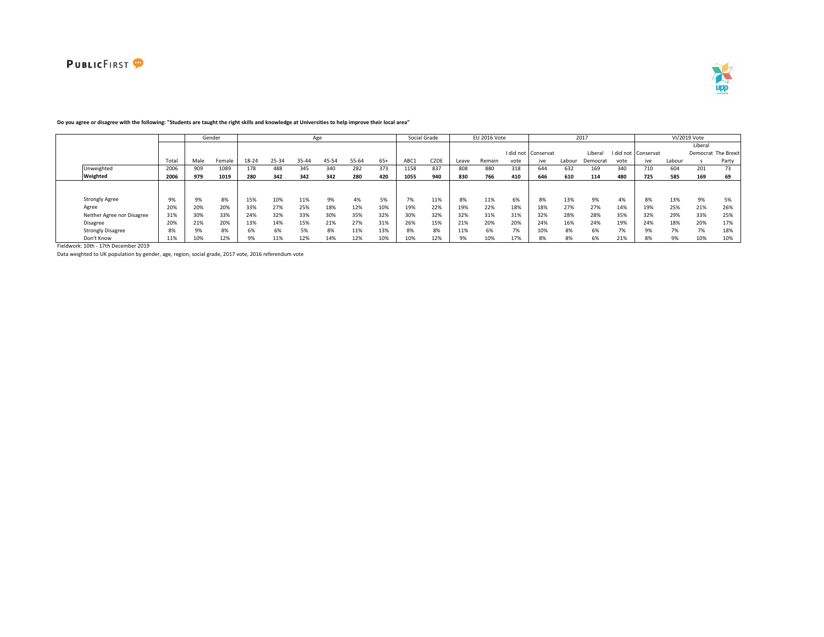



|                            |       |      | Gender |       |       |       | Age   |       |       | Social Grade |                   |       | EU 2016 Vote |      |                     |        | 2017     |           |           |        | VI/2019 Vote |                     |
|----------------------------|-------|------|--------|-------|-------|-------|-------|-------|-------|--------------|-------------------|-------|--------------|------|---------------------|--------|----------|-----------|-----------|--------|--------------|---------------------|
|                            |       |      |        |       |       |       |       |       |       |              |                   |       |              |      |                     |        |          |           |           |        | Liberal      |                     |
|                            |       |      |        |       |       |       |       |       |       |              |                   |       |              |      | I did not Conservat |        | Liberal  | I did not | Conservat |        |              | Democrat The Brexit |
|                            | Total | Male | Female | 18-24 | 25-34 | 35-44 | 45-54 | 55-64 | $65+$ | ABC1         | C <sub>2</sub> DE | Leave | Remain       | vote | ive                 | Labour | Democrat | vote      | ive       | Labour |              | Party               |
| Unweighted                 | 2006  | 909  | 1089   | 178   | 488   | 345   | 340   | 282   | 373   | 1158         | 837               | 808   | 880          | 318  | 644                 | 632    | 169      | 340       | 710       | 604    | 201          | 73                  |
| Weighted                   | 2006  | 979  | 1019   | 280   | 342   | 342   | 342   | 280   | 420   | 1055         | 940               | 830   | 766          | 410  | 646                 | 610    | 114      | 480       | 725       | 585    | 169          | 69                  |
|                            |       |      |        |       |       |       |       |       |       |              |                   |       |              |      |                     |        |          |           |           |        |              |                     |
|                            |       |      |        |       |       |       |       |       |       |              |                   |       |              |      |                     |        |          |           |           |        |              |                     |
| <b>Strongly Agree</b>      | 9%    | 9%   | 8%     | 15%   | 10%   | 11%   | 9%    | 4%    | 5%    | 7%           | 11%               | 8%    | 11%          | 6%   | 8%                  | 13%    | 9%       | 4%        | 8%        | 13%    | 9%           | 5%                  |
| Agree                      | 20%   | 20%  | 20%    | 33%   | 27%   | 25%   | 18%   | 12%   | 10%   | 19%          | 22%               | 19%   | 22%          | 18%  | 18%                 | 27%    | 27%      | 14%       | 19%       | 25%    | 21%          | 26%                 |
| Neither Agree nor Disagree | 31%   | 30%  | 33%    | 24%   | 32%   | 33%   | 30%   | 35%   | 32%   | 30%          | 32%               | 32%   | 31%          | 31%  | 32%                 | 28%    | 28%      | 35%       | 32%       | 29%    | 33%          | 25%                 |
| Disagree                   | 20%   | 21%  | 20%    | 13%   | 14%   | 15%   | 21%   | 27%   | 31%   | 26%          | 15%               | 21%   | 20%          | 20%  | 24%                 | 16%    | 24%      | 19%       | 24%       | 18%    | 20%          | 17%                 |
| <b>Strongly Disagree</b>   | 8%    | 9%   | 8%     | 6%    | 6%    | 5%    | 8%    | 11%   | 13%   | 8%           | 8%                | 11%   | 6%           | 7%   | 10%                 | 8%     | 6%       | 7%        | 9%        | 7%     | 7%           | 18%                 |
| Don't Know                 | 11%   | 10%  | 12%    | 9%    | 11%   | 12%   | 14%   | 12%   | 10%   | 10%          | 12%               | 9%    | 10%          | 17%  | 8%                  | 8%     | 6%       | 21%       | 8%        | 9%     | 10%          | 10%                 |

### **Do you agree or disagree with the following: "Students are taught the right skills and knowledge at Universities to help improve their local area"**

Fieldwork: 10th - 17th December 2019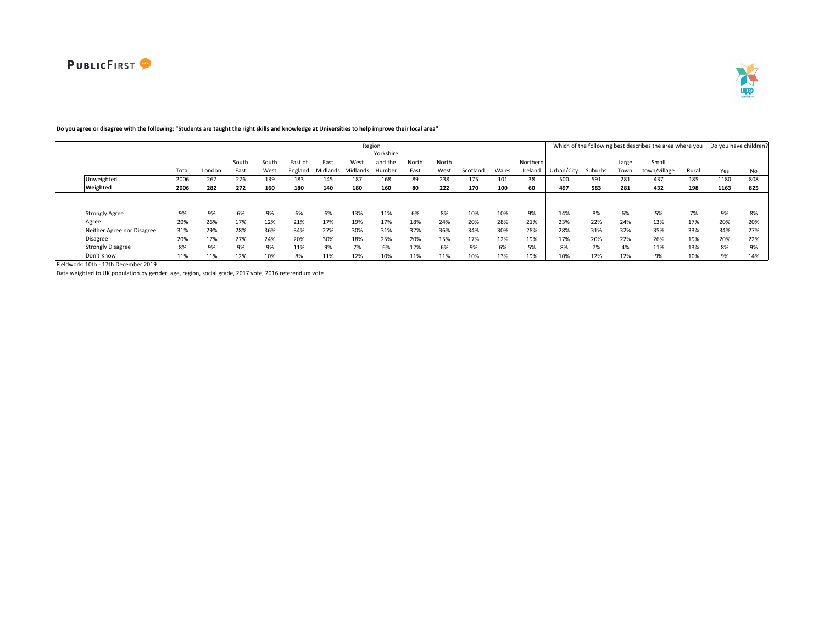

#### Total London South East South West East of England East Midlands Midlands Humber West Yorkshire and the North East North West Scotland Wales Northern Ireland Urban/City Suburbs Large Town Small town/village Rural Yes No Unweighted 2006 267 276 139 183 145 187 168 89 238 175 101 38 500 591 281 437 185 1180 808 Weighted 2006 | 282 272 160 180 140 180 160 80 222 170 100 60 | 497 583 281 432 198 | 1163 825 Strongly Agree 9% 9% 6% 9% 6% 6% 13% 11% 6% 8% 10% 10% 9% 14% 8% 6% 5% 7% 9% 8% Agree 20% 26% 17% 12% 21% 17% 19% 17% 18% 24% 20% 28% 21% 23% 22% 24% 13% 17% 20% 20% Neither Agree nor Disagree 31% 29% 28% 36% 34% 27% 30% 31% 32% 36% 34% 30% 28% 28% 31% 32% 35% 33% 34% 27%<br>Disagree 20% 10% 17% 27% 24% 20% 30% 18% 25% 20% 15% 17% 12% 19% 17% 20% 22% 26% 19% 20% 20% Disagree 20% 17% 27% 24% 20% 30% 18% 25% 20% 15% 17% 12% 19% 17% 20% 22% 26% 19% 20% 22% Strongly Disagree 8% 9% 9% 9% 11% 9% 7% 6% 12% 6% 9% 6% 5% 8% 7% 4% 11% 13% 8% 9% Don't Know 11% 11% 12% 10% 8% 11% 12% 10% 11% 11% 10% 13% 19% 10% 12% 12% 9% 10% 9% 14% Region **Example 20 and Total Contract Contract Contract Contract Contract Contract Contract Contract Contract Contract Contract Contract Contract Contract Contract Contract Contract Contract Contract Contract Contract Cont**

# **Do you agree or disagree with the following: "Students are taught the right skills and knowledge at Universities to help improve their local area"**

Fieldwork: 10th - 17th December 2019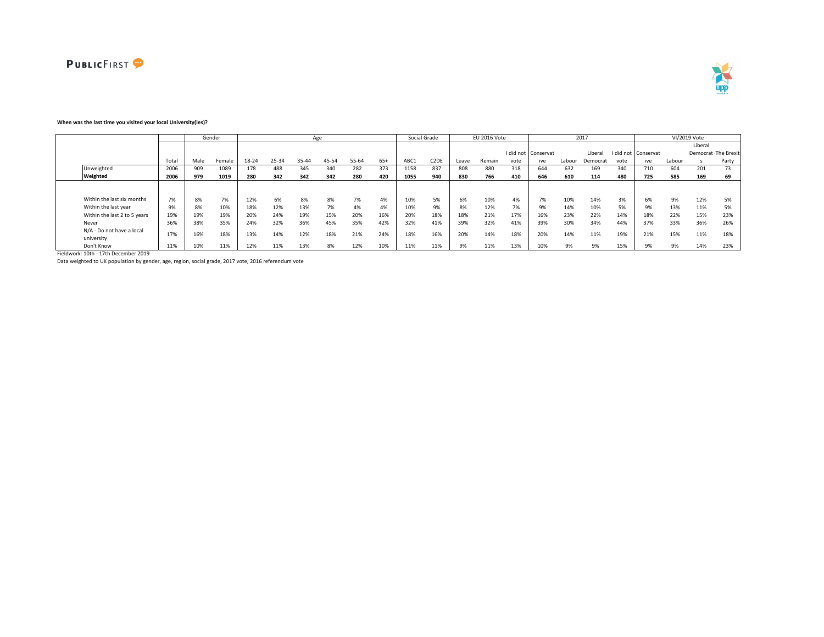



### **When was the last time you visited your local University(ies)?**

|                                         |       |      | Gender |       |       |       | Age   |       |       |      | Social Grade      |       | EU 2016 Vote |      |                     |        | 2017     |      |                     |        | VI/2019 Vote |                     |
|-----------------------------------------|-------|------|--------|-------|-------|-------|-------|-------|-------|------|-------------------|-------|--------------|------|---------------------|--------|----------|------|---------------------|--------|--------------|---------------------|
|                                         |       |      |        |       |       |       |       |       |       |      |                   |       |              |      |                     |        |          |      |                     |        | Liberal      |                     |
|                                         |       |      |        |       |       |       |       |       |       |      |                   |       |              |      | I did not Conservat |        | Liberal  |      | I did not Conservat |        |              | Democrat The Brexit |
|                                         | Total | Male | Female | 18-24 | 25-34 | 35-44 | 45-54 | 55-64 | $65+$ | ABC1 | C <sub>2</sub> DE | Leave | Remain       | vote | ive                 | Labour | Democrat | vote | ive                 | Labour |              | Party               |
| Unweighted                              | 2006  | 909  | 1089   | 178   | 488   | 345   | 340   | 282   | 373   | 1158 | 837               | 808   | 880          | 318  | 644                 | 632    | 169      | 340  | 710                 | 604    | 201          | 73                  |
| Weighted                                | 2006  | 979  | 1019   | 280   | 342   | 342   | 342   | 280   | 420   | 1055 | 940               | 830   | 766          | 410  | 646                 | 610    | 114      | 480  | 725                 | 585    | 169          | 69                  |
|                                         |       |      |        |       |       |       |       |       |       |      |                   |       |              |      |                     |        |          |      |                     |        |              |                     |
|                                         |       |      |        |       |       |       |       |       |       |      |                   |       |              |      |                     |        |          |      |                     |        |              |                     |
| Within the last six months              | 7%    | 8%   | 7%     | 12%   | 6%    | 8%    | 8%    | 7%    | 4%    | 10%  | 5%                | 6%    | 10%          | 4%   | 7%                  | 10%    | 14%      | 3%   | 6%                  | 9%     | 12%          | 5%                  |
| Within the last year                    | 9%    | 8%   | 10%    | 18%   | 12%   | 13%   | 7%    | 4%    | 4%    | 10%  | 9%                | 8%    | 12%          | 7%   | 9%                  | 14%    | 10%      | 5%   | 9%                  | 13%    | 11%          | 5%                  |
| Within the last 2 to 5 years            | 19%   | 19%  | 19%    | 20%   | 24%   | 19%   | 15%   | 20%   | 16%   | 20%  | 18%               | 18%   | 21%          | 17%  | 16%                 | 23%    | 22%      | 14%  | 18%                 | 22%    | 15%          | 23%                 |
| Never                                   | 36%   | 38%  | 35%    | 24%   | 32%   | 36%   | 45%   | 35%   | 42%   | 32%  | 41%               | 39%   | 32%          | 41%  | 39%                 | 30%    | 34%      | 44%  | 37%                 | 33%    | 36%          | 26%                 |
| N/A - Do not have a local<br>university | 17%   | 16%  | 18%    | 13%   | 14%   | 12%   | 18%   | 21%   | 24%   | 18%  | 16%               | 20%   | 14%          | 18%  | 20%                 | 14%    | 11%      | 19%  | 21%                 | 15%    | 11%          | 18%                 |
| Don't Know                              | 11%   | 10%  | 11%    | 12%   | 11%   | 13%   | 8%    | 12%   | 10%   | 11%  | 11%               | 9%    | 11%          | 13%  | 10%                 | 9%     | 9%       | 15%  | 9%                  | 9%     | 14%          | 23%                 |

Fieldwork: 10th - 17th December 2019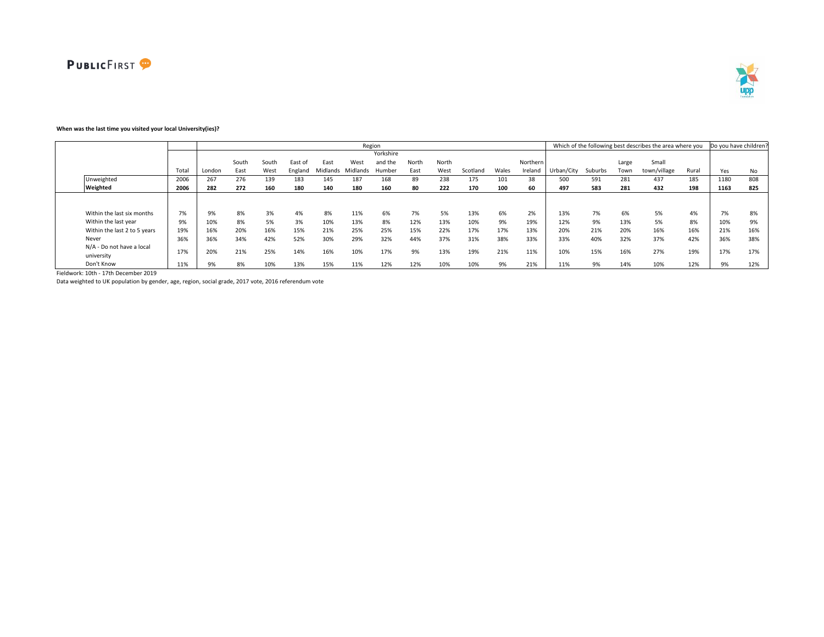

# **When was the last time you visited your local University(ies)?**

|                              |       |        |       |       |         |          |          | Region    |       |       |          |       |          |            |         |       | Which of the following best describes the area where you |       | Do you have children? |     |
|------------------------------|-------|--------|-------|-------|---------|----------|----------|-----------|-------|-------|----------|-------|----------|------------|---------|-------|----------------------------------------------------------|-------|-----------------------|-----|
|                              |       |        |       |       |         |          |          | Yorkshire |       |       |          |       |          |            |         |       |                                                          |       |                       |     |
|                              |       |        | South | South | East o  | East     | West     | and the   | North | North |          |       | Northern |            |         | Large | Small                                                    |       |                       |     |
|                              | Total | London | East  | West  | England | Midlands | Midlands | Humber    | East  | West  | Scotland | Wales | Ireland  | Urban/City | Suburbs | Town  | town/village                                             | Rural | Yes                   | No  |
| Unweighted                   | 2006  | 267    | 276   | 139   | 183     | 145      | 187      | 168       | 89    | 238   | 175      | 101   | 38       | 500        | 591     | 281   | 437                                                      | 185   | 1180                  | 808 |
| Weighted                     | 2006  | 282    | 272   | 160   | 180     | 140      | 180      | 160       | 80    | 222   | 170      | 100   | 60       | 497        | 583     | 281   | 432                                                      | 198   | 1163                  | 825 |
|                              |       |        |       |       |         |          |          |           |       |       |          |       |          |            |         |       |                                                          |       |                       |     |
|                              |       |        |       |       |         |          |          |           |       |       |          |       |          |            |         |       |                                                          |       |                       |     |
| Within the last six months   | 7%    | 9%     | 8%    | 3%    | 4%      | 8%       | 11%      | 6%        | 7%    | 5%    | 13%      | 6%    | 2%       | 13%        | 7%      | 6%    | 5%                                                       | 4%    | 7%                    | 8%  |
| Within the last year         | 9%    | 10%    | 8%    | 5%    | 3%      | 10%      | 13%      | 8%        | 12%   | 13%   | 10%      | 9%    | 19%      | 12%        | 9%      | 13%   | 5%                                                       | 8%    | 10%                   | 9%  |
| Within the last 2 to 5 years | 19%   | 16%    | 20%   | 16%   | 15%     | 21%      | 25%      | 25%       | 15%   | 22%   | 17%      | 17%   | 13%      | 20%        | 21%     | 20%   | 16%                                                      | 16%   | 21%                   | 16% |
| Never                        | 36%   | 36%    | 34%   | 42%   | 52%     | 30%      | 29%      | 32%       | 44%   | 37%   | 31%      | 38%   | 33%      | 33%        | 40%     | 32%   | 37%                                                      | 42%   | 36%                   | 38% |
| N/A - Do not have a local    |       |        |       |       |         |          |          |           |       |       |          |       |          |            |         |       |                                                          |       |                       |     |
| university                   | 17%   | 20%    | 21%   | 25%   | 14%     | 16%      | 10%      | 17%       | 9%    | 13%   | 19%      | 21%   | 11%      | 10%        | 15%     | 16%   | 27%                                                      | 19%   | 17%                   | 17% |
| Don't Know                   | 11%   | 9%     | 8%    | 10%   | 13%     | 15%      | 11%      | 12%       | 12%   | 10%   | 10%      | 9%    | 21%      | 11%        | 9%      | 14%   | 10%                                                      | 12%   | 9%                    | 12% |

Fieldwork: 10th - 17th December 2019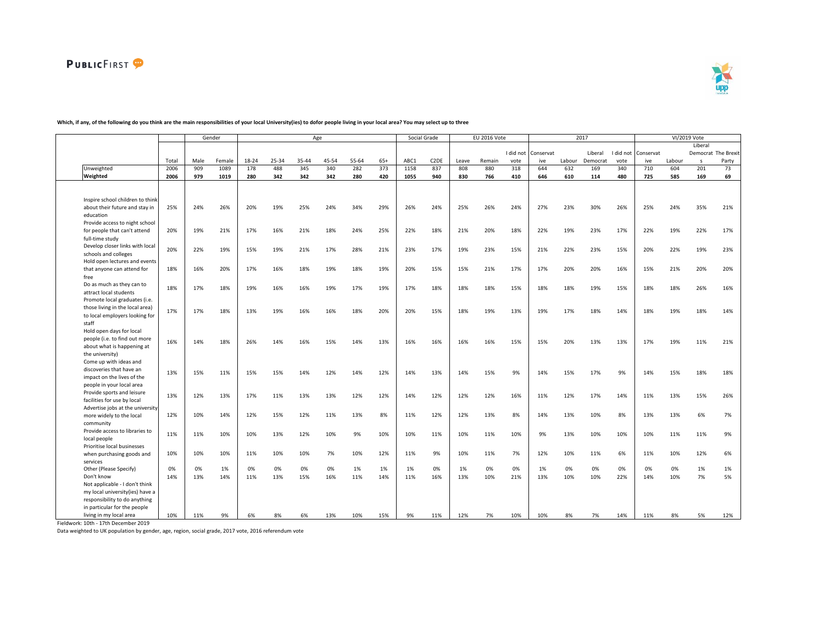



┑

|                                  |       |      | Gender |       |       | Age   |       |       |       | Social Grade |                   |       | EU 2016 Vote |           |           |        | 2017     |           |           |        | VI/2019 Vote |                     |
|----------------------------------|-------|------|--------|-------|-------|-------|-------|-------|-------|--------------|-------------------|-------|--------------|-----------|-----------|--------|----------|-----------|-----------|--------|--------------|---------------------|
|                                  |       |      |        |       |       |       |       |       |       |              |                   |       |              |           |           |        |          |           |           |        | Liberal      |                     |
|                                  |       |      |        |       |       |       |       |       |       |              |                   |       |              | I did not | Conservat |        | Liberal  | I did not | Conservat |        |              | Democrat The Brexit |
|                                  | Total | Male | Female | 18-24 | 25-34 | 35-44 | 45-54 | 55-64 | $65+$ | ABC1         | C <sub>2</sub> DE | Leave | Remain       | vote      | ive       | Labour | Democrat | vote      | ive       | Labour | $\mathsf{s}$ | Party               |
| Unweighted                       | 2006  | 909  | 1089   | 178   | 488   | 345   | 340   | 282   | 373   | 1158         | 837               | 808   | 880          | 318       | 644       | 632    | 169      | 340       | 710       | 604    | 201          | 73                  |
| Weighted                         | 2006  | 979  | 1019   | 280   | 342   | 342   | 342   | 280   | 420   | 1055         | 940               | 830   | 766          | 410       | 646       | 610    | 114      | 480       | 725       | 585    | 169          | 69                  |
|                                  |       |      |        |       |       |       |       |       |       |              |                   |       |              |           |           |        |          |           |           |        |              |                     |
|                                  |       |      |        |       |       |       |       |       |       |              |                   |       |              |           |           |        |          |           |           |        |              |                     |
| Inspire school children to think |       |      |        |       |       |       |       |       |       |              |                   |       |              |           |           |        |          |           |           |        |              |                     |
| about their future and stay in   | 25%   | 24%  | 26%    | 20%   | 19%   | 25%   | 24%   | 34%   | 29%   | 26%          | 24%               | 25%   | 26%          | 24%       | 27%       | 23%    | 30%      | 26%       | 25%       | 24%    | 35%          | 21%                 |
| education                        |       |      |        |       |       |       |       |       |       |              |                   |       |              |           |           |        |          |           |           |        |              |                     |
| Provide access to night school   |       |      |        |       |       |       |       |       |       |              |                   |       |              |           |           |        |          |           |           |        |              |                     |
| for people that can't attend     | 20%   | 19%  | 21%    | 17%   | 16%   | 21%   | 18%   | 24%   | 25%   | 22%          | 18%               | 21%   | 20%          | 18%       | 22%       | 19%    | 23%      | 17%       | 22%       | 19%    | 22%          | 17%                 |
| full-time study                  |       |      |        |       |       |       |       |       |       |              |                   |       |              |           |           |        |          |           |           |        |              |                     |
| Develop closer links with local  |       |      |        |       |       |       |       |       |       |              |                   |       |              |           |           |        |          |           |           |        |              |                     |
| schools and colleges             | 20%   | 22%  | 19%    | 15%   | 19%   | 21%   | 17%   | 28%   | 21%   | 23%          | 17%               | 19%   | 23%          | 15%       | 21%       | 22%    | 23%      | 15%       | 20%       | 22%    | 19%          | 23%                 |
| Hold open lectures and events    |       |      |        |       |       |       |       |       |       |              |                   |       |              |           |           |        |          |           |           |        |              |                     |
| that anyone can attend for       | 18%   | 16%  | 20%    | 17%   | 16%   | 18%   | 19%   | 18%   | 19%   | 20%          | 15%               | 15%   | 21%          | 17%       | 17%       | 20%    | 20%      | 16%       | 15%       | 21%    | 20%          | 20%                 |
| free                             |       |      |        |       |       |       |       |       |       |              |                   |       |              |           |           |        |          |           |           |        |              |                     |
|                                  |       |      |        |       |       |       |       |       |       |              |                   |       |              |           |           |        |          |           |           |        |              |                     |
| Do as much as they can to        | 18%   | 17%  | 18%    | 19%   | 16%   | 16%   | 19%   | 17%   | 19%   | 17%          | 18%               | 18%   | 18%          | 15%       | 18%       | 18%    | 19%      | 15%       | 18%       | 18%    | 26%          | 16%                 |
| attract local students           |       |      |        |       |       |       |       |       |       |              |                   |       |              |           |           |        |          |           |           |        |              |                     |
| Promote local graduates (i.e.    |       |      |        |       |       |       |       |       |       |              |                   |       |              |           |           |        |          |           |           |        |              |                     |
| those living in the local area)  | 17%   | 17%  | 18%    | 13%   | 19%   | 16%   | 16%   | 18%   | 20%   | 20%          | 15%               | 18%   | 19%          | 13%       | 19%       | 17%    | 18%      | 14%       | 18%       | 19%    | 18%          | 14%                 |
| to local employers looking for   |       |      |        |       |       |       |       |       |       |              |                   |       |              |           |           |        |          |           |           |        |              |                     |
| staff                            |       |      |        |       |       |       |       |       |       |              |                   |       |              |           |           |        |          |           |           |        |              |                     |
| Hold open days for local         |       |      |        |       |       |       |       |       |       |              |                   |       |              |           |           |        |          |           |           |        |              |                     |
| people (i.e. to find out more    | 16%   | 14%  | 18%    | 26%   | 14%   | 16%   | 15%   | 14%   | 13%   | 16%          | 16%               | 16%   | 16%          | 15%       | 15%       | 20%    | 13%      | 13%       | 17%       | 19%    | 11%          | 21%                 |
| about what is happening at       |       |      |        |       |       |       |       |       |       |              |                   |       |              |           |           |        |          |           |           |        |              |                     |
| the university)                  |       |      |        |       |       |       |       |       |       |              |                   |       |              |           |           |        |          |           |           |        |              |                     |
| Come up with ideas and           |       |      |        |       |       |       |       |       |       |              |                   |       |              |           |           |        |          |           |           |        |              |                     |
| discoveries that have an         | 13%   |      | 11%    | 15%   | 15%   |       | 12%   |       | 12%   | 14%          | 13%               | 14%   | 15%          | 9%        |           | 15%    | 17%      | 9%        | 14%       | 15%    | 18%          | 18%                 |
| impact on the lives of the       |       | 15%  |        |       |       | 14%   |       | 14%   |       |              |                   |       |              |           | 14%       |        |          |           |           |        |              |                     |
| people in your local area        |       |      |        |       |       |       |       |       |       |              |                   |       |              |           |           |        |          |           |           |        |              |                     |
| Provide sports and leisure       |       |      |        |       |       |       |       |       |       |              |                   |       |              |           |           |        |          |           |           |        |              |                     |
| facilities for use by local      | 13%   | 12%  | 13%    | 17%   | 11%   | 13%   | 13%   | 12%   | 12%   | 14%          | 12%               | 12%   | 12%          | 16%       | 11%       | 12%    | 17%      | 14%       | 11%       | 13%    | 15%          | 26%                 |
| Advertise jobs at the university |       |      |        |       |       |       |       |       |       |              |                   |       |              |           |           |        |          |           |           |        |              |                     |
| more widely to the local         | 12%   | 10%  | 14%    | 12%   | 15%   | 12%   | 11%   | 13%   | 8%    | 11%          | 12%               | 12%   | 13%          | 8%        | 14%       | 13%    | 10%      | 8%        | 13%       | 13%    | 6%           | 7%                  |
| community                        |       |      |        |       |       |       |       |       |       |              |                   |       |              |           |           |        |          |           |           |        |              |                     |
| Provide access to libraries to   |       |      |        |       |       |       |       |       |       |              |                   |       |              |           |           |        |          |           |           |        |              |                     |
| local people                     | 11%   | 11%  | 10%    | 10%   | 13%   | 12%   | 10%   | 9%    | 10%   | 10%          | 11%               | 10%   | 11%          | 10%       | 9%        | 13%    | 10%      | 10%       | 10%       | 11%    | 11%          | 9%                  |
| Prioritise local businesses      |       |      |        |       |       |       |       |       |       |              |                   |       |              |           |           |        |          |           |           |        |              |                     |
|                                  | 10%   | 10%  | 10%    | 11%   | 10%   | 10%   | 7%    | 10%   | 12%   | 11%          | 9%                | 10%   | 11%          | 7%        | 12%       | 10%    | 11%      | 6%        | 11%       | 10%    | 12%          | 6%                  |
| when purchasing goods and        |       |      |        |       |       |       |       |       |       |              |                   |       |              |           |           |        |          |           |           |        |              |                     |
| services                         |       |      |        |       |       |       |       |       |       |              |                   |       |              |           |           |        |          |           |           |        |              |                     |
| Other (Please Specify)           | 0%    | 0%   | 1%     | 0%    | 0%    | 0%    | 0%    | 1%    | 1%    | 1%           | 0%                | 1%    | 0%           | 0%        | 1%        | 0%     | 0%       | 0%        | 0%        | 0%     | 1%           | 1%                  |
| Don't know                       | 14%   | 13%  | 14%    | 11%   | 13%   | 15%   | 16%   | 11%   | 14%   | 11%          | 16%               | 13%   | 10%          | 21%       | 13%       | 10%    | 10%      | 22%       | 14%       | 10%    | 7%           | 5%                  |
| Not applicable - I don't think   |       |      |        |       |       |       |       |       |       |              |                   |       |              |           |           |        |          |           |           |        |              |                     |
| my local university(ies) have a  |       |      |        |       |       |       |       |       |       |              |                   |       |              |           |           |        |          |           |           |        |              |                     |
| responsibility to do anything    |       |      |        |       |       |       |       |       |       |              |                   |       |              |           |           |        |          |           |           |        |              |                     |
| in particular for the people     |       |      |        |       |       |       |       |       |       |              |                   |       |              |           |           |        |          |           |           |        |              |                     |
| living in my local area          | 10%   | 11%  | 9%     |       |       |       | 13%   | 10%   | 15%   | 9%           | 11%               | 12%   | 7%           | 10%       | 10%       |        | 7%       | 14%       | 11%       |        | 5%           | 12%                 |

### **Which, if any, of the following do you think are the main responsibilities of your local University(ies) to dofor people living in your local area? You may select up to three**

Fieldwork: 10th - 17th December 2019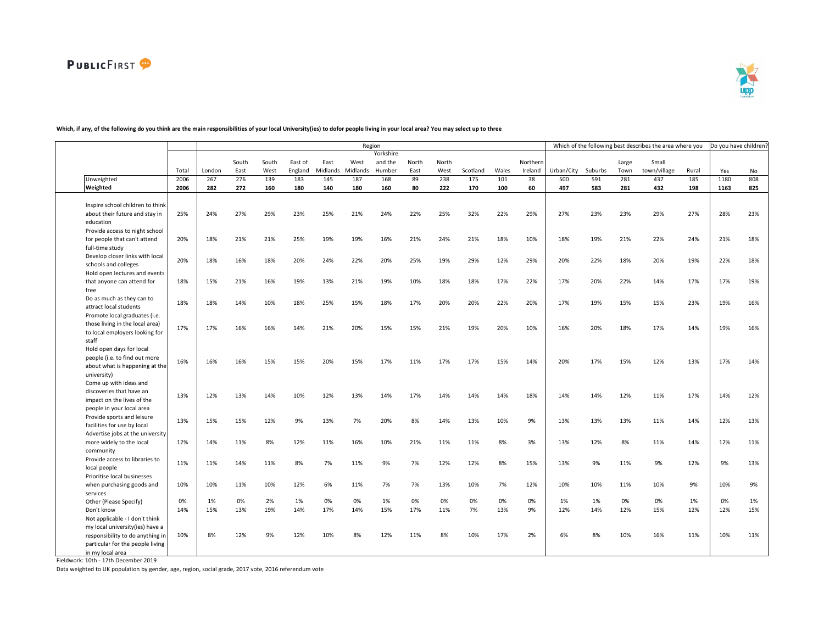

#### Total London South East South West East of England East Midlands Midlands West Yorkshire and the Humber North East North West Scotland Wales **Northern** Ireland Urban/City Suburbs Large Town Small town/village Rural Yes No Unweighted 2006 267 276 139 183 145 187 168 89 238 175 101 38 500 591 281 437 185 1180 808 Weighted 2006 | 282 272 160 180 140 180 160 80 222 170 100 60 | 497 583 281 432 198 | 1163 825 Inspire school children to think about their future and stay in education 25% 24% 27% 29% 23% 25% 21% 24% 22% 25% 32% 22% 29% 27% 23% 23% 29% 27% 28% 23% Provide access to night school for people that can't attend full-time study 20% 18% 21% 21% 25% 19% 19% 16% 21% 24% 21% 18% 10% 18% 19% 21% 22% 24% 21% 18% Develop closer links with local schools and colleges 20% 18% 16% 18% 20% 24% 22% 20% 25% 19% 29% 12% 29% 20% 22% 18% 20% 19% 22% 18% Hold open lectures and events that anyone can attend for free 18% 15% 21% 16% 19% 13% 21% 19% 10% 18% 18% 17% 22% 17% 20% 22% 14% 17% 17% 19% Do as much as they can to -- attract local students | 18% 18% 14% 10% 18% 25% 15% 18% 17% 20% 20% 20% 20% 17% 19% 15% 15% 23% 19% 16%<br>attract local students | 18% 18% 14% 10% 18% 25% 15% 18% 17% 20% 20% 20% 20% 17% 19% 15% 15% 23% | 19% 16% Promote local graduates (i.e. those living in the local area) to local employers looking for staff 17% 17% 16% 16% 14% 21% 20% 15% 15% 21% 19% 20% 10% 16% 20% 18% 17% 14% 19% 16% Hold open days for local people (i.e. to find out more about what is happening at the university) 16% 16% 16% 15% 15% 20% 15% 17% 11% 17% 17% 15% 14% 20% 17% 15% 12% 13% 17% 14% Come up with ideas and discoveries that have an impact on the lives of the people in your local area 13% 12% 13% 14% 10% 12% 13% 14% 17% 14% 14% 14% 18% 14% 14% 12% 11% 17% 14% 12% Provide sports and leisure facilities for use by local 13% 15% 15% 12% 9% 13% 7% 20% 8% 14% 13% 10% 9% 13% 13% 13% 11% 14% 12% 13% Advertise jobs at the university more widely to the local community 12% 14% 11% 8% 12% 11% 16% 10% 21% 11% 11% 8% 3% 13% 12% 8% 11% 14% 12% 11% Provide access to libraries to local people 11% 11% 14% 11% 8% 7% 11% 9% 7% 12% 12% 8% 15% 13% 9% 11% 9% 12% 9% 13% Prioritise local businesses when purchasing goods and services 10% 10% 11% 10% 12% 6% 11% 7% 7% 13% 10% 7% 12% 10% 10% 11% 10% 9% 10% 9% Other (Please Specify) 0% 1% 0% 2% 1% 0% 0% 1% 0% 0% 0% 0% 0% 1% 1% 0% 0% 1% 0% 1% Don't know 14% 15% 13% 19% 14% 17% 14% 15% 17% 11% 7% 13% 9% 12% 14% 12% 15% 12% 12% 15% Not applicable - I don't think my local university(ies) have a responsibility to do anything in particular for the people living in my local area 10% 8% 12% 9% 12% 10% 8% 12% 11% 8% 10% 17% 2% 6% 8% 10% 16% 11% 10% 11% Region **Example 20 and 1999** Which of the following best describes the area where you Do you have children?

## **Which, if any, of the following do you think are the main responsibilities of your local University(ies) to dofor people living in your local area? You may select up to three**

Fieldwork: 10th - 17th December 2019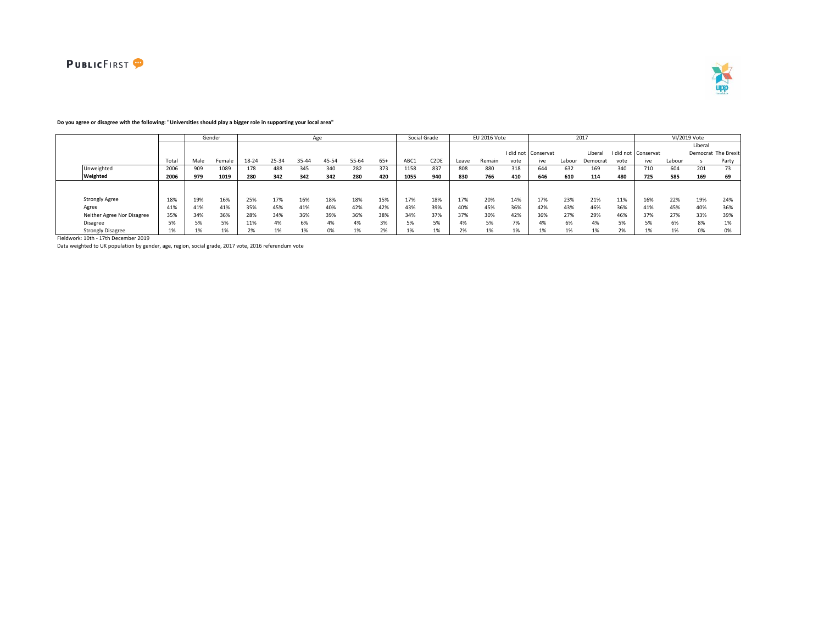



# **Do you agree or disagree with the following: "Universities should play a bigger role in supporting your local area"**

|                            |       |      | Gender |       |       |       | Age   |       |       |      | Social Grade      |       | EU 2016 Vote |      |                     |        | 2017     |      |                     |        | VI/2019 Vote |                     |
|----------------------------|-------|------|--------|-------|-------|-------|-------|-------|-------|------|-------------------|-------|--------------|------|---------------------|--------|----------|------|---------------------|--------|--------------|---------------------|
|                            |       |      |        |       |       |       |       |       |       |      |                   |       |              |      |                     |        |          |      |                     |        | Liberal      |                     |
|                            |       |      |        |       |       |       |       |       |       |      |                   |       |              |      | I did not Conservat |        | Liberal  |      | I did not Conservat |        |              | Democrat The Brexit |
|                            | Total | Male | Female | 18-24 | 25-34 | 35-44 | 45-54 | 55-64 | $65+$ | ABC1 | C <sub>2</sub> DE | Leave | Remain       | vote | ive                 | Labour | Democrat | vote | ive                 | Labour |              | Party               |
| Unweighted                 | 2006  | 909  | 1089   | 178   | 488   | 345   | 340   | 282   | 373   | 1158 | 837               | 808   | 880          | 318  | 644                 | 632    | 169      | 340  | 710                 | 604    | 201          | 73                  |
| Weighted                   | 2006  | 979  | 1019   | 280   | 342   | 342   | 342   | 280   | 420   | 1055 | 940               | 830   | 766          | 410  | 646                 | 610    | 114      | 480  | 725                 | 585    | 169          | 69                  |
|                            |       |      |        |       |       |       |       |       |       |      |                   |       |              |      |                     |        |          |      |                     |        |              |                     |
|                            |       |      |        |       |       |       |       |       |       |      |                   |       |              |      |                     |        |          |      |                     |        |              |                     |
| <b>Strongly Agree</b>      | 18%   | 19%  | 16%    | 25%   | 17%   | 16%   | 18%   | 18%   | 15%   | 17%  | 18%               | 17%   | 20%          | 14%  | 17%                 | 23%    | 21%      | 11%  | 16%                 | 22%    | 19%          | 24%                 |
| Agree                      | 41%   | 41%  | 41%    | 35%   | 45%   | 41%   | 40%   | 42%   | 42%   | 43%  | 39%               | 40%   | 45%          | 36%  | 42%                 | 43%    | 46%      | 36%  | 41%                 | 45%    | 40%          | 36%                 |
| Neither Agree Nor Disagree | 35%   | 34%  | 36%    | 28%   | 34%   | 36%   | 39%   | 36%   | 38%   | 34%  | 37%               | 37%   | 30%          | 42%  | 36%                 | 27%    | 29%      | 46%  | 37%                 | 27%    | 33%          | 39%                 |
| <b>Disagree</b>            | 5%    | 5%   | 5%     | 11%   | 4%    | 6%    | 4%    | 4%    | 3%    | 5%   | 5%                | 4%    | 5%           | 7%   | 4%                  | 6%     | 4%       | 5%   |                     | 6%     | 8%           | 1%                  |
| <b>Strongly Disagree</b>   |       |      | 1%     | 201   | 1%    |       | 0%    |       |       |      |                   | 2%    |              | 1%   |                     | 1%     |          | 20   |                     |        | 0%           | 0%                  |

Fieldwork: 10th - 17th December 2019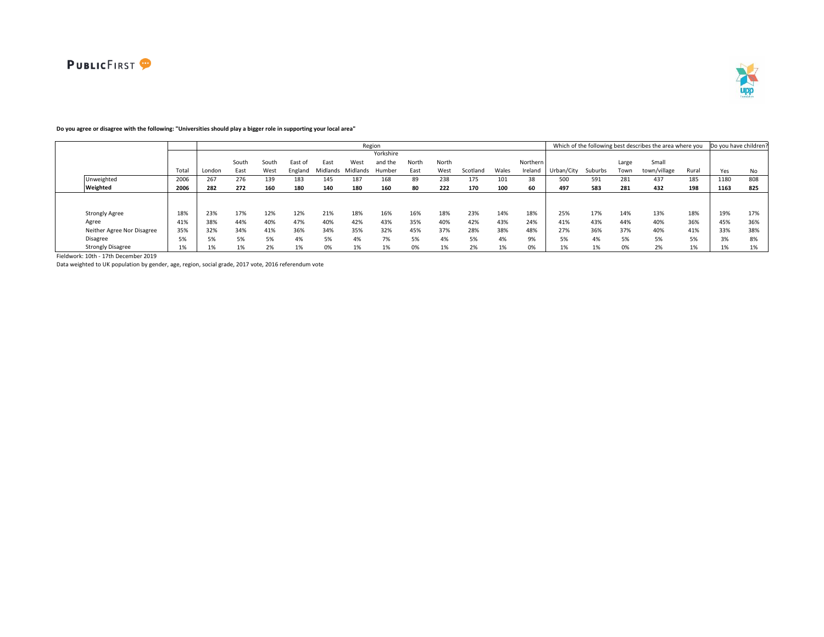

# **Do you agree or disagree with the following: "Universities should play a bigger role in supporting your local area"**

|                            |       |        |       |       |         |          |          | Region    |       |       |          |       |          |            |         |       | Which of the following best describes the area where you |       | Do you have children? |     |
|----------------------------|-------|--------|-------|-------|---------|----------|----------|-----------|-------|-------|----------|-------|----------|------------|---------|-------|----------------------------------------------------------|-------|-----------------------|-----|
|                            |       |        |       |       |         |          |          | Yorkshire |       |       |          |       |          |            |         |       |                                                          |       |                       |     |
|                            |       |        | South | South | East of | East     | West     | and the   | North | North |          |       | Northern |            |         | Large | Small                                                    |       |                       |     |
|                            | Total | London | East  | West  | England | Midlands | Midlands | Humber    | East  | West  | Scotland | Wales | Ireland  | Urban/City | Suburbs | Town  | town/village                                             | Rural | Yes                   | No  |
| Unweighted                 | 2006  | 267    | 276   | 139   | 183     | 145      | 187      | 168       | 89    | 238   | 175      | 101   | 38       | 500        | 591     | 281   | 437                                                      | 185   | 1180                  | 808 |
| Weighted                   | 2006  | 282    | 272   | 160   | 180     | 140      | 180      | 160       | 80    | 222   | 170      | 100   | 60       | 497        | 583     | 281   | 432                                                      | 198   | 1163                  | 825 |
|                            |       |        |       |       |         |          |          |           |       |       |          |       |          |            |         |       |                                                          |       |                       |     |
|                            |       |        |       |       |         |          |          |           |       |       |          |       |          |            |         |       |                                                          |       |                       |     |
| <b>Strongly Agree</b>      | 18%   | 23%    | 17%   | 12%   | 12%     | 21%      | 18%      | 16%       | 16%   | 18%   | 23%      | 14%   | 18%      | 25%        | 17%     | 14%   | 13%                                                      | 18%   | 19%                   | 17% |
| Agree                      | 41%   | 38%    | 44%   | 40%   | 47%     | 40%      | 42%      | 43%       | 35%   | 40%   | 42%      | 43%   | 24%      | 41%        | 43%     | 44%   | 40%                                                      | 36%   | 45%                   | 36% |
| Neither Agree Nor Disagree | 35%   | 32%    | 34%   | 41%   | 36%     | 34%      | 35%      | 32%       | 45%   | 37%   | 28%      | 38%   | 48%      | 27%        | 36%     | 37%   | 40%                                                      | 41%   | 33%                   | 38% |
| Disagree                   | 5%    | 5%     | 5%    | 5%    | 4%      | 5%       | 4%       | 7%        | 5%    | 4%    | 5%       | 4%    | 9%       | 5%         | 4%      | 5%    | 5%                                                       | 50/   | 3%                    | 8%  |
| <b>Strongly Disagree</b>   | 1%    | 1%     | 1%    | 2%    | 1%      | 0%       | 1%       | 1%        | 0%    | 1%    | 2%       | 1%    | 0%       | 1%         | 1%      | 0%    | 2%                                                       | 1%    | 1%                    | 1%  |

Fieldwork: 10th - 17th December 2019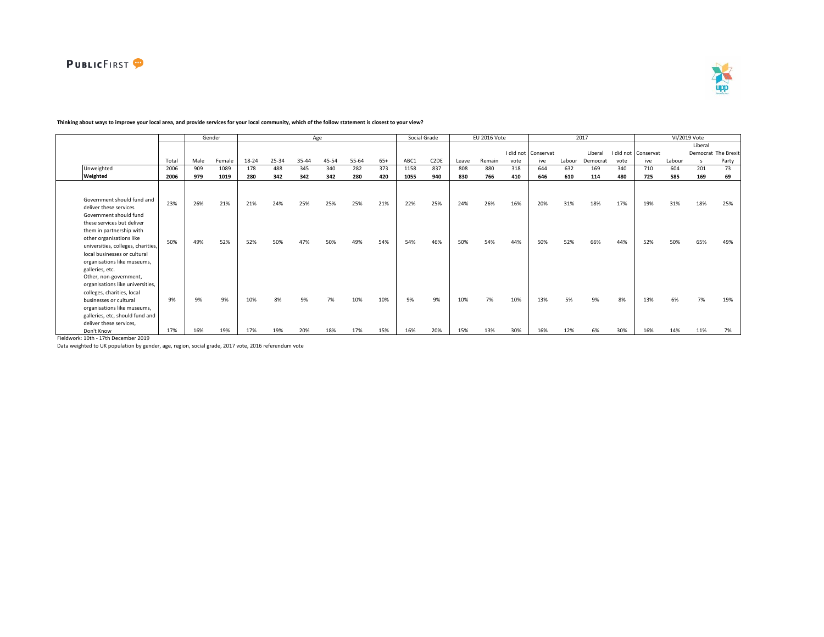

 $\blacksquare$ 



┑

|                                                                                                                                                                                                                                                                                                                 |            |            | Gender     |            |            |            | Age        |            |            |            | Social Grade      |            | EU 2016 Vote |            |                     |            | 2017       |            |                     |            | VI/2019 Vote |                     |
|-----------------------------------------------------------------------------------------------------------------------------------------------------------------------------------------------------------------------------------------------------------------------------------------------------------------|------------|------------|------------|------------|------------|------------|------------|------------|------------|------------|-------------------|------------|--------------|------------|---------------------|------------|------------|------------|---------------------|------------|--------------|---------------------|
|                                                                                                                                                                                                                                                                                                                 |            |            |            |            |            |            |            |            |            |            |                   |            |              |            |                     |            |            |            |                     |            | Liberal      |                     |
|                                                                                                                                                                                                                                                                                                                 |            |            |            |            |            |            |            |            |            |            |                   |            |              |            | I did not Conservat |            | Liberal    |            | I did not Conservat |            |              | Democrat The Brexit |
|                                                                                                                                                                                                                                                                                                                 | Total      | Male       | Female     | 18-24      | 25-34      | 35-44      | 45-54      | 55-64      | $65+$      | ABC1       | C <sub>2</sub> DE | Leave      | Remain       | vote       | ive                 | Labour     | Democrat   | vote       | ive                 | Labour     | $\mathsf{s}$ | Party               |
| Unweighted                                                                                                                                                                                                                                                                                                      | 2006       | 909        | 1089       | 178        | 488        | 345        | 340        | 282        | 373        | 1158       | 837               | 808        | 880          | 318        | 644                 | 632        | 169        | 340        | 710                 | 604        | 201          | 73                  |
| Weighted                                                                                                                                                                                                                                                                                                        | 2006       | 979        | 1019       | 280        | 342        | 342        | 342        | 280        | 420        | 1055       | 940               | 830        | 766          | 410        | 646                 | 610        | 114        | 480        | 725                 | 585        | 169          | 69                  |
| Government should fund and<br>deliver these services<br>Government should fund<br>these services but deliver<br>them in partnership with<br>other organisations like<br>universities, colleges, charities,                                                                                                      | 23%<br>50% | 26%<br>49% | 21%<br>52% | 21%<br>52% | 24%<br>50% | 25%<br>47% | 25%<br>50% | 25%<br>49% | 21%<br>54% | 22%<br>54% | 25%<br>46%        | 24%<br>50% | 26%<br>54%   | 16%<br>44% | 20%<br>50%          | 31%<br>52% | 18%<br>66% | 17%<br>44% | 19%<br>52%          | 31%<br>50% | 18%<br>65%   | 25%<br>49%          |
| local businesses or cultural<br>organisations like museums,<br>galleries, etc.<br>Other, non-government,<br>organisations like universities,<br>colleges, charities, local<br>businesses or cultural<br>organisations like museums,<br>galleries, etc, should fund and<br>deliver these services.<br>Don't Know | 9%<br>17%  | 9%<br>16%  | 9%<br>19%  | 10%<br>17% | 8%<br>19%  | 9%<br>20%  | 7%<br>18%  | 10%<br>17% | 10%<br>15% | 9%<br>16%  | 9%<br>20%         | 10%<br>15% | 7%<br>13%    | 10%<br>30% | 13%<br>16%          | 5%<br>12%  | 9%<br>6%   | 8%<br>30%  | 13%<br>16%          | 6%<br>14%  | 7%<br>11%    | 19%<br>7%           |

## **Thinking about ways to improve your local area, and provide services for your local community, which of the follow statement is closest to your view?**

Fieldwork: 10th - 17th December 2019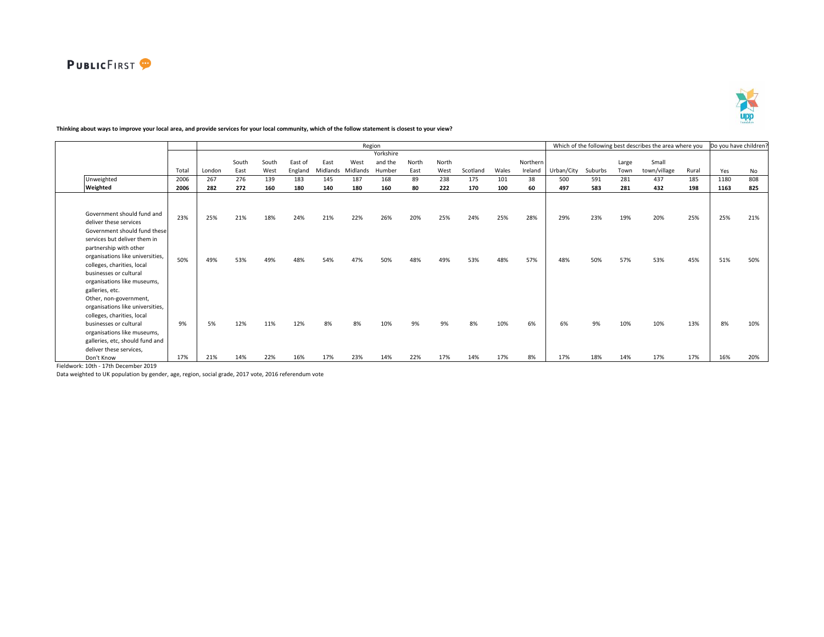

# **Thinking about ways to improve your local area, and provide services for your local community, which of the follow statement is closest to your view?**

|                                  |       |        |       |       |         |          | Region   |           |       |       |          |       |          |            |         |       | Which of the following best describes the area where you |       | Do you have children? |     |
|----------------------------------|-------|--------|-------|-------|---------|----------|----------|-----------|-------|-------|----------|-------|----------|------------|---------|-------|----------------------------------------------------------|-------|-----------------------|-----|
|                                  |       |        |       |       |         |          |          | Yorkshire |       |       |          |       |          |            |         |       |                                                          |       |                       |     |
|                                  |       |        | South | South | East of | East     | West     | and the   | North | North |          |       | Northern |            |         | Large | Small                                                    |       |                       |     |
|                                  | Total | London | East  | West  | England | Midlands | Midlands | Humber    | East  | West  | Scotland | Wales | Ireland  | Urban/City | Suburbs | Town  | town/village                                             | Rural | Yes                   | No  |
| Unweighted                       | 2006  | 267    | 276   | 139   | 183     | 145      | 187      | 168       | 89    | 238   | 175      | 101   | 38       | 500        | 591     | 281   | 437                                                      | 185   | 1180                  | 808 |
| Weighted                         | 2006  | 282    | 272   | 160   | 180     | 140      | 180      | 160       | 80    | 222   | 170      | 100   | 60       | 497        | 583     | 281   | 432                                                      | 198   | 1163                  | 825 |
|                                  |       |        |       |       |         |          |          |           |       |       |          |       |          |            |         |       |                                                          |       |                       |     |
|                                  |       |        |       |       |         |          |          |           |       |       |          |       |          |            |         |       |                                                          |       |                       |     |
| Government should fund and       |       |        |       |       |         |          |          |           |       |       |          |       |          |            |         |       |                                                          |       |                       |     |
| deliver these services           | 23%   | 25%    | 21%   | 18%   | 24%     | 21%      | 22%      | 26%       | 20%   | 25%   | 24%      | 25%   | 28%      | 29%        | 23%     | 19%   | 20%                                                      | 25%   | 25%                   | 21% |
| Government should fund these     |       |        |       |       |         |          |          |           |       |       |          |       |          |            |         |       |                                                          |       |                       |     |
| services but deliver them in     |       |        |       |       |         |          |          |           |       |       |          |       |          |            |         |       |                                                          |       |                       |     |
| partnership with other           |       |        |       |       |         |          |          |           |       |       |          |       |          |            |         |       |                                                          |       |                       |     |
| organisations like universities, |       |        |       |       |         |          |          |           |       |       |          |       |          |            |         |       |                                                          |       |                       |     |
| colleges, charities, local       | 50%   | 49%    | 53%   | 49%   | 48%     | 54%      | 47%      | 50%       | 48%   | 49%   | 53%      | 48%   | 57%      | 48%        | 50%     | 57%   | 53%                                                      | 45%   | 51%                   | 50% |
| businesses or cultural           |       |        |       |       |         |          |          |           |       |       |          |       |          |            |         |       |                                                          |       |                       |     |
| organisations like museums,      |       |        |       |       |         |          |          |           |       |       |          |       |          |            |         |       |                                                          |       |                       |     |
| galleries, etc.                  |       |        |       |       |         |          |          |           |       |       |          |       |          |            |         |       |                                                          |       |                       |     |
| Other, non-government,           |       |        |       |       |         |          |          |           |       |       |          |       |          |            |         |       |                                                          |       |                       |     |
| organisations like universities, |       |        |       |       |         |          |          |           |       |       |          |       |          |            |         |       |                                                          |       |                       |     |
| colleges, charities, local       |       |        |       |       |         |          |          |           |       |       |          |       |          |            |         |       |                                                          |       |                       |     |
| businesses or cultural           | 9%    | 5%     | 12%   | 11%   | 12%     | 8%       | 8%       | 10%       | 9%    | 9%    | 8%       | 10%   | 6%       | 6%         | 9%      | 10%   | 10%                                                      | 13%   | 8%                    | 10% |
| organisations like museums,      |       |        |       |       |         |          |          |           |       |       |          |       |          |            |         |       |                                                          |       |                       |     |
| galleries, etc, should fund and  |       |        |       |       |         |          |          |           |       |       |          |       |          |            |         |       |                                                          |       |                       |     |
| deliver these services,          |       |        |       |       |         |          |          |           |       |       |          |       |          |            |         |       |                                                          |       |                       |     |
| Don't Know                       | 17%   | 21%    | 14%   | 22%   | 16%     | 17%      | 23%      | 14%       | 22%   | 17%   | 14%      | 17%   | 8%       | 17%        | 18%     | 14%   | 17%                                                      | 17%   | 16%                   | 20% |
|                                  |       |        |       |       |         |          |          |           |       |       |          |       |          |            |         |       |                                                          |       |                       |     |

Fieldwork: 10th - 17th December 2019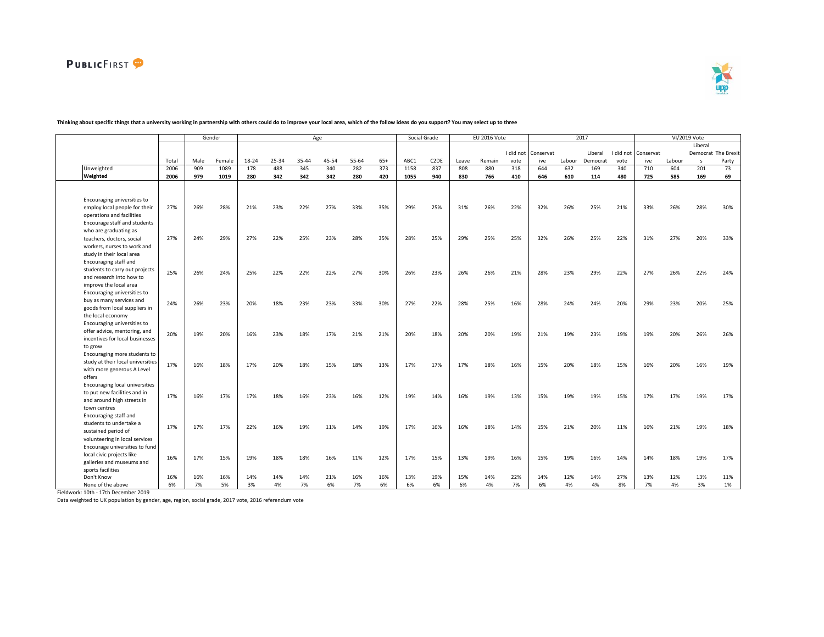



|                                   |       |           | Gender    |       |       |           | Age       |       |       |      | Social Grade      |           | EU 2016 Vote |           |           |        | 2017      |           |           |        | VI/2019 Vote |                     |
|-----------------------------------|-------|-----------|-----------|-------|-------|-----------|-----------|-------|-------|------|-------------------|-----------|--------------|-----------|-----------|--------|-----------|-----------|-----------|--------|--------------|---------------------|
|                                   |       |           |           |       |       |           |           |       |       |      |                   |           |              |           |           |        |           |           |           |        | Liberal      |                     |
|                                   |       |           |           |       |       |           |           |       |       |      |                   |           |              | I did not | Conservat |        | Liberal   | I did not | Conservat |        |              | Democrat The Brexit |
|                                   | Total | Male      | Female    | 18-24 | 25-34 | 35-44     | 45-54     | 55-64 | $65+$ | ABC1 | C <sub>2</sub> DE | Leave     | Remain       | vote      | ive       | Labour | Democrat  | vote      | ive       | Labour | $\mathsf{s}$ | Party               |
| Unweighted                        | 2006  | 909       | 1089      | 178   | 488   | 345       | 340       | 282   | 373   | 1158 | 837               | 808       | 880          | 318       | 644       | 632    | 169       | 340       | 710       | 604    | 201          | 73                  |
| Weighted                          | 2006  | 979       | 1019      | 280   | 342   | 342       | 342       | 280   | 420   | 1055 | 940               | 830       | 766          | 410       | 646       | 610    | 114       | 480       | 725       | 585    | 169          | 69                  |
|                                   |       |           |           |       |       |           |           |       |       |      |                   |           |              |           |           |        |           |           |           |        |              |                     |
|                                   |       |           |           |       |       |           |           |       |       |      |                   |           |              |           |           |        |           |           |           |        |              |                     |
| Encouraging universities to       |       |           |           |       |       |           |           |       |       |      |                   |           |              |           |           |        |           |           |           |        |              |                     |
| employ local people for their     | 27%   | 26%       | 28%       | 21%   | 23%   | 22%       | 27%       | 33%   | 35%   | 29%  | 25%               | 31%       | 26%          | 22%       | 32%       | 26%    | 25%       | 21%       | 33%       | 26%    | 28%          | 30%                 |
| operations and facilities         |       |           |           |       |       |           |           |       |       |      |                   |           |              |           |           |        |           |           |           |        |              |                     |
| Encourage staff and students      |       |           |           |       |       |           |           |       |       |      |                   |           |              |           |           |        |           |           |           |        |              |                     |
| who are graduating as             |       |           |           |       |       |           |           |       |       |      |                   |           |              |           |           |        |           |           |           |        |              |                     |
| teachers, doctors, social         | 27%   | 24%       | 29%       | 27%   | 22%   | 25%       | 23%       | 28%   | 35%   | 28%  | 25%               | 29%       | 25%          | 25%       | 32%       | 26%    | 25%       | 22%       | 31%       | 27%    | 20%          | 33%                 |
| workers, nurses to work and       |       |           |           |       |       |           |           |       |       |      |                   |           |              |           |           |        |           |           |           |        |              |                     |
| study in their local area         |       |           |           |       |       |           |           |       |       |      |                   |           |              |           |           |        |           |           |           |        |              |                     |
| Encouraging staff and             |       |           |           |       |       |           |           |       |       |      |                   |           |              |           |           |        |           |           |           |        |              |                     |
| students to carry out projects    | 25%   | 26%       | 24%       | 25%   | 22%   | 22%       | 22%       | 27%   | 30%   | 26%  | 23%               | 26%       | 26%          | 21%       | 28%       | 23%    | 29%       | 22%       | 27%       | 26%    | 22%          | 24%                 |
| and research into how to          |       |           |           |       |       |           |           |       |       |      |                   |           |              |           |           |        |           |           |           |        |              |                     |
| improve the local area            |       |           |           |       |       |           |           |       |       |      |                   |           |              |           |           |        |           |           |           |        |              |                     |
| Encouraging universities to       |       |           |           |       |       |           |           |       |       |      |                   |           |              |           |           |        |           |           |           |        |              |                     |
| buy as many services and          | 24%   | 26%       | 23%       | 20%   | 18%   | 23%       | 23%       | 33%   | 30%   | 27%  | 22%               | 28%       | 25%          | 16%       | 28%       | 24%    | 24%       | 20%       | 29%       | 23%    | 20%          | 25%                 |
| goods from local suppliers in     |       |           |           |       |       |           |           |       |       |      |                   |           |              |           |           |        |           |           |           |        |              |                     |
| the local economy                 |       |           |           |       |       |           |           |       |       |      |                   |           |              |           |           |        |           |           |           |        |              |                     |
| Encouraging universities to       |       |           |           |       |       |           |           |       |       |      |                   |           |              |           |           |        |           |           |           |        |              |                     |
| offer advice, mentoring, and      | 20%   | 19%       | 20%       | 16%   | 23%   | 18%       | 17%       | 21%   | 21%   | 20%  | 18%               | 20%       | 20%          | 19%       | 21%       | 19%    | 23%       | 19%       | 19%       | 20%    | 26%          | 26%                 |
| incentives for local businesses   |       |           |           |       |       |           |           |       |       |      |                   |           |              |           |           |        |           |           |           |        |              |                     |
| to grow                           |       |           |           |       |       |           |           |       |       |      |                   |           |              |           |           |        |           |           |           |        |              |                     |
| Encouraging more students to      |       |           |           |       |       |           |           |       |       |      |                   |           |              |           |           |        |           |           |           |        |              |                     |
| study at their local universities | 17%   | 16%       | 18%       | 17%   | 20%   | 18%       | 15%       | 18%   | 13%   | 17%  | 17%               | 17%       | 18%          | 16%       | 15%       | 20%    | 18%       | 15%       | 16%       | 20%    | 16%          | 19%                 |
| with more generous A Level        |       |           |           |       |       |           |           |       |       |      |                   |           |              |           |           |        |           |           |           |        |              |                     |
| offers                            |       |           |           |       |       |           |           |       |       |      |                   |           |              |           |           |        |           |           |           |        |              |                     |
| Encouraging local universities    |       |           |           |       |       |           |           |       |       |      |                   |           |              |           |           |        |           |           |           |        |              |                     |
| to put new facilities and in      | 17%   | 16%       | 17%       | 17%   | 18%   | 16%       | 23%       | 16%   | 12%   | 19%  | 14%               | 16%       | 19%          | 13%       | 15%       | 19%    | 19%       | 15%       | 17%       | 17%    | 19%          | 17%                 |
| and around high streets in        |       |           |           |       |       |           |           |       |       |      |                   |           |              |           |           |        |           |           |           |        |              |                     |
| town centres                      |       |           |           |       |       |           |           |       |       |      |                   |           |              |           |           |        |           |           |           |        |              |                     |
| Encouraging staff and             |       |           |           |       |       |           |           |       |       |      |                   |           |              |           |           |        |           |           |           |        |              |                     |
| students to undertake a           | 17%   | 17%       | 17%       | 22%   | 16%   | 19%       | 11%       | 14%   | 19%   | 17%  | 16%               | 16%       | 18%          | 14%       | 15%       | 21%    | 20%       | 11%       | 16%       | 21%    | 19%          | 18%                 |
| sustained period of               |       |           |           |       |       |           |           |       |       |      |                   |           |              |           |           |        |           |           |           |        |              |                     |
| volunteering in local services    |       |           |           |       |       |           |           |       |       |      |                   |           |              |           |           |        |           |           |           |        |              |                     |
| Encourage universities to fund    |       |           |           |       |       |           |           |       |       |      |                   |           |              |           |           |        |           |           |           |        |              |                     |
| local civic projects like         | 16%   | 17%       | 15%       | 19%   | 18%   | 18%       | 16%       | 11%   | 12%   | 17%  | 15%               | 13%       | 19%          | 16%       | 15%       | 19%    | 16%       | 14%       | 14%       | 18%    | 19%          | 17%                 |
| galleries and museums and         |       |           |           |       |       |           |           |       |       |      |                   |           |              |           |           |        |           |           |           |        |              |                     |
| sports facilities<br>Don't Know   | 16%   |           |           |       |       |           |           |       |       | 13%  | 19%               |           |              |           |           |        |           | 27%       | 13%       | 12%    | 13%          |                     |
|                                   |       | 16%<br>7% | 16%<br>5% | 14%   | 14%   | 14%<br>7% | 21%<br>6% | 16%   | 16%   |      |                   | 15%<br>6% | 14%          | 22%<br>7% | 14%       | 12%    | 14%<br>4% |           | 7%        |        |              | 11%                 |
| None of the above                 | 6%    |           |           | 3%    | 4%    |           |           | 7%    | 6%    | 6%   | 6%                |           | 4%           |           | 6%        | 4%     |           | 8%        |           | 4%     | 3%           | 1%                  |

### **Thinking about specific things that a university working in partnership with others could do to improve your local area, which of the follow ideas do you support? You may select up to three**

Fieldwork: 10th - 17th December 2019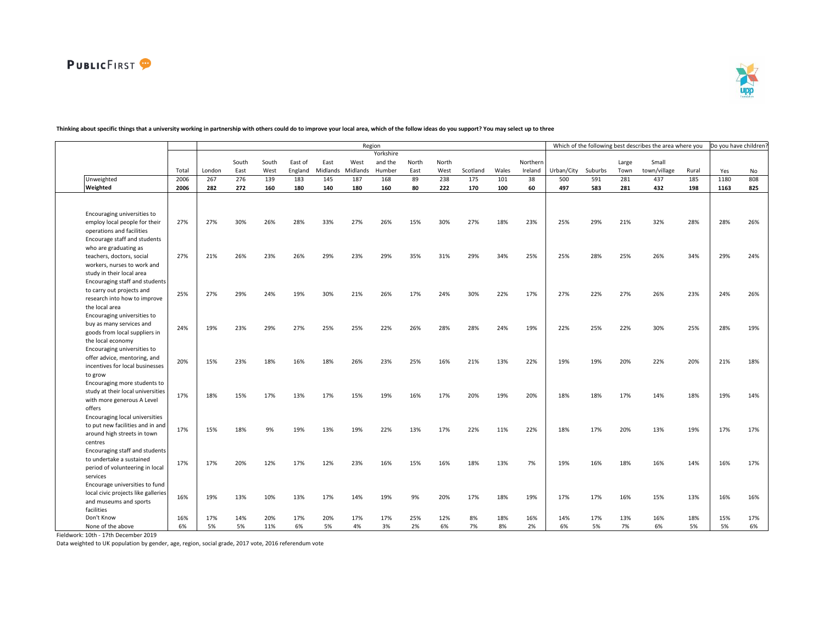

|                                                                       |       |        |       |       |         |          | Region   |           |       |       |          |       |          |            |         |       | Which of the following best describes the area where you |       | Do you have children? |     |
|-----------------------------------------------------------------------|-------|--------|-------|-------|---------|----------|----------|-----------|-------|-------|----------|-------|----------|------------|---------|-------|----------------------------------------------------------|-------|-----------------------|-----|
|                                                                       |       |        |       |       |         |          |          | Yorkshire |       |       |          |       |          |            |         |       |                                                          |       |                       |     |
|                                                                       |       |        | South | South | East of | East     | West     | and the   | North | North |          |       | Northern |            |         | Large | Small                                                    |       |                       |     |
|                                                                       | Total | London | East  | West  | England | Midlands | Midlands | Humber    | East  | West  | Scotland | Wales | Ireland  | Urban/City | Suburbs | Town  | town/village                                             | Rural | Yes                   | No  |
| Unweighted                                                            | 2006  | 267    | 276   | 139   | 183     | 145      | 187      | 168       | 89    | 238   | 175      | 101   | 38       | 500        | 591     | 281   | 437                                                      | 185   | 1180                  | 808 |
| Weighted                                                              | 2006  | 282    | 272   | 160   | 180     | 140      | 180      | 160       | 80    | 222   | 170      | 100   | 60       | 497        | 583     | 281   | 432                                                      | 198   | 1163                  | 825 |
|                                                                       |       |        |       |       |         |          |          |           |       |       |          |       |          |            |         |       |                                                          |       |                       |     |
|                                                                       |       |        |       |       |         |          |          |           |       |       |          |       |          |            |         |       |                                                          |       |                       |     |
| Encouraging universities to                                           |       |        |       |       |         |          |          |           |       |       |          |       |          |            |         |       |                                                          |       |                       |     |
| employ local people for their                                         | 27%   | 27%    | 30%   | 26%   | 28%     | 33%      | 27%      | 26%       | 15%   | 30%   | 27%      | 18%   | 23%      | 25%        | 29%     | 21%   | 32%                                                      | 28%   | 28%                   | 26% |
| operations and facilities                                             |       |        |       |       |         |          |          |           |       |       |          |       |          |            |         |       |                                                          |       |                       |     |
| Encourage staff and students                                          |       |        |       |       |         |          |          |           |       |       |          |       |          |            |         |       |                                                          |       |                       |     |
| who are graduating as                                                 |       |        |       |       |         |          |          |           |       |       |          |       |          |            |         |       |                                                          |       |                       |     |
| teachers, doctors, social                                             | 27%   | 21%    | 26%   | 23%   | 26%     | 29%      | 23%      | 29%       | 35%   | 31%   | 29%      | 34%   | 25%      | 25%        | 28%     | 25%   | 26%                                                      | 34%   | 29%                   | 24% |
| workers, nurses to work and                                           |       |        |       |       |         |          |          |           |       |       |          |       |          |            |         |       |                                                          |       |                       |     |
| study in their local area                                             |       |        |       |       |         |          |          |           |       |       |          |       |          |            |         |       |                                                          |       |                       |     |
| Encouraging staff and students                                        |       |        |       |       |         |          |          |           |       |       |          |       |          |            |         |       |                                                          |       |                       |     |
| to carry out projects and                                             | 25%   | 27%    | 29%   | 24%   | 19%     | 30%      | 21%      | 26%       | 17%   | 24%   | 30%      | 22%   | 17%      | 27%        | 22%     | 27%   | 26%                                                      | 23%   | 24%                   | 26% |
| research into how to improve                                          |       |        |       |       |         |          |          |           |       |       |          |       |          |            |         |       |                                                          |       |                       |     |
| the local area                                                        |       |        |       |       |         |          |          |           |       |       |          |       |          |            |         |       |                                                          |       |                       |     |
| Encouraging universities to                                           |       |        |       |       |         |          |          |           |       |       |          |       |          |            |         |       |                                                          |       |                       |     |
| buy as many services and                                              | 24%   | 19%    | 23%   | 29%   | 27%     | 25%      | 25%      | 22%       | 26%   | 28%   | 28%      | 24%   | 19%      | 22%        | 25%     | 22%   | 30%                                                      | 25%   | 28%                   | 19% |
| goods from local suppliers in                                         |       |        |       |       |         |          |          |           |       |       |          |       |          |            |         |       |                                                          |       |                       |     |
| the local economy                                                     |       |        |       |       |         |          |          |           |       |       |          |       |          |            |         |       |                                                          |       |                       |     |
| Encouraging universities to                                           |       |        |       |       |         |          |          |           |       |       |          |       |          |            |         |       |                                                          |       |                       |     |
| offer advice, mentoring, and                                          | 20%   | 15%    | 23%   | 18%   | 16%     | 18%      | 26%      | 23%       | 25%   | 16%   | 21%      | 13%   | 22%      | 19%        | 19%     | 20%   | 22%                                                      | 20%   | 21%                   | 18% |
| incentives for local businesses                                       |       |        |       |       |         |          |          |           |       |       |          |       |          |            |         |       |                                                          |       |                       |     |
| to grow                                                               |       |        |       |       |         |          |          |           |       |       |          |       |          |            |         |       |                                                          |       |                       |     |
| Encouraging more students to                                          |       |        |       |       |         |          |          |           |       |       |          |       |          |            |         |       |                                                          |       |                       |     |
| study at their local universities                                     | 17%   | 18%    | 15%   | 17%   | 13%     | 17%      | 15%      | 19%       | 16%   | 17%   | 20%      | 19%   | 20%      | 18%        | 18%     | 17%   | 14%                                                      | 18%   | 19%                   | 14% |
| with more generous A Level                                            |       |        |       |       |         |          |          |           |       |       |          |       |          |            |         |       |                                                          |       |                       |     |
| offers                                                                |       |        |       |       |         |          |          |           |       |       |          |       |          |            |         |       |                                                          |       |                       |     |
| Encouraging local universities                                        |       |        |       |       |         |          |          |           |       |       |          |       |          |            |         |       |                                                          |       |                       |     |
| to put new facilities and in and                                      | 17%   | 15%    | 18%   | 9%    | 19%     | 13%      | 19%      | 22%       | 13%   | 17%   | 22%      | 11%   | 22%      | 18%        | 17%     | 20%   | 13%                                                      | 19%   | 17%                   | 17% |
| around high streets in town                                           |       |        |       |       |         |          |          |           |       |       |          |       |          |            |         |       |                                                          |       |                       |     |
| centres                                                               |       |        |       |       |         |          |          |           |       |       |          |       |          |            |         |       |                                                          |       |                       |     |
| Encouraging staff and students                                        |       |        |       |       |         |          |          |           |       |       |          |       |          |            |         |       |                                                          |       |                       |     |
| to undertake a sustained                                              | 17%   | 17%    | 20%   | 12%   | 17%     | 12%      | 23%      | 16%       | 15%   | 16%   | 18%      | 13%   | 7%       | 19%        | 16%     | 18%   | 16%                                                      | 14%   | 16%                   | 17% |
| period of volunteering in local                                       |       |        |       |       |         |          |          |           |       |       |          |       |          |            |         |       |                                                          |       |                       |     |
| services                                                              |       |        |       |       |         |          |          |           |       |       |          |       |          |            |         |       |                                                          |       |                       |     |
| Encourage universities to fund<br>local civic projects like galleries |       |        |       |       |         |          |          |           |       |       |          |       |          |            |         |       |                                                          |       |                       |     |
| and museums and sports                                                | 16%   | 19%    | 13%   | 10%   | 13%     | 17%      | 14%      | 19%       | 9%    | 20%   | 17%      | 18%   | 19%      | 17%        | 17%     | 16%   | 15%                                                      | 13%   | 16%                   | 16% |
| facilities                                                            |       |        |       |       |         |          |          |           |       |       |          |       |          |            |         |       |                                                          |       |                       |     |
| Don't Know                                                            | 16%   | 17%    | 14%   | 20%   | 17%     | 20%      | 17%      | 17%       | 25%   | 12%   | 8%       | 18%   | 16%      | 14%        | 17%     | 13%   | 16%                                                      | 18%   | 15%                   | 17% |
| None of the above                                                     | 6%    | 5%     | 5%    | 11%   | 6%      | 5%       | 4%       | 3%        | 2%    | 6%    | 7%       | 8%    | 2%       | 6%         | 5%      | 7%    | 6%                                                       | 5%    | 5%                    | 6%  |
|                                                                       |       |        |       |       |         |          |          |           |       |       |          |       |          |            |         |       |                                                          |       |                       |     |

# **Thinking about specific things that a university working in partnership with others could do to improve your local area, which of the follow ideas do you support? You may select up to three**

Fieldwork: 10th - 17th December 2019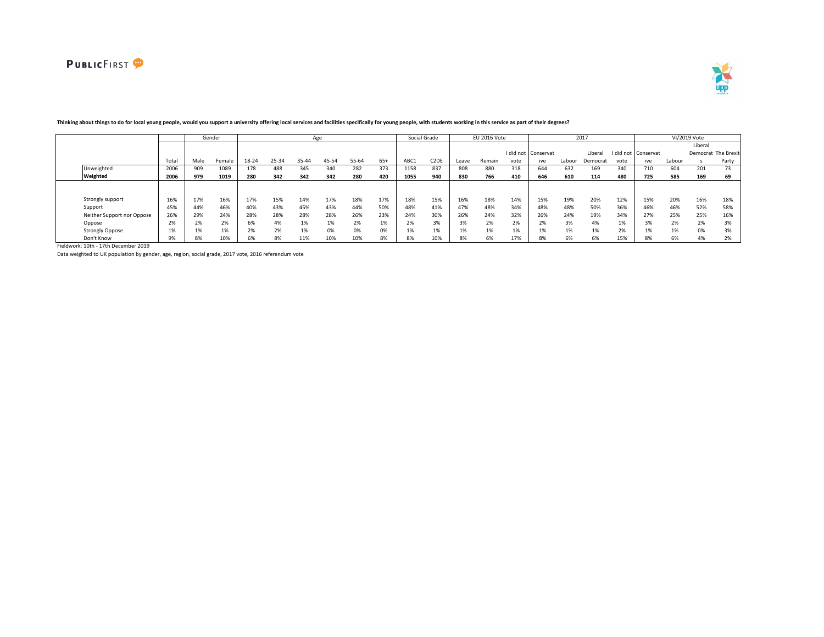



|                            |                 |      | Gender       |       |       |       | Age   |       |       |      | Social Grade      |       | EU 2016 Vote |      |                     |        | 2017     |      |                     |        | VI/2019 Vote |                     |
|----------------------------|-----------------|------|--------------|-------|-------|-------|-------|-------|-------|------|-------------------|-------|--------------|------|---------------------|--------|----------|------|---------------------|--------|--------------|---------------------|
|                            |                 |      |              |       |       |       |       |       |       |      |                   |       |              |      |                     |        |          |      |                     |        | Liberal      |                     |
|                            |                 |      |              |       |       |       |       |       |       |      |                   |       |              |      | I did not Conservat |        | Liberal  |      | I did not Conservat |        |              | Democrat The Brexit |
|                            | Total           | Male | Female       | 18-24 | 25-34 | 35-44 | 45-54 | 55-64 | $65+$ | ABC1 | C <sub>2</sub> DE | Leave | Remain       | vote | ive                 | Labour | Democrat | vote | ive                 | Labour |              | Party               |
| Unweighted                 | 2006            | 909  | 1089         | 178   | 488   | 345   | 340   | 282   | 373   | 1158 | 837               | 808   | 880          | 318  | 644                 | 632    | 169      | 340  | 710                 | 604    | 201          | 73                  |
| Weighted                   | 2006            | 979  | 1019         | 280   | 342   | 342   | 342   | 280   | 420   | 1055 | 940               | 830   | 766          | 410  | 646                 | 610    | 114      | 480  | 725                 | 585    | 169          | 69                  |
|                            |                 |      |              |       |       |       |       |       |       |      |                   |       |              |      |                     |        |          |      |                     |        |              |                     |
|                            |                 |      |              |       |       |       |       |       |       |      |                   |       |              |      |                     |        |          |      |                     |        |              |                     |
| Strongly support           | 16%             | 17%  | 16%          | 17%   | 15%   | 14%   | 17%   | 18%   | 17%   | 18%  | 15%               | 16%   | 18%          | 14%  | 15%                 | 19%    | 20%      | 12%  | 15%                 | 20%    | 16%          | 18%                 |
| Support                    | 45%             | 44%  | 46%          | 40%   | 43%   | 45%   | 43%   | 44%   | 50%   | 48%  | 41%               | 47%   | 48%          | 34%  | 48%                 | 48%    | 50%      | 36%  | 46%                 | 46%    | 52%          | 58%                 |
| Neither Support nor Oppose | 26%             | 29%  | 24%          | 28%   | 28%   | 28%   | 28%   | 26%   | 23%   | 24%  | 30%               | 26%   | 24%          | 32%  | 26%                 | 24%    | 19%      | 34%  | 27%                 | 25%    | 25%          | 16%                 |
| Oppose                     | 20 <sup>2</sup> |      | 2%           | 6%    | 4%    | 1%    | 1%    | 2%    | 170   |      | 3%                | 3%    | 2%           | 2%   | 20                  | 3%     | 4%       | 1%   | 3%                  | 2%     | 2%           | 3%                  |
| <b>Strongly Oppose</b>     |                 |      | 101<br>$1\%$ | 2%    | 2%    | 1%    | 0%    | 0%    | 0%    |      | 101<br>-170       | 1%    | 1%           | 1%   |                     | 1%     | 1%       | 2%   | $1\%$               | 1%     | 0%           | 3%                  |
| Don't Know                 | 9%              |      | 10%          | 6%    | 8%    | 11%   | 10%   | 10%   | 8%    | 8%   | 10%               | 8%    | 6%           | 17%  |                     | 6%     | 6%       | 15%  | 8%                  | 6%     | 4%           | 2%                  |

# **Thinking about things to do for local young people, would you support a university offering local services and facilities specifically for young people, with students working in this service as part of their degrees?**

Fieldwork: 10th - 17th December 2019